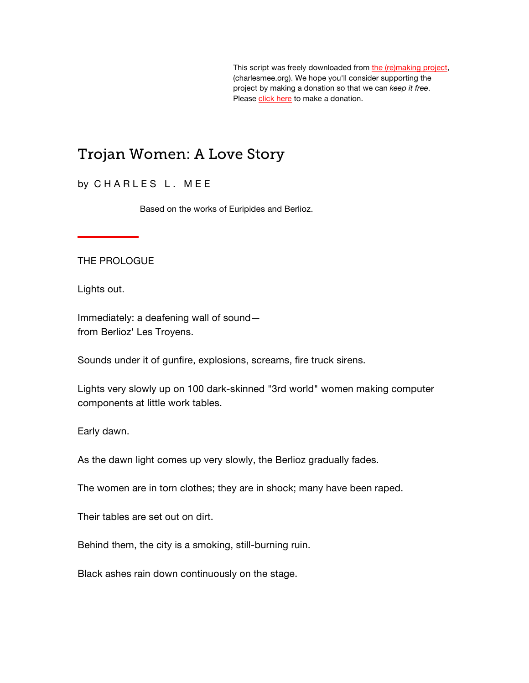This script was freely downloaded from [the \(re\)making project,](http://www.charlesmee.org/)  (charlesmee.org). We hope you'll consider supporting the project by making a donation so that we can *keep it free*. Please [click here](http://www.charlesmee.org/support-the-project.shtml) to make a donation.

# Trojan Women: A Love Story

by CHARLES L. MEE

Based on the works of Euripides and Berlioz.

THE PROLOGUE

Lights out.

Immediately: a deafening wall of sound from Berlioz' Les Troyens.

Sounds under it of gunfire, explosions, screams, fire truck sirens.

Lights very slowly up on 100 dark-skinned "3rd world" women making computer components at little work tables.

Early dawn.

As the dawn light comes up very slowly, the Berlioz gradually fades.

The women are in torn clothes; they are in shock; many have been raped.

Their tables are set out on dirt.

Behind them, the city is a smoking, still-burning ruin.

Black ashes rain down continuously on the stage.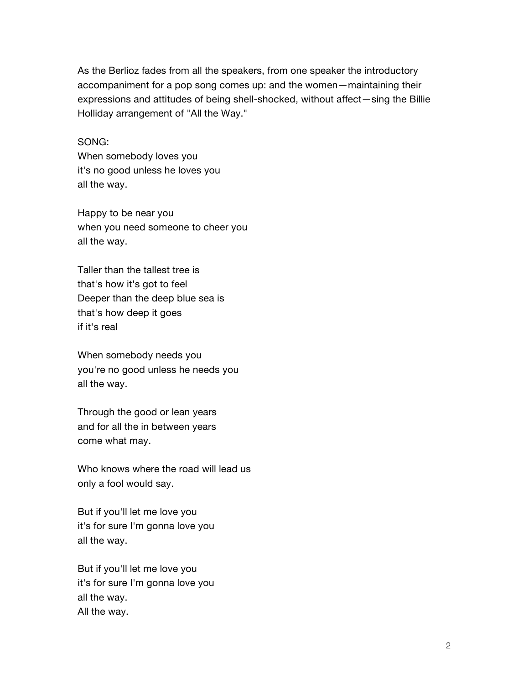As the Berlioz fades from all the speakers, from one speaker the introductory accompaniment for a pop song comes up: and the women—maintaining their expressions and attitudes of being shell-shocked, without affect—sing the Billie Holliday arrangement of "All the Way."

#### SONG:

When somebody loves you it's no good unless he loves you all the way.

Happy to be near you when you need someone to cheer you all the way.

Taller than the tallest tree is that's how it's got to feel Deeper than the deep blue sea is that's how deep it goes if it's real

When somebody needs you you're no good unless he needs you all the way.

Through the good or lean years and for all the in between years come what may.

Who knows where the road will lead us only a fool would say.

But if you'll let me love you it's for sure I'm gonna love you all the way.

But if you'll let me love you it's for sure I'm gonna love you all the way. All the way.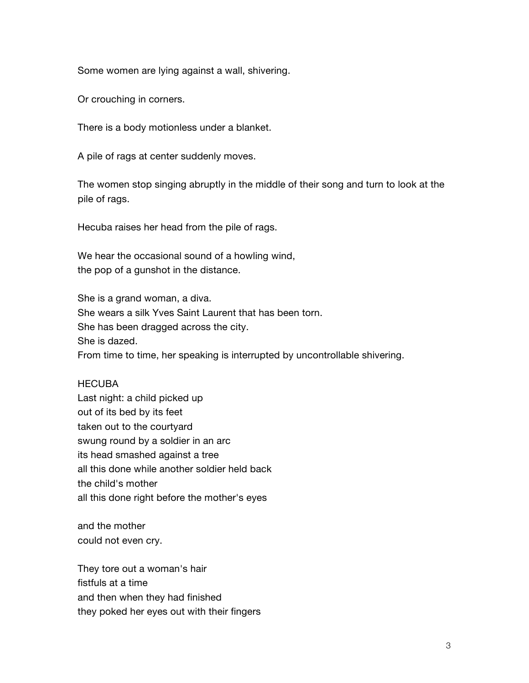Some women are lying against a wall, shivering.

Or crouching in corners.

There is a body motionless under a blanket.

A pile of rags at center suddenly moves.

The women stop singing abruptly in the middle of their song and turn to look at the pile of rags.

Hecuba raises her head from the pile of rags.

We hear the occasional sound of a howling wind, the pop of a gunshot in the distance.

She is a grand woman, a diva. She wears a silk Yves Saint Laurent that has been torn. She has been dragged across the city. She is dazed. From time to time, her speaking is interrupted by uncontrollable shivering.

#### **HECUBA**

Last night: a child picked up out of its bed by its feet taken out to the courtyard swung round by a soldier in an arc its head smashed against a tree all this done while another soldier held back the child's mother all this done right before the mother's eyes

and the mother could not even cry.

They tore out a woman's hair fistfuls at a time and then when they had finished they poked her eyes out with their fingers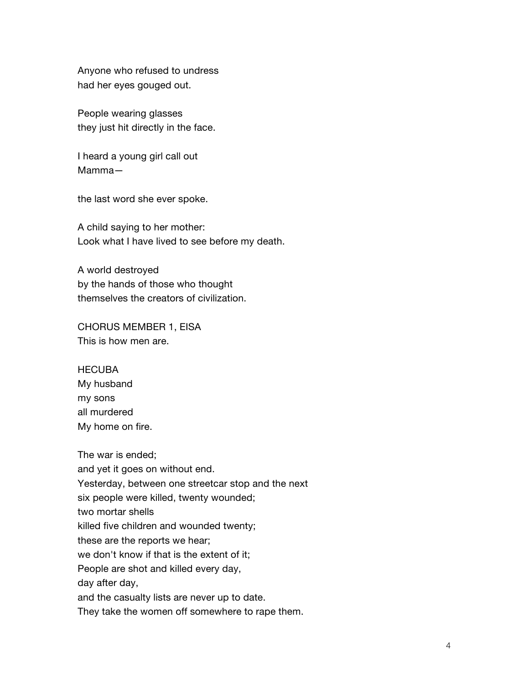Anyone who refused to undress had her eyes gouged out.

People wearing glasses they just hit directly in the face.

I heard a young girl call out Mamma—

the last word she ever spoke.

A child saying to her mother: Look what I have lived to see before my death.

A world destroyed by the hands of those who thought themselves the creators of civilization.

CHORUS MEMBER 1, EISA This is how men are.

**HECUBA** My husband my sons all murdered My home on fire.

The war is ended; and yet it goes on without end. Yesterday, between one streetcar stop and the next six people were killed, twenty wounded; two mortar shells killed five children and wounded twenty; these are the reports we hear; we don't know if that is the extent of it; People are shot and killed every day, day after day, and the casualty lists are never up to date. They take the women off somewhere to rape them.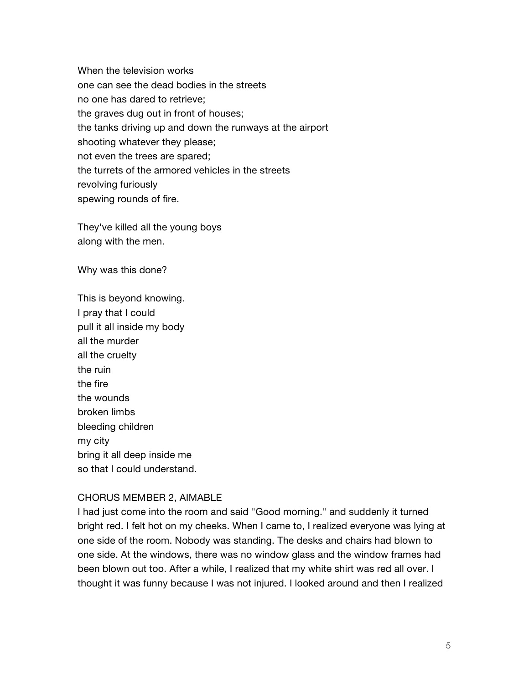When the television works one can see the dead bodies in the streets no one has dared to retrieve; the graves dug out in front of houses; the tanks driving up and down the runways at the airport shooting whatever they please; not even the trees are spared; the turrets of the armored vehicles in the streets revolving furiously spewing rounds of fire.

They've killed all the young boys along with the men.

Why was this done?

This is beyond knowing. I pray that I could pull it all inside my body all the murder all the cruelty the ruin the fire the wounds broken limbs bleeding children my city bring it all deep inside me so that I could understand.

#### CHORUS MEMBER 2, AIMABLE

I had just come into the room and said "Good morning." and suddenly it turned bright red. I felt hot on my cheeks. When I came to, I realized everyone was lying at one side of the room. Nobody was standing. The desks and chairs had blown to one side. At the windows, there was no window glass and the window frames had been blown out too. After a while, I realized that my white shirt was red all over. I thought it was funny because I was not injured. I looked around and then I realized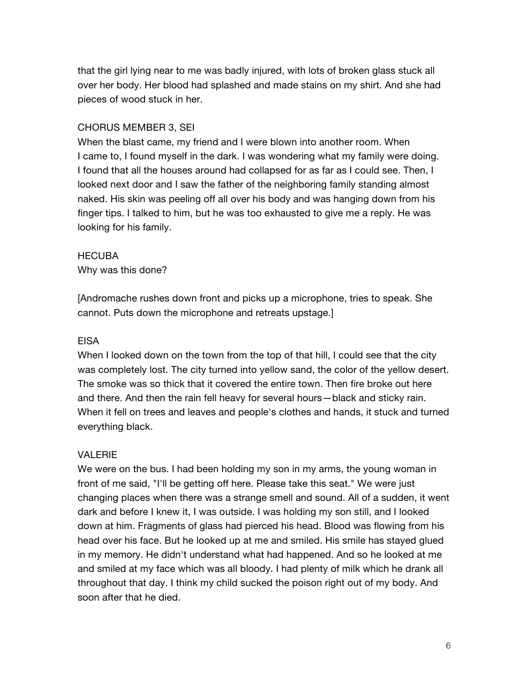that the girl lying near to me was badly injured, with lots of broken glass stuck all over her body. Her blood had splashed and made stains on my shirt. And she had pieces of wood stuck in her.

#### CHORUS MEMBER 3, SEI

When the blast came, my friend and I were blown into another room. When I came to, I found myself in the dark. I was wondering what my family were doing. I found that all the houses around had collapsed for as far as I could see. Then, I looked next door and I saw the father of the neighboring family standing almost naked. His skin was peeling off all over his body and was hanging down from his finger tips. I talked to him, but he was too exhausted to give me a reply. He was looking for his family.

#### **HECUBA**

Why was this done?

[Andromache rushes down front and picks up a microphone, tries to speak. She cannot. Puts down the microphone and retreats upstage.]

#### **EISA**

When I looked down on the town from the top of that hill, I could see that the city was completely lost. The city turned into yellow sand, the color of the yellow desert. The smoke was so thick that it covered the entire town. Then fire broke out here and there. And then the rain fell heavy for several hours—black and sticky rain. When it fell on trees and leaves and people's clothes and hands, it stuck and turned everything black.

## VALERIE

We were on the bus. I had been holding my son in my arms, the young woman in front of me said, "I'll be getting off here. Please take this seat." We were just changing places when there was a strange smell and sound. All of a sudden, it went dark and before I knew it, I was outside. I was holding my son still, and I looked down at him. Fragments of glass had pierced his head. Blood was flowing from his head over his face. But he looked up at me and smiled. His smile has stayed glued in my memory. He didn't understand what had happened. And so he looked at me and smiled at my face which was all bloody. I had plenty of milk which he drank all throughout that day. I think my child sucked the poison right out of my body. And soon after that he died.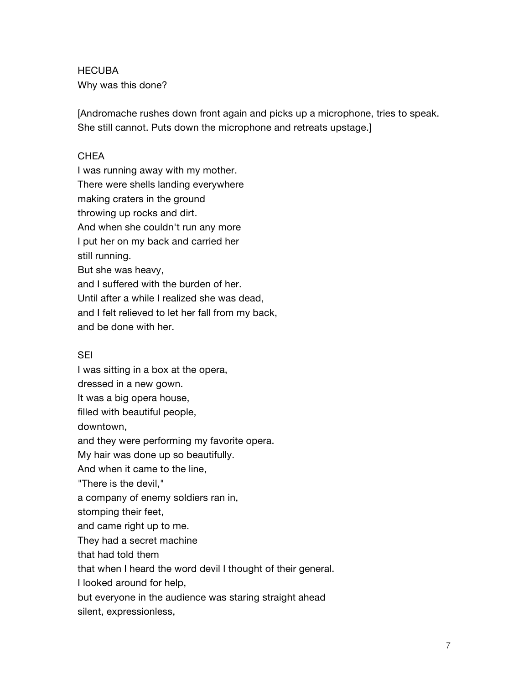**HECUBA** Why was this done?

[Andromache rushes down front again and picks up a microphone, tries to speak. She still cannot. Puts down the microphone and retreats upstage.]

### **CHEA**

I was running away with my mother. There were shells landing everywhere making craters in the ground throwing up rocks and dirt. And when she couldn't run any more I put her on my back and carried her still running. But she was heavy, and I suffered with the burden of her. Until after a while I realized she was dead, and I felt relieved to let her fall from my back, and be done with her.

#### **SEI**

I was sitting in a box at the opera, dressed in a new gown. It was a big opera house, filled with beautiful people, downtown, and they were performing my favorite opera. My hair was done up so beautifully. And when it came to the line, "There is the devil," a company of enemy soldiers ran in, stomping their feet, and came right up to me. They had a secret machine that had told them that when I heard the word devil I thought of their general. I looked around for help, but everyone in the audience was staring straight ahead

silent, expressionless,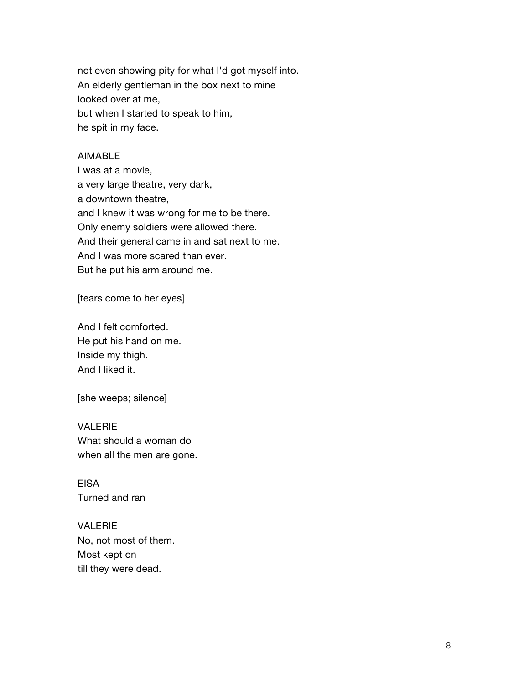not even showing pity for what I'd got myself into. An elderly gentleman in the box next to mine looked over at me, but when I started to speak to him, he spit in my face.

#### AIMABLE

I was at a movie, a very large theatre, very dark, a downtown theatre, and I knew it was wrong for me to be there. Only enemy soldiers were allowed there. And their general came in and sat next to me. And I was more scared than ever. But he put his arm around me.

[tears come to her eyes]

And I felt comforted. He put his hand on me. Inside my thigh. And I liked it.

[she weeps; silence]

VALERIE What should a woman do when all the men are gone.

EISA Turned and ran

VALERIE No, not most of them. Most kept on till they were dead.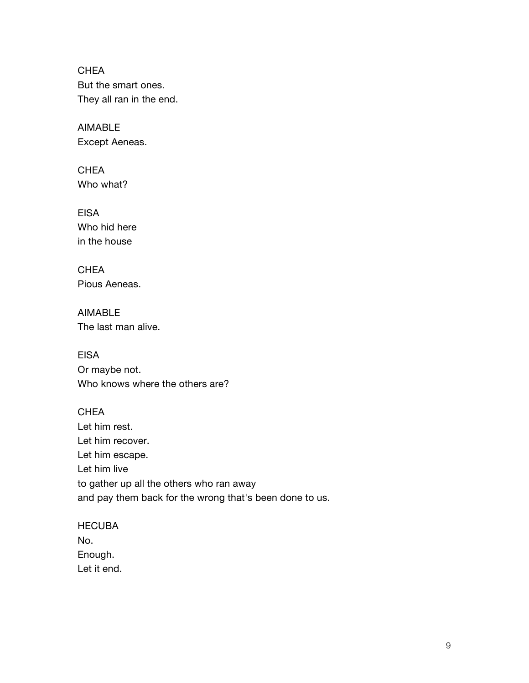**CHEA** But the smart ones. They all ran in the end.

AIMABLE Except Aeneas.

**CHEA** Who what?

EISA Who hid here in the house

**CHEA** Pious Aeneas.

AIMABLE The last man alive.

EISA Or maybe not. Who knows where the others are?

**CHEA** Let him rest. Let him recover. Let him escape. Let him live to gather up all the others who ran away and pay them back for the wrong that's been done to us.

**HECUBA** No. Enough. Let it end.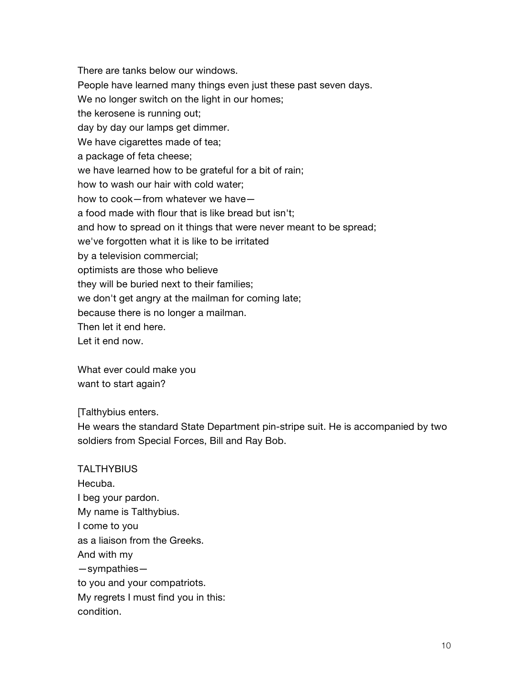There are tanks below our windows. People have learned many things even just these past seven days. We no longer switch on the light in our homes; the kerosene is running out; day by day our lamps get dimmer. We have cigarettes made of tea; a package of feta cheese; we have learned how to be grateful for a bit of rain; how to wash our hair with cold water; how to cook—from whatever we have a food made with flour that is like bread but isn't; and how to spread on it things that were never meant to be spread; we've forgotten what it is like to be irritated by a television commercial; optimists are those who believe they will be buried next to their families; we don't get angry at the mailman for coming late; because there is no longer a mailman. Then let it end here. Let it end now.

What ever could make you want to start again?

[Talthybius enters.

He wears the standard State Department pin-stripe suit. He is accompanied by two soldiers from Special Forces, Bill and Ray Bob.

**TALTHYBIUS** Hecuba. I beg your pardon. My name is Talthybius. I come to you as a liaison from the Greeks. And with my —sympathies to you and your compatriots. My regrets I must find you in this: condition.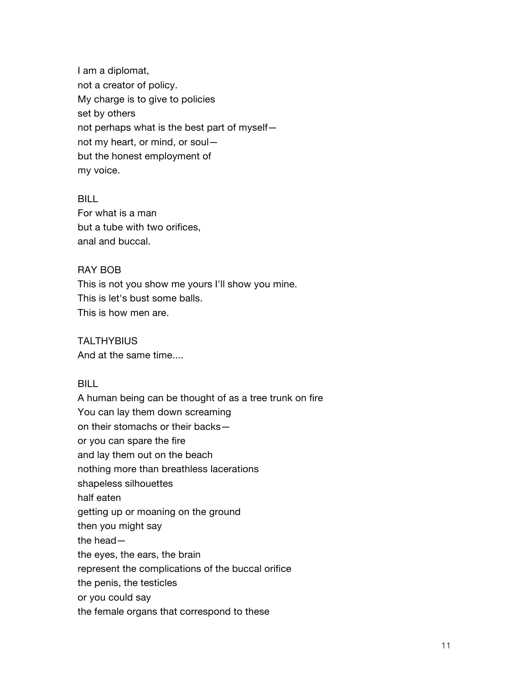I am a diplomat, not a creator of policy. My charge is to give to policies set by others not perhaps what is the best part of myself not my heart, or mind, or soul but the honest employment of my voice.

BILL For what is a man but a tube with two orifices, anal and buccal.

#### RAY BOB

This is not you show me yours I'll show you mine. This is let's bust some balls. This is how men are.

**TAI THYBIUS** And at the same time....

#### BILL

A human being can be thought of as a tree trunk on fire You can lay them down screaming on their stomachs or their backs or you can spare the fire and lay them out on the beach nothing more than breathless lacerations shapeless silhouettes half eaten getting up or moaning on the ground then you might say the head the eyes, the ears, the brain represent the complications of the buccal orifice the penis, the testicles or you could say the female organs that correspond to these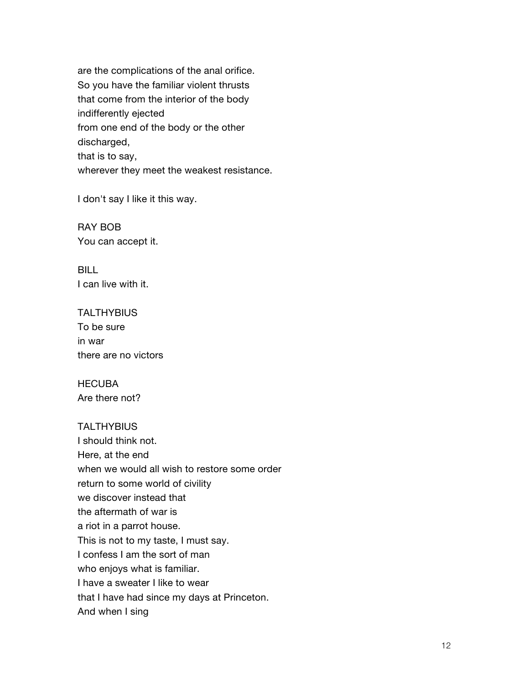are the complications of the anal orifice. So you have the familiar violent thrusts that come from the interior of the body indifferently ejected from one end of the body or the other discharged, that is to say, wherever they meet the weakest resistance.

I don't say I like it this way.

RAY BOB You can accept it.

BILL I can live with it.

**TALTHYBIUS** To be sure in war there are no victors

**HECUBA** Are there not?

**TALTHYBIUS** I should think not. Here, at the end when we would all wish to restore some order return to some world of civility we discover instead that the aftermath of war is a riot in a parrot house. This is not to my taste, I must say. I confess I am the sort of man who enjoys what is familiar. I have a sweater I like to wear that I have had since my days at Princeton. And when I sing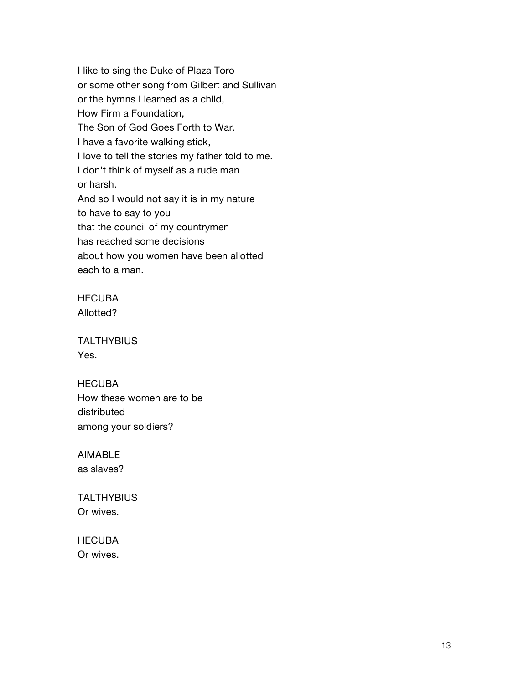I like to sing the Duke of Plaza Toro or some other song from Gilbert and Sullivan or the hymns I learned as a child, How Firm a Foundation, The Son of God Goes Forth to War. I have a favorite walking stick, I love to tell the stories my father told to me. I don't think of myself as a rude man or harsh. And so I would not say it is in my nature to have to say to you that the council of my countrymen has reached some decisions about how you women have been allotted each to a man.

**HECUBA** Allotted?

**TALTHYBIUS** Yes.

**HECUBA** How these women are to be distributed among your soldiers?

AIMABLE as slaves?

**TALTHYBIUS** Or wives.

**HECUBA** Or wives.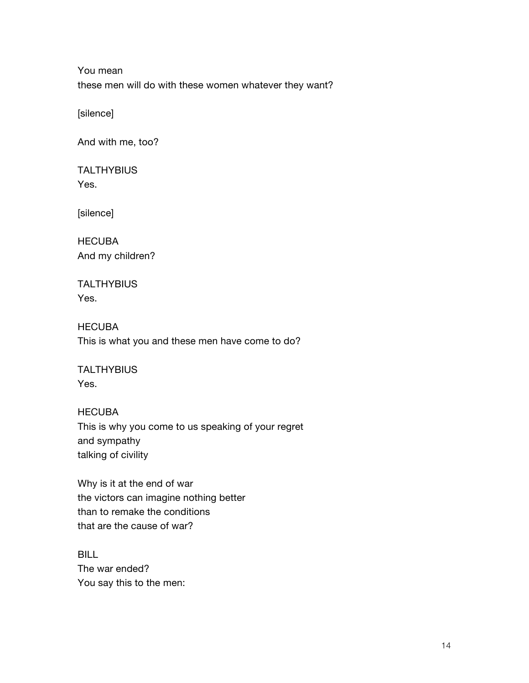You mean these men will do with these women whatever they want?

[silence]

And with me, too?

**TALTHYBIUS** Yes.

[silence]

**HECUBA** And my children?

**TALTHYBIUS** Yes.

**HECUBA** This is what you and these men have come to do?

**TALTHYBIUS** Yes.

**HECUBA** This is why you come to us speaking of your regret and sympathy talking of civility

Why is it at the end of war the victors can imagine nothing better than to remake the conditions that are the cause of war?

BILL The war ended? You say this to the men: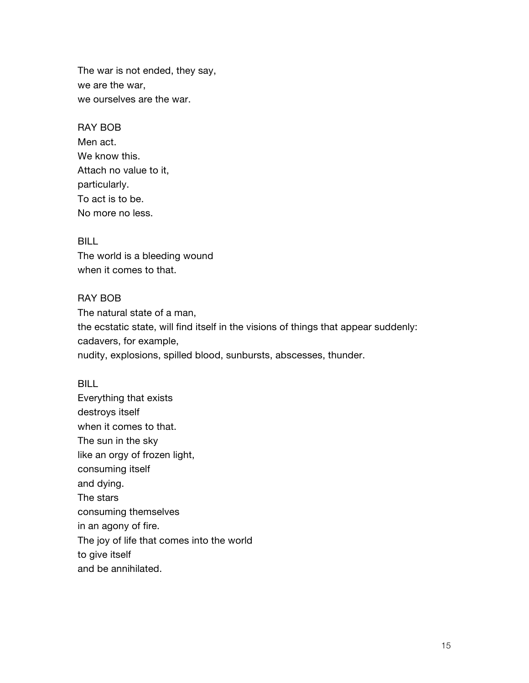The war is not ended, they say, we are the war, we ourselves are the war.

#### RAY BOB

Men act. We know this. Attach no value to it, particularly. To act is to be. No more no less.

BILL The world is a bleeding wound when it comes to that.

## RAY BOB

The natural state of a man, the ecstatic state, will find itself in the visions of things that appear suddenly: cadavers, for example, nudity, explosions, spilled blood, sunbursts, abscesses, thunder.

#### BILL

Everything that exists destroys itself when it comes to that. The sun in the sky like an orgy of frozen light, consuming itself and dying. The stars consuming themselves in an agony of fire. The joy of life that comes into the world to give itself and be annihilated.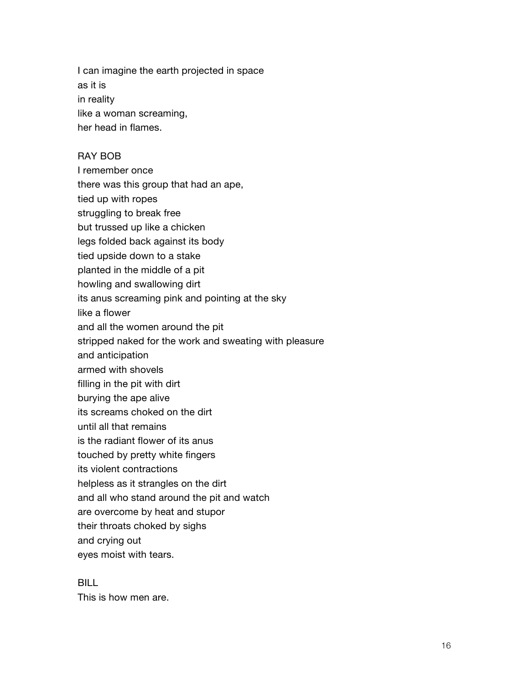I can imagine the earth projected in space as it is in reality like a woman screaming, her head in flames.

#### RAY BOB

I remember once there was this group that had an ape, tied up with ropes struggling to break free but trussed up like a chicken legs folded back against its body tied upside down to a stake planted in the middle of a pit howling and swallowing dirt its anus screaming pink and pointing at the sky like a flower and all the women around the pit stripped naked for the work and sweating with pleasure and anticipation armed with shovels filling in the pit with dirt burying the ape alive its screams choked on the dirt until all that remains is the radiant flower of its anus touched by pretty white fingers its violent contractions helpless as it strangles on the dirt and all who stand around the pit and watch are overcome by heat and stupor their throats choked by sighs and crying out eyes moist with tears.

#### **BILL**

This is how men are.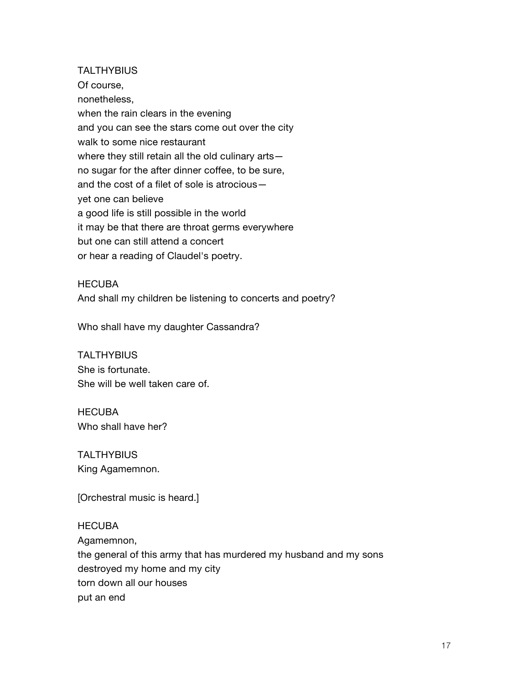#### **TALTHYBIUS**

Of course, nonetheless, when the rain clears in the evening and you can see the stars come out over the city walk to some nice restaurant where they still retain all the old culinary arts no sugar for the after dinner coffee, to be sure, and the cost of a filet of sole is atrocious yet one can believe a good life is still possible in the world it may be that there are throat germs everywhere but one can still attend a concert or hear a reading of Claudel's poetry.

**HECUBA** And shall my children be listening to concerts and poetry?

Who shall have my daughter Cassandra?

**TALTHYBIUS** She is fortunate. She will be well taken care of.

**HECUBA** Who shall have her?

**TALTHYBIUS** King Agamemnon.

[Orchestral music is heard.]

#### **HECUBA**

Agamemnon, the general of this army that has murdered my husband and my sons destroyed my home and my city torn down all our houses put an end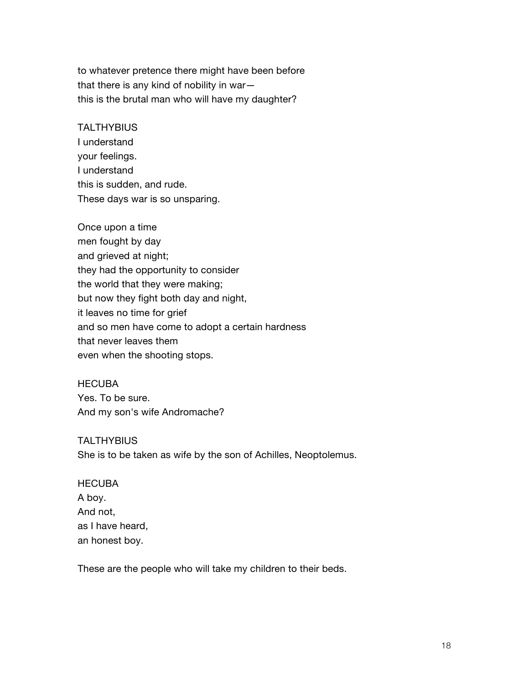to whatever pretence there might have been before that there is any kind of nobility in war this is the brutal man who will have my daughter?

**TALTHYBIUS** 

I understand your feelings. I understand this is sudden, and rude. These days war is so unsparing.

Once upon a time men fought by day and grieved at night; they had the opportunity to consider the world that they were making; but now they fight both day and night, it leaves no time for grief and so men have come to adopt a certain hardness that never leaves them even when the shooting stops.

**HECUBA** Yes. To be sure. And my son's wife Andromache?

**TALTHYBIUS** She is to be taken as wife by the son of Achilles, Neoptolemus.

**HECUBA** A boy. And not, as I have heard, an honest boy.

These are the people who will take my children to their beds.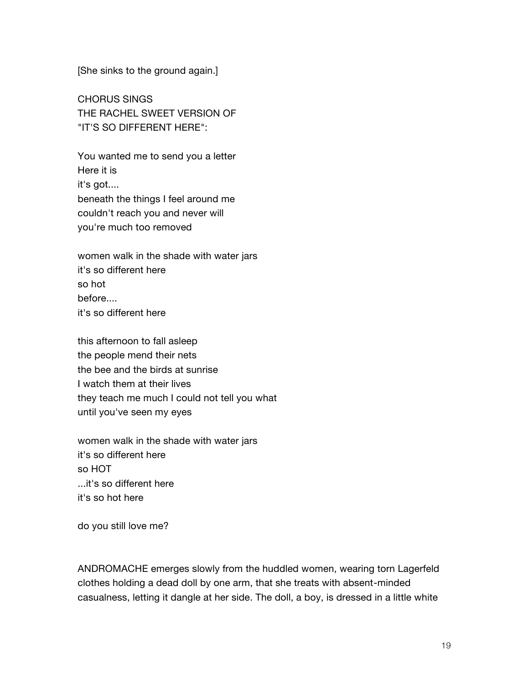[She sinks to the ground again.]

CHORUS SINGS THE RACHEL SWEET VERSION OF "IT'S SO DIFFERENT HERE":

You wanted me to send you a letter Here it is it's got.... beneath the things I feel around me couldn't reach you and never will you're much too removed

women walk in the shade with water jars it's so different here so hot before.... it's so different here

this afternoon to fall asleep the people mend their nets the bee and the birds at sunrise I watch them at their lives they teach me much I could not tell you what until you've seen my eyes

women walk in the shade with water jars it's so different here so HOT ...it's so different here it's so hot here

do you still love me?

ANDROMACHE emerges slowly from the huddled women, wearing torn Lagerfeld clothes holding a dead doll by one arm, that she treats with absent-minded casualness, letting it dangle at her side. The doll, a boy, is dressed in a little white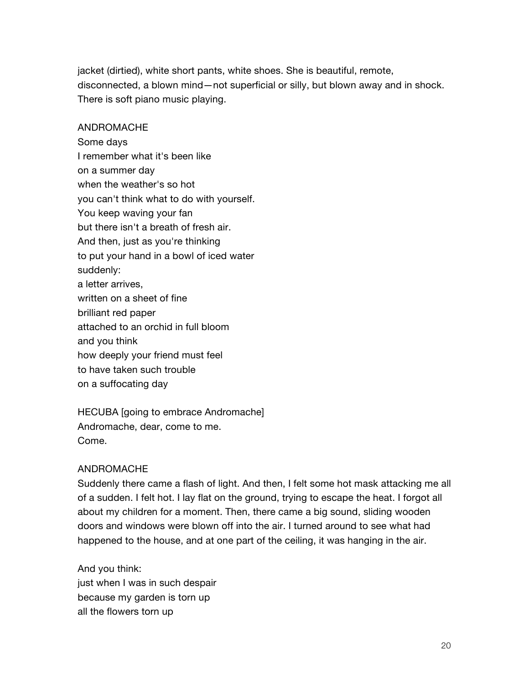jacket (dirtied), white short pants, white shoes. She is beautiful, remote, disconnected, a blown mind—not superficial or silly, but blown away and in shock. There is soft piano music playing.

#### ANDROMACHE

Some days I remember what it's been like on a summer day when the weather's so hot you can't think what to do with yourself. You keep waving your fan but there isn't a breath of fresh air. And then, just as you're thinking to put your hand in a bowl of iced water suddenly: a letter arrives, written on a sheet of fine brilliant red paper attached to an orchid in full bloom and you think how deeply your friend must feel to have taken such trouble on a suffocating day

HECUBA [going to embrace Andromache] Andromache, dear, come to me. Come.

#### ANDROMACHE

Suddenly there came a flash of light. And then, I felt some hot mask attacking me all of a sudden. I felt hot. I lay flat on the ground, trying to escape the heat. I forgot all about my children for a moment. Then, there came a big sound, sliding wooden doors and windows were blown off into the air. I turned around to see what had happened to the house, and at one part of the ceiling, it was hanging in the air.

And you think: just when I was in such despair because my garden is torn up all the flowers torn up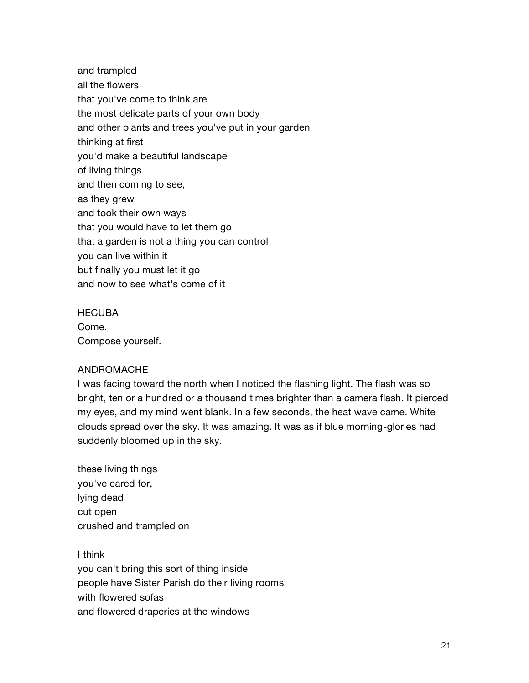and trampled all the flowers that you've come to think are the most delicate parts of your own body and other plants and trees you've put in your garden thinking at first you'd make a beautiful landscape of living things and then coming to see, as they grew and took their own ways that you would have to let them go that a garden is not a thing you can control you can live within it but finally you must let it go and now to see what's come of it

**HECUBA** Come. Compose yourself.

#### ANDROMACHE

I was facing toward the north when I noticed the flashing light. The flash was so bright, ten or a hundred or a thousand times brighter than a camera flash. It pierced my eyes, and my mind went blank. In a few seconds, the heat wave came. White clouds spread over the sky. It was amazing. It was as if blue morning-glories had suddenly bloomed up in the sky.

these living things you've cared for, lying dead cut open crushed and trampled on

I think you can't bring this sort of thing inside people have Sister Parish do their living rooms with flowered sofas and flowered draperies at the windows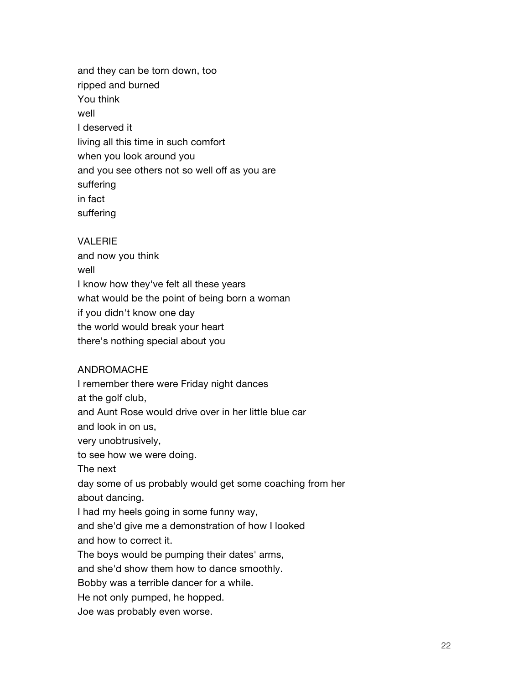and they can be torn down, too ripped and burned You think well I deserved it living all this time in such comfort when you look around you and you see others not so well off as you are suffering in fact suffering

#### VALERIE

and now you think well I know how they've felt all these years what would be the point of being born a woman if you didn't know one day the world would break your heart there's nothing special about you

#### ANDROMACHE

I remember there were Friday night dances

at the golf club,

and Aunt Rose would drive over in her little blue car

and look in on us,

very unobtrusively,

to see how we were doing.

The next

day some of us probably would get some coaching from her about dancing.

I had my heels going in some funny way,

and she'd give me a demonstration of how I looked

and how to correct it.

The boys would be pumping their dates' arms,

and she'd show them how to dance smoothly.

Bobby was a terrible dancer for a while.

He not only pumped, he hopped.

Joe was probably even worse.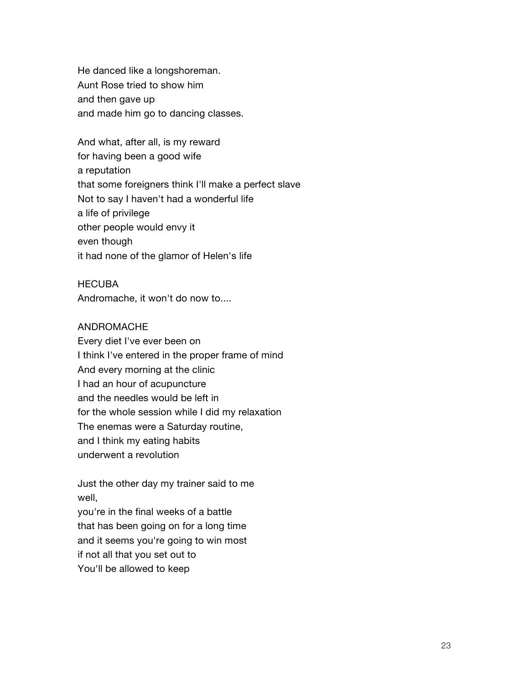He danced like a longshoreman. Aunt Rose tried to show him and then gave up and made him go to dancing classes.

And what, after all, is my reward for having been a good wife a reputation that some foreigners think I'll make a perfect slave Not to say I haven't had a wonderful life a life of privilege other people would envy it even though it had none of the glamor of Helen's life

**HECUBA** Andromache, it won't do now to....

#### ANDROMACHE

Every diet I've ever been on I think I've entered in the proper frame of mind And every morning at the clinic I had an hour of acupuncture and the needles would be left in for the whole session while I did my relaxation The enemas were a Saturday routine, and I think my eating habits underwent a revolution

Just the other day my trainer said to me well,

you're in the final weeks of a battle that has been going on for a long time and it seems you're going to win most if not all that you set out to You'll be allowed to keep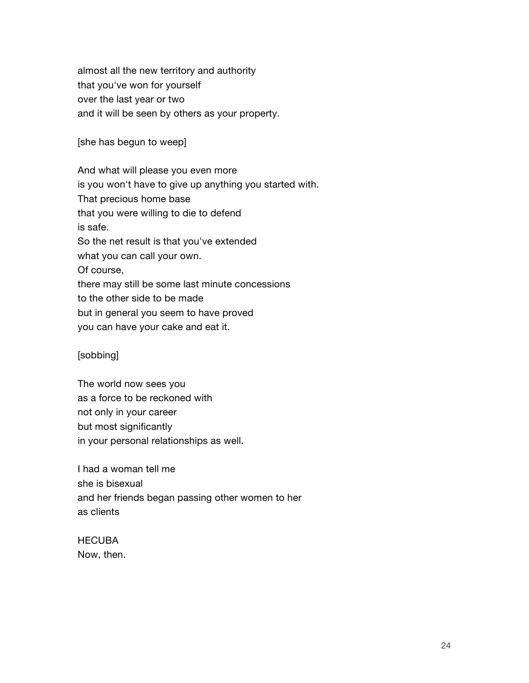almost all the new territory and authority that you've won for yourself over the last year or two and it will be seen by others as your property.

[she has begun to weep]

And what will please you even more is you won't have to give up anything you started with. That precious home base that you were willing to die to defend is safe. So the net result is that you've extended what you can call your own. Of course, there may still be some last minute concessions to the other side to be made but in general you seem to have proved you can have your cake and eat it.

[sobbing]

The world now sees you as a force to be reckoned with not only in your career but most significantly in your personal relationships as well.

I had a woman tell me she is bisexual and her friends began passing other women to her as clients

**HECUBA** Now, then.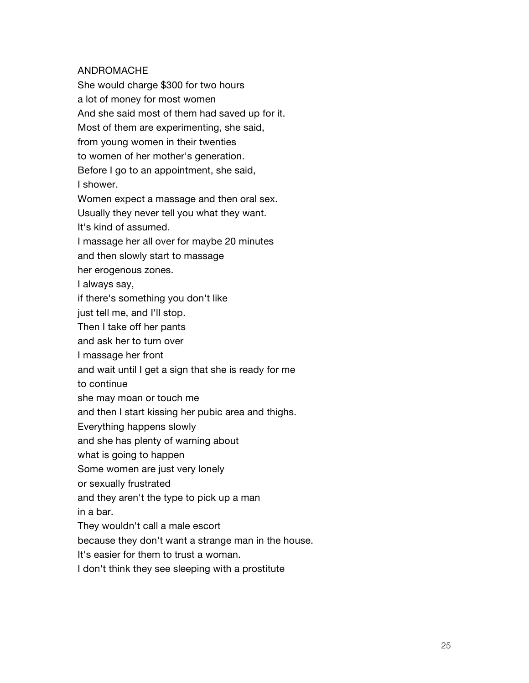#### ANDROMACHE

She would charge \$300 for two hours a lot of money for most women And she said most of them had saved up for it. Most of them are experimenting, she said, from young women in their twenties to women of her mother's generation. Before I go to an appointment, she said, I shower. Women expect a massage and then oral sex. Usually they never tell you what they want. It's kind of assumed. I massage her all over for maybe 20 minutes and then slowly start to massage her erogenous zones. I always say, if there's something you don't like just tell me, and I'll stop. Then I take off her pants and ask her to turn over I massage her front and wait until I get a sign that she is ready for me to continue she may moan or touch me and then I start kissing her pubic area and thighs. Everything happens slowly and she has plenty of warning about what is going to happen Some women are just very lonely or sexually frustrated and they aren't the type to pick up a man in a bar. They wouldn't call a male escort because they don't want a strange man in the house. It's easier for them to trust a woman.

I don't think they see sleeping with a prostitute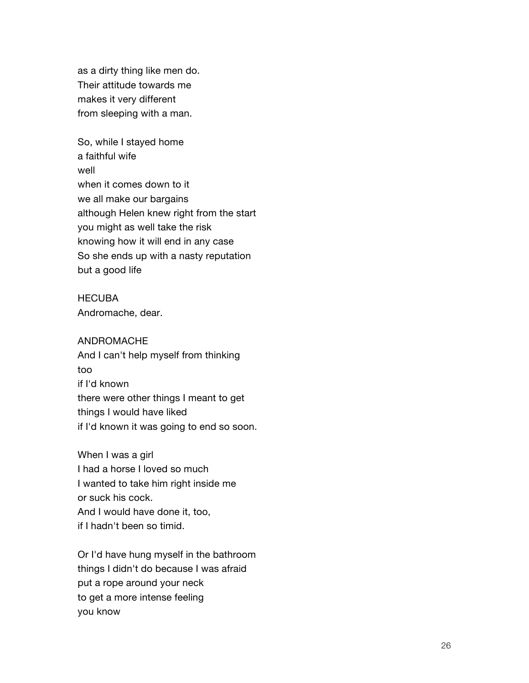as a dirty thing like men do. Their attitude towards me makes it very different from sleeping with a man.

So, while I stayed home a faithful wife well when it comes down to it we all make our bargains although Helen knew right from the start you might as well take the risk knowing how it will end in any case So she ends up with a nasty reputation but a good life

**HECUBA** Andromache, dear.

#### ANDROMACHE

And I can't help myself from thinking too if I'd known there were other things I meant to get things I would have liked if I'd known it was going to end so soon.

When I was a girl I had a horse I loved so much I wanted to take him right inside me or suck his cock. And I would have done it, too, if I hadn't been so timid.

Or I'd have hung myself in the bathroom things I didn't do because I was afraid put a rope around your neck to get a more intense feeling you know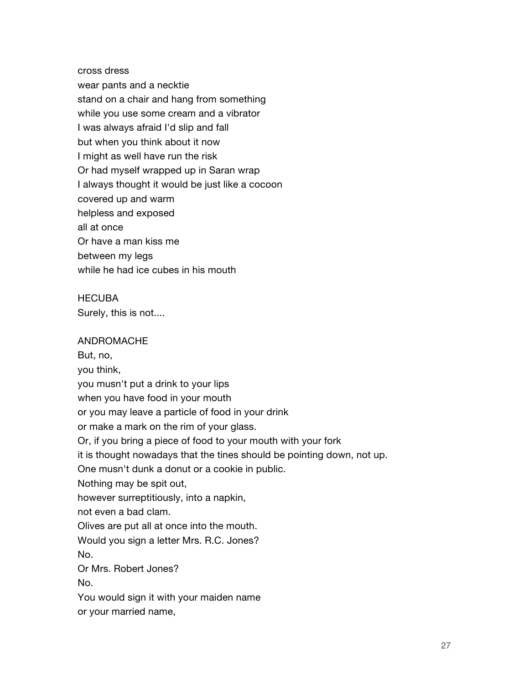cross dress wear pants and a necktie stand on a chair and hang from something while you use some cream and a vibrator I was always afraid I'd slip and fall but when you think about it now I might as well have run the risk Or had myself wrapped up in Saran wrap I always thought it would be just like a cocoon covered up and warm helpless and exposed all at once Or have a man kiss me between my legs while he had ice cubes in his mouth

## **HECUBA** Surely, this is not....

#### ANDROMACHE

But, no, you think, you musn't put a drink to your lips when you have food in your mouth or you may leave a particle of food in your drink or make a mark on the rim of your glass. Or, if you bring a piece of food to your mouth with your fork it is thought nowadays that the tines should be pointing down, not up. One musn't dunk a donut or a cookie in public. Nothing may be spit out, however surreptitiously, into a napkin, not even a bad clam. Olives are put all at once into the mouth. Would you sign a letter Mrs. R.C. Jones? No. Or Mrs. Robert Jones? No. You would sign it with your maiden name or your married name,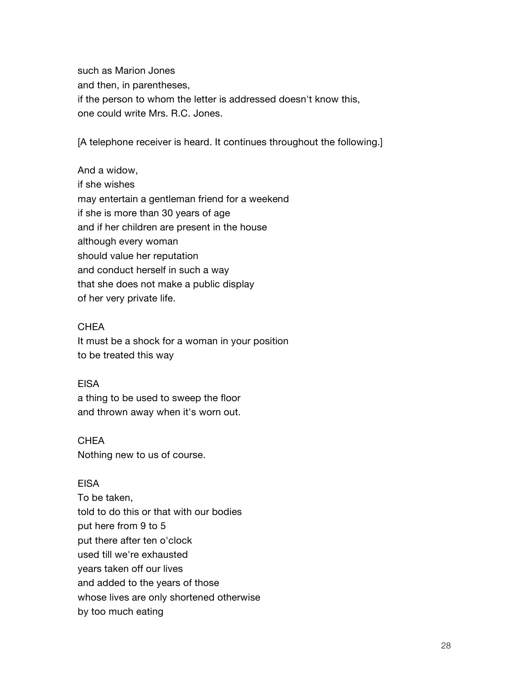such as Marion Jones and then, in parentheses, if the person to whom the letter is addressed doesn't know this, one could write Mrs. R.C. Jones.

[A telephone receiver is heard. It continues throughout the following.]

And a widow, if she wishes may entertain a gentleman friend for a weekend if she is more than 30 years of age and if her children are present in the house although every woman should value her reputation and conduct herself in such a way that she does not make a public display of her very private life.

## **CHEA**

It must be a shock for a woman in your position to be treated this way

## EISA

a thing to be used to sweep the floor and thrown away when it's worn out.

#### **CHEA**

Nothing new to us of course.

#### EISA

To be taken, told to do this or that with our bodies put here from 9 to 5 put there after ten o'clock used till we're exhausted years taken off our lives and added to the years of those whose lives are only shortened otherwise by too much eating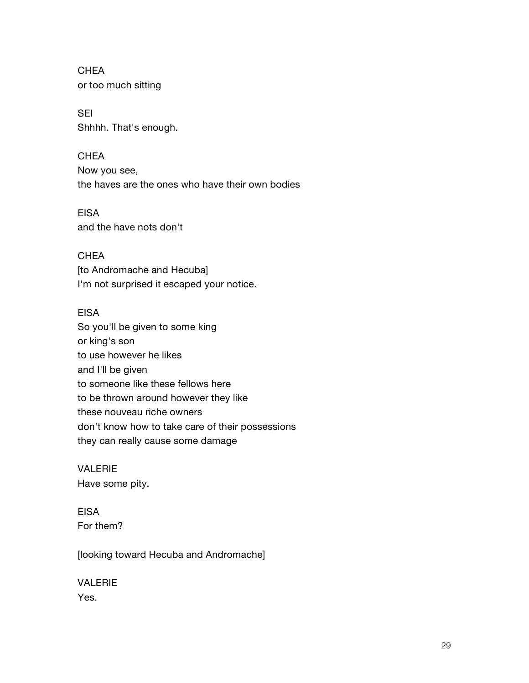**CHEA** or too much sitting

SEI Shhhh. That's enough.

**CHEA** Now you see, the haves are the ones who have their own bodies

EISA and the have nots don't

**CHEA** [to Andromache and Hecuba] I'm not surprised it escaped your notice.

#### EISA

So you'll be given to some king or king's son to use however he likes and I'll be given to someone like these fellows here to be thrown around however they like these nouveau riche owners don't know how to take care of their possessions they can really cause some damage

VALERIE Have some pity.

EISA For them?

[looking toward Hecuba and Andromache]

VALERIE Yes.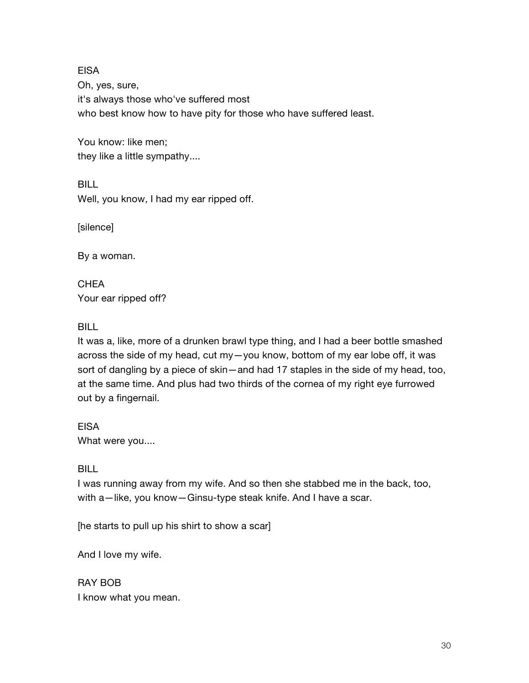EISA Oh, yes, sure, it's always those who've suffered most who best know how to have pity for those who have suffered least.

You know: like men; they like a little sympathy....

**BILL** Well, you know, I had my ear ripped off.

[silence]

By a woman.

**CHEA** Your ear ripped off?

## BILL

It was a, like, more of a drunken brawl type thing, and I had a beer bottle smashed across the side of my head, cut my—you know, bottom of my ear lobe off, it was sort of dangling by a piece of skin—and had 17 staples in the side of my head, too, at the same time. And plus had two thirds of the cornea of my right eye furrowed out by a fingernail.

EISA What were you....

BILL

I was running away from my wife. And so then she stabbed me in the back, too, with a—like, you know—Ginsu-type steak knife. And I have a scar.

[he starts to pull up his shirt to show a scar]

And I love my wife.

RAY BOB I know what you mean.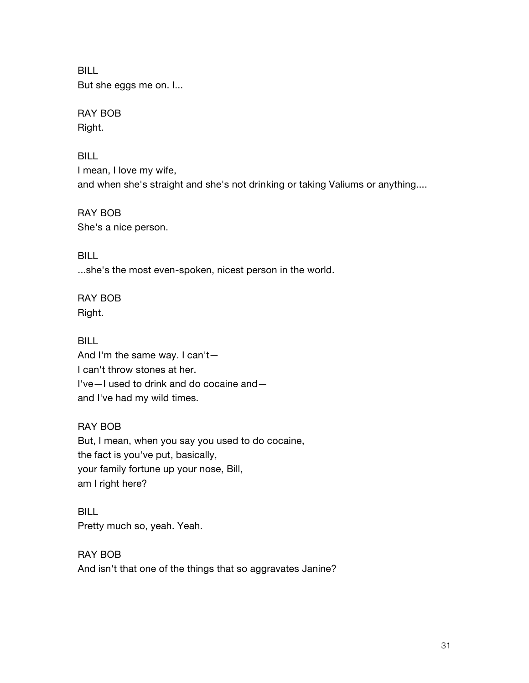BILL But she eggs me on. I...

RAY BOB Right.

BILL I mean, I love my wife, and when she's straight and she's not drinking or taking Valiums or anything....

RAY BOB She's a nice person.

BILL ...she's the most even-spoken, nicest person in the world.

RAY BOB Right.

# BILL And I'm the same way. I can't— I can't throw stones at her. I've—I used to drink and do cocaine and and I've had my wild times.

## RAY BOB

But, I mean, when you say you used to do cocaine, the fact is you've put, basically, your family fortune up your nose, Bill, am I right here?

BILL Pretty much so, yeah. Yeah.

RAY BOB And isn't that one of the things that so aggravates Janine?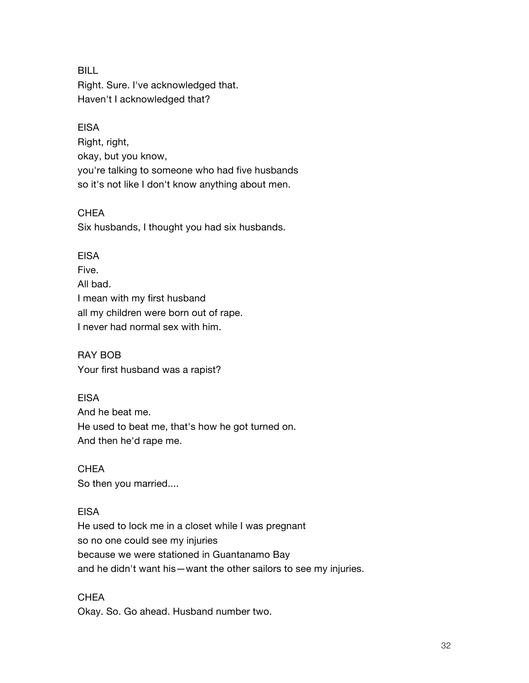BILL

Right. Sure. I've acknowledged that. Haven't I acknowledged that?

## EISA

Right, right, okay, but you know, you're talking to someone who had five husbands so it's not like I don't know anything about men.

## **CHEA**

Six husbands, I thought you had six husbands.

## EISA

Five. All bad. I mean with my first husband all my children were born out of rape. I never had normal sex with him.

RAY BOB Your first husband was a rapist?

# EISA And he beat me. He used to beat me, that's how he got turned on. And then he'd rape me.

**CHEA** So then you married....

## EISA

He used to lock me in a closet while I was pregnant so no one could see my injuries because we were stationed in Guantanamo Bay and he didn't want his—want the other sailors to see my injuries.

**CHEA** Okay. So. Go ahead. Husband number two.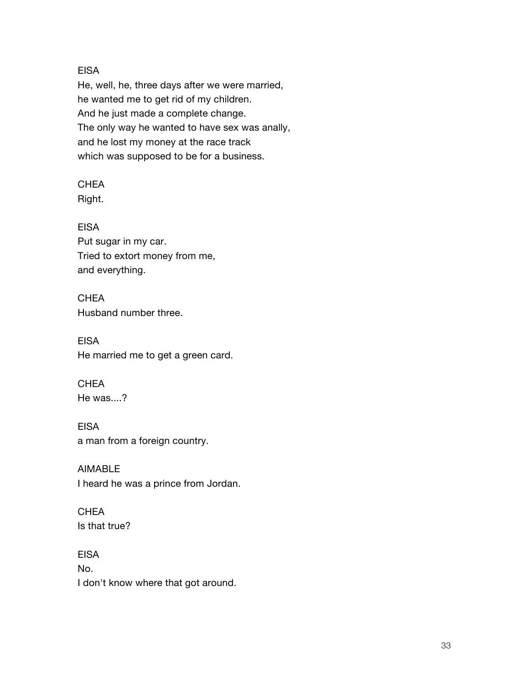#### EISA

He, well, he, three days after we were married, he wanted me to get rid of my children. And he just made a complete change. The only way he wanted to have sex was anally, and he lost my money at the race track which was supposed to be for a business.

## **CHEA**

Right.

## EISA

Put sugar in my car. Tried to extort money from me, and everything.

## **CHEA**

Husband number three.

EISA He married me to get a green card.

# **CHEA**

He was....?

## EISA a man from a foreign country.

AIMABLE I heard he was a prince from Jordan.

## **CHEA** Is that true?

EISA No. I don't know where that got around.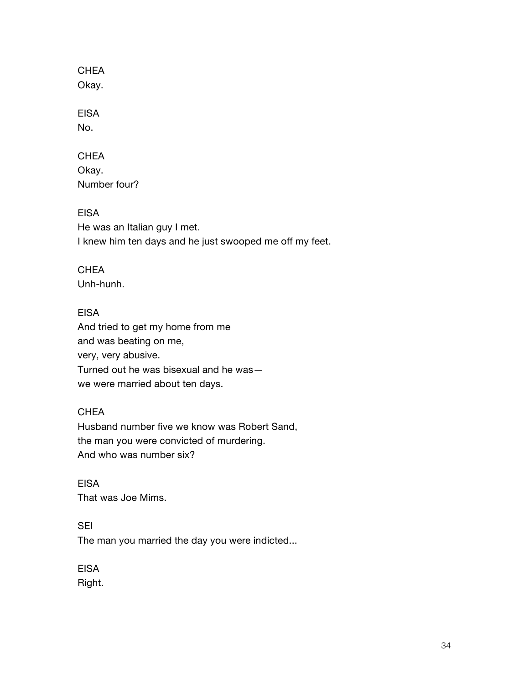**CHEA** Okay.

## EISA

No.

## **CHEA** Okay.

Number four?

## EISA

He was an Italian guy I met. I knew him ten days and he just swooped me off my feet.

# **CHEA**

Unh-hunh.

# EISA

And tried to get my home from me and was beating on me, very, very abusive. Turned out he was bisexual and he was we were married about ten days.

# **CHEA**

Husband number five we know was Robert Sand, the man you were convicted of murdering. And who was number six?

EISA That was Joe Mims.

# SEI

The man you married the day you were indicted...

# EISA

Right.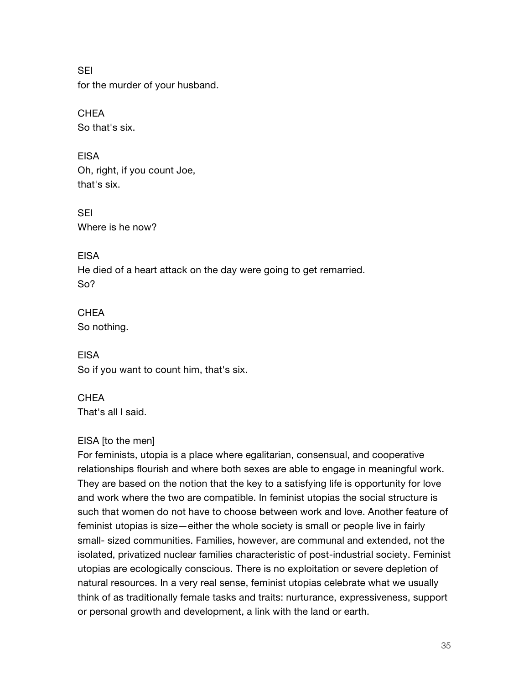SEI for the murder of your husband.

**CHEA** So that's six.

EISA Oh, right, if you count Joe, that's six.

**SEI** Where is he now?

EISA He died of a heart attack on the day were going to get remarried. So?

**CHEA** So nothing.

EISA So if you want to count him, that's six.

**CHEA** That's all I said.

## EISA [to the men]

For feminists, utopia is a place where egalitarian, consensual, and cooperative relationships flourish and where both sexes are able to engage in meaningful work. They are based on the notion that the key to a satisfying life is opportunity for love and work where the two are compatible. In feminist utopias the social structure is such that women do not have to choose between work and love. Another feature of feminist utopias is size—either the whole society is small or people live in fairly small- sized communities. Families, however, are communal and extended, not the isolated, privatized nuclear families characteristic of post-industrial society. Feminist utopias are ecologically conscious. There is no exploitation or severe depletion of natural resources. In a very real sense, feminist utopias celebrate what we usually think of as traditionally female tasks and traits: nurturance, expressiveness, support or personal growth and development, a link with the land or earth.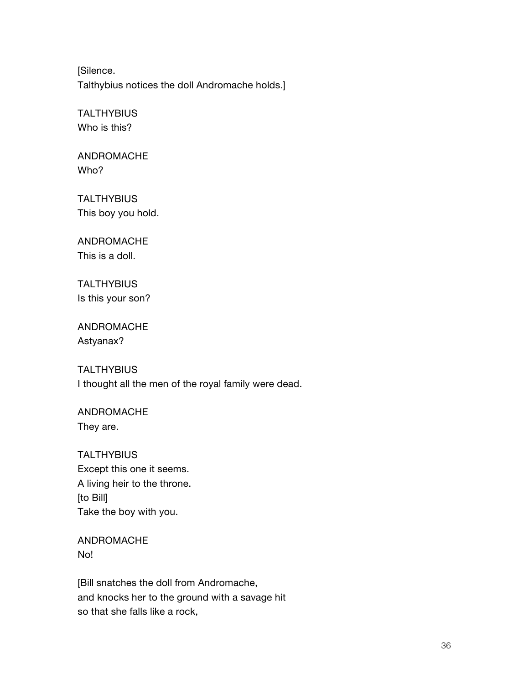[Silence. Talthybius notices the doll Andromache holds.]

**TALTHYBIUS** Who is this?

ANDROMACHE Who?

**TALTHYBIUS** This boy you hold.

ANDROMACHE This is a doll.

**TALTHYBIUS** Is this your son?

ANDROMACHE Astyanax?

**TALTHYBIUS** I thought all the men of the royal family were dead.

ANDROMACHE They are.

**TALTHYBIUS** Except this one it seems. A living heir to the throne. [to Bill] Take the boy with you.

ANDROMACHE No!

[Bill snatches the doll from Andromache, and knocks her to the ground with a savage hit so that she falls like a rock,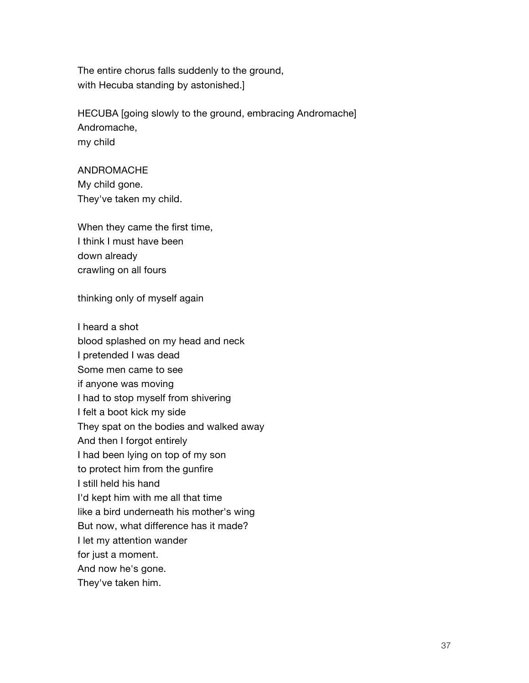The entire chorus falls suddenly to the ground, with Hecuba standing by astonished.]

HECUBA [going slowly to the ground, embracing Andromache] Andromache, my child

ANDROMACHE My child gone. They've taken my child.

When they came the first time, I think I must have been down already crawling on all fours

thinking only of myself again

I heard a shot blood splashed on my head and neck I pretended I was dead Some men came to see if anyone was moving I had to stop myself from shivering I felt a boot kick my side They spat on the bodies and walked away And then I forgot entirely I had been lying on top of my son to protect him from the gunfire I still held his hand I'd kept him with me all that time like a bird underneath his mother's wing But now, what difference has it made? I let my attention wander for just a moment. And now he's gone. They've taken him.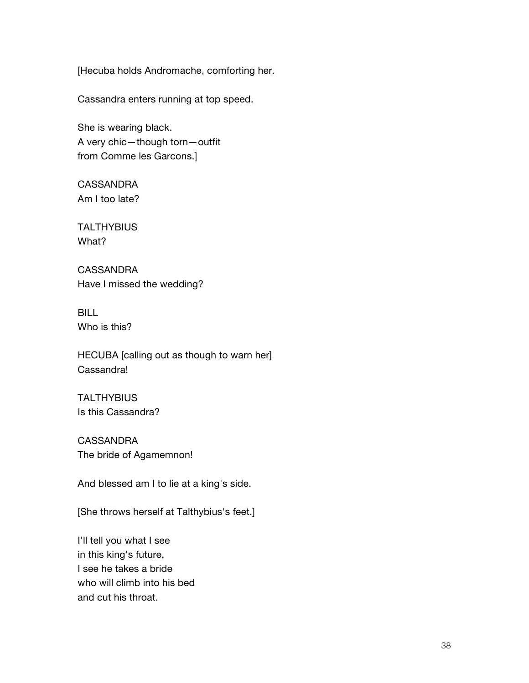[Hecuba holds Andromache, comforting her.

Cassandra enters running at top speed.

She is wearing black. A very chic—though torn—outfit from Comme les Garcons.]

CASSANDRA Am I too late?

**TALTHYBIUS** What?

CASSANDRA Have I missed the wedding?

BILL Who is this?

HECUBA [calling out as though to warn her] Cassandra!

**TALTHYBIUS** Is this Cassandra?

CASSANDRA The bride of Agamemnon!

And blessed am I to lie at a king's side.

[She throws herself at Talthybius's feet.]

I'll tell you what I see in this king's future, I see he takes a bride who will climb into his bed and cut his throat.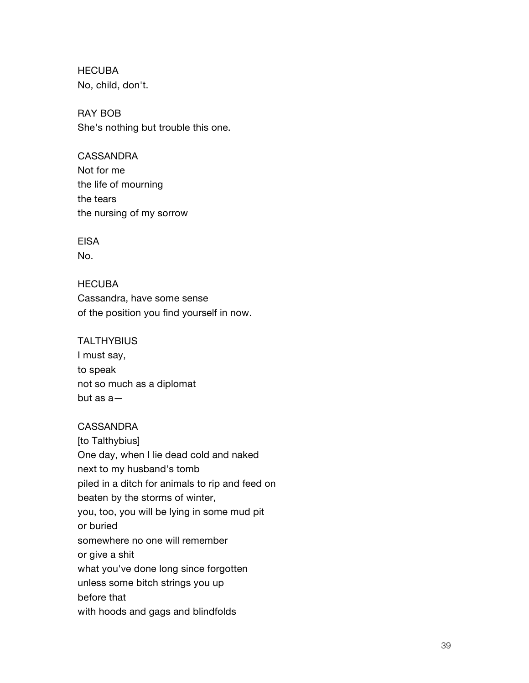**HECUBA** No, child, don't.

RAY BOB She's nothing but trouble this one.

#### **CASSANDRA**

Not for me the life of mourning the tears the nursing of my sorrow

EISA

No.

**HECUBA** Cassandra, have some sense of the position you find yourself in now.

**TALTHYBIUS** 

I must say, to speak not so much as a diplomat but as a—

#### **CASSANDRA**

[to Talthybius] One day, when I lie dead cold and naked next to my husband's tomb piled in a ditch for animals to rip and feed on beaten by the storms of winter, you, too, you will be lying in some mud pit or buried somewhere no one will remember or give a shit what you've done long since forgotten unless some bitch strings you up before that with hoods and gags and blindfolds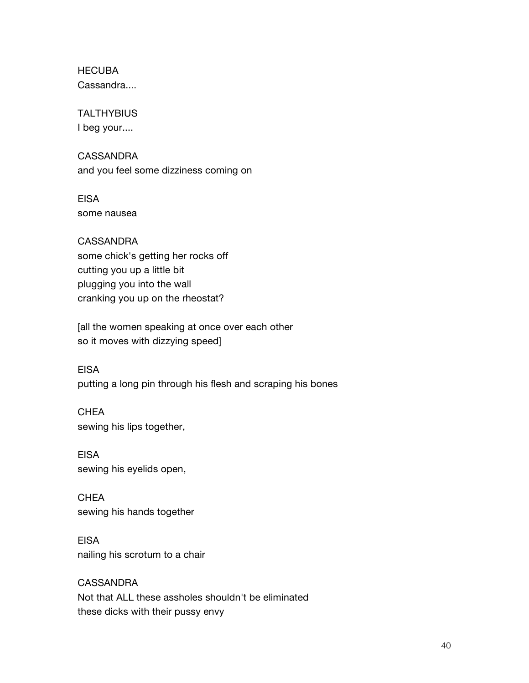**HECUBA** Cassandra....

**TALTHYBIUS** 

I beg your....

**CASSANDRA** and you feel some dizziness coming on

EISA some nausea

**CASSANDRA** some chick's getting her rocks off cutting you up a little bit plugging you into the wall cranking you up on the rheostat?

[all the women speaking at once over each other so it moves with dizzying speed]

EISA putting a long pin through his flesh and scraping his bones

**CHEA** sewing his lips together,

EISA sewing his eyelids open,

**CHEA** sewing his hands together

EISA nailing his scrotum to a chair

CASSANDRA Not that ALL these assholes shouldn't be eliminated these dicks with their pussy envy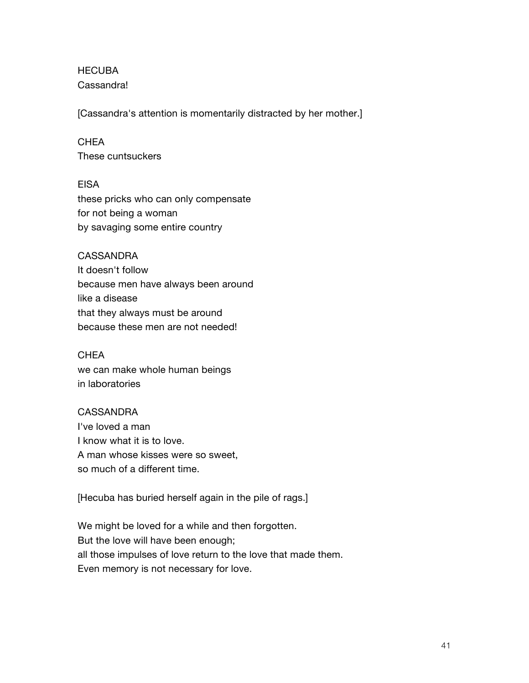**HECUBA** Cassandra!

[Cassandra's attention is momentarily distracted by her mother.]

# **CHEA** These cuntsuckers

EISA these pricks who can only compensate for not being a woman by savaging some entire country

# **CASSANDRA** It doesn't follow because men have always been around like a disease that they always must be around because these men are not needed!

**CHEA** we can make whole human beings in laboratories

**CASSANDRA** I've loved a man I know what it is to love. A man whose kisses were so sweet, so much of a different time.

[Hecuba has buried herself again in the pile of rags.]

We might be loved for a while and then forgotten. But the love will have been enough; all those impulses of love return to the love that made them. Even memory is not necessary for love.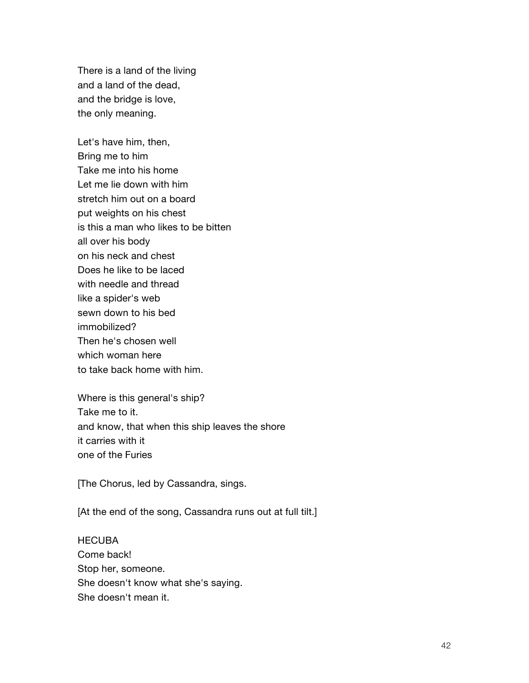There is a land of the living and a land of the dead, and the bridge is love, the only meaning.

Let's have him, then, Bring me to him Take me into his home Let me lie down with him stretch him out on a board put weights on his chest is this a man who likes to be bitten all over his body on his neck and chest Does he like to be laced with needle and thread like a spider's web sewn down to his bed immobilized? Then he's chosen well which woman here to take back home with him.

Where is this general's ship? Take me to it. and know, that when this ship leaves the shore it carries with it one of the Furies

[The Chorus, led by Cassandra, sings.

[At the end of the song, Cassandra runs out at full tilt.]

**HECUBA** Come back! Stop her, someone. She doesn't know what she's saying. She doesn't mean it.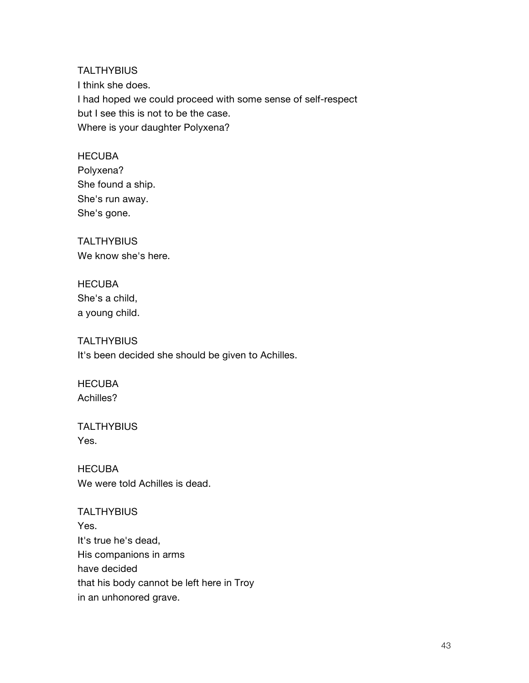**TALTHYBIUS** I think she does. I had hoped we could proceed with some sense of self-respect but I see this is not to be the case. Where is your daughter Polyxena?

| <b>HECUBA</b>     |  |  |
|-------------------|--|--|
| Polyxena?         |  |  |
| She found a ship. |  |  |
| She's run away.   |  |  |
| She's gone.       |  |  |

**TALTHYBIUS** We know she's here.

**HECUBA** She's a child, a young child.

**TALTHYBIUS** It's been decided she should be given to Achilles.

HECUBA Achilles?

**TALTHYBIUS** Yes.

**HECUBA** We were told Achilles is dead.

**TALTHYBIUS** Yes. It's true he's dead, His companions in arms have decided that his body cannot be left here in Troy in an unhonored grave.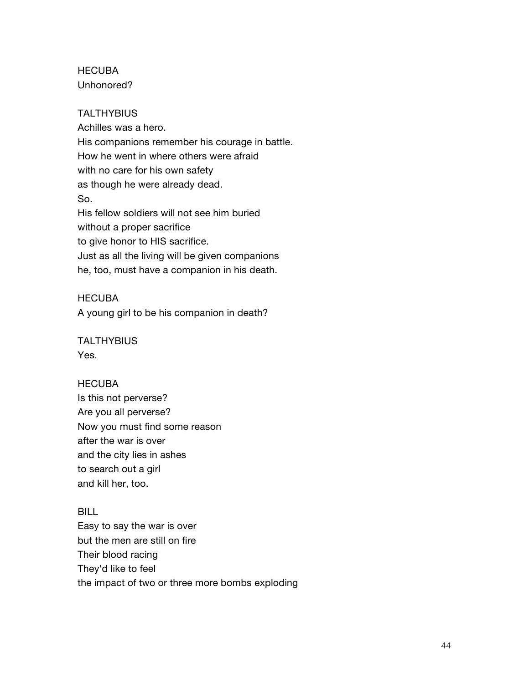# **HECUBA** Unhonored?

# **TALTHYBIUS**

Achilles was a hero. His companions remember his courage in battle. How he went in where others were afraid with no care for his own safety as though he were already dead. So. His fellow soldiers will not see him buried without a proper sacrifice to give honor to HIS sacrifice. Just as all the living will be given companions he, too, must have a companion in his death.

# **HECUBA**

A young girl to be his companion in death?

# **TALTHYBIUS**

Yes.

# **HECUBA**

Is this not perverse? Are you all perverse? Now you must find some reason after the war is over and the city lies in ashes to search out a girl and kill her, too.

# BILL

Easy to say the war is over but the men are still on fire Their blood racing They'd like to feel the impact of two or three more bombs exploding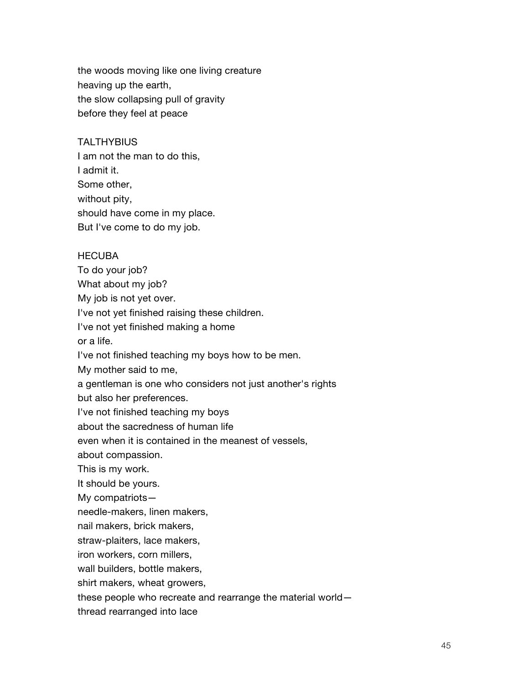the woods moving like one living creature heaving up the earth, the slow collapsing pull of gravity before they feel at peace

#### **TALTHYBIUS**

I am not the man to do this, I admit it. Some other, without pity, should have come in my place. But I've come to do my job.

#### **HECUBA**

To do your job? What about my job? My job is not yet over. I've not yet finished raising these children. I've not yet finished making a home or a life. I've not finished teaching my boys how to be men. My mother said to me, a gentleman is one who considers not just another's rights but also her preferences. I've not finished teaching my boys about the sacredness of human life even when it is contained in the meanest of vessels, about compassion. This is my work. It should be yours. My compatriots needle-makers, linen makers, nail makers, brick makers, straw-plaiters, lace makers, iron workers, corn millers, wall builders, bottle makers, shirt makers, wheat growers, these people who recreate and rearrange the material world thread rearranged into lace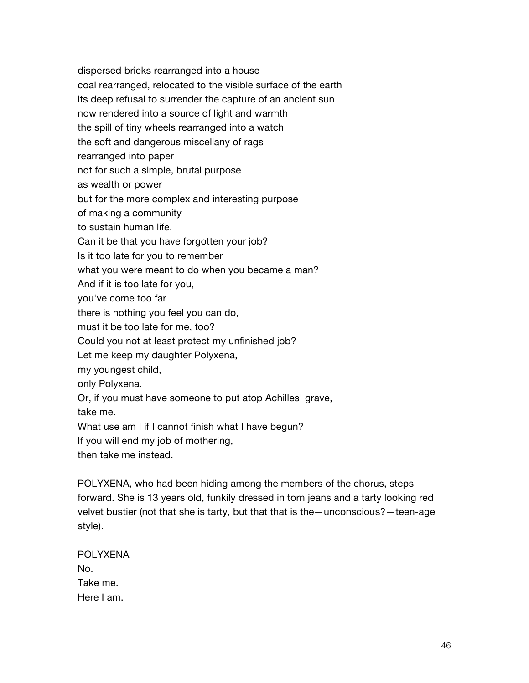dispersed bricks rearranged into a house coal rearranged, relocated to the visible surface of the earth its deep refusal to surrender the capture of an ancient sun now rendered into a source of light and warmth the spill of tiny wheels rearranged into a watch the soft and dangerous miscellany of rags rearranged into paper not for such a simple, brutal purpose as wealth or power but for the more complex and interesting purpose of making a community to sustain human life. Can it be that you have forgotten your job? Is it too late for you to remember what you were meant to do when you became a man? And if it is too late for you, you've come too far there is nothing you feel you can do, must it be too late for me, too? Could you not at least protect my unfinished job? Let me keep my daughter Polyxena, my youngest child, only Polyxena. Or, if you must have someone to put atop Achilles' grave, take me. What use am I if I cannot finish what I have begun? If you will end my job of mothering, then take me instead.

POLYXENA, who had been hiding among the members of the chorus, steps forward. She is 13 years old, funkily dressed in torn jeans and a tarty looking red velvet bustier (not that she is tarty, but that that is the—unconscious?—teen-age style).

# POLYXENA No. Take me. Here I am.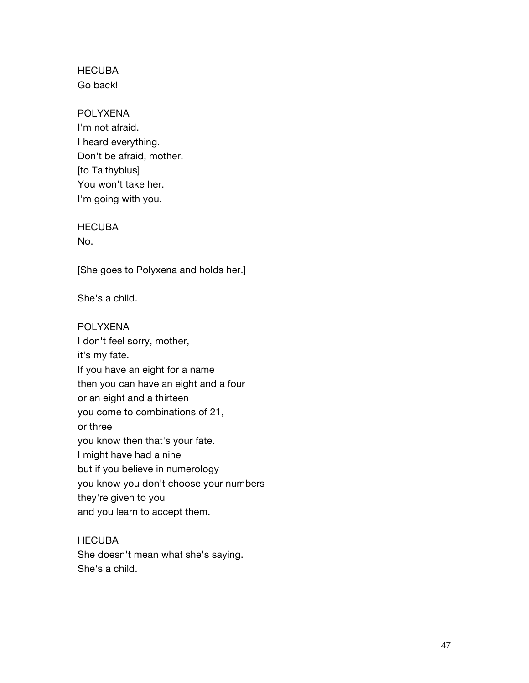**HECUBA** Go back!

### POLYXENA

I'm not afraid. I heard everything. Don't be afraid, mother. [to Talthybius] You won't take her. I'm going with you.

**HECUBA** 

No.

[She goes to Polyxena and holds her.]

She's a child.

POLYXENA I don't feel sorry, mother, it's my fate. If you have an eight for a name then you can have an eight and a four or an eight and a thirteen you come to combinations of 21, or three you know then that's your fate. I might have had a nine but if you believe in numerology you know you don't choose your numbers they're given to you and you learn to accept them.

# **HECUBA**

She doesn't mean what she's saying. She's a child.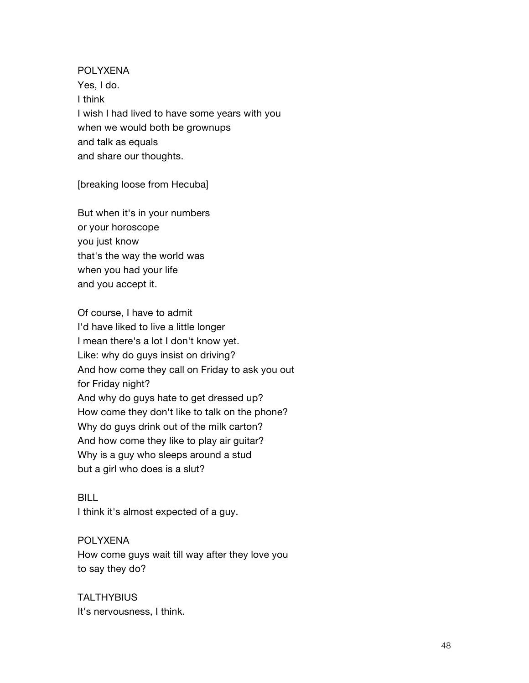POLYXENA Yes, I do. I think I wish I had lived to have some years with you when we would both be grownups and talk as equals and share our thoughts.

[breaking loose from Hecuba]

But when it's in your numbers or your horoscope you just know that's the way the world was when you had your life and you accept it.

Of course, I have to admit I'd have liked to live a little longer I mean there's a lot I don't know yet. Like: why do guys insist on driving? And how come they call on Friday to ask you out for Friday night? And why do guys hate to get dressed up? How come they don't like to talk on the phone? Why do guys drink out of the milk carton? And how come they like to play air guitar? Why is a guy who sleeps around a stud but a girl who does is a slut?

BILL I think it's almost expected of a guy.

POLYXENA

How come guys wait till way after they love you to say they do?

**TALTHYBIUS** It's nervousness, I think.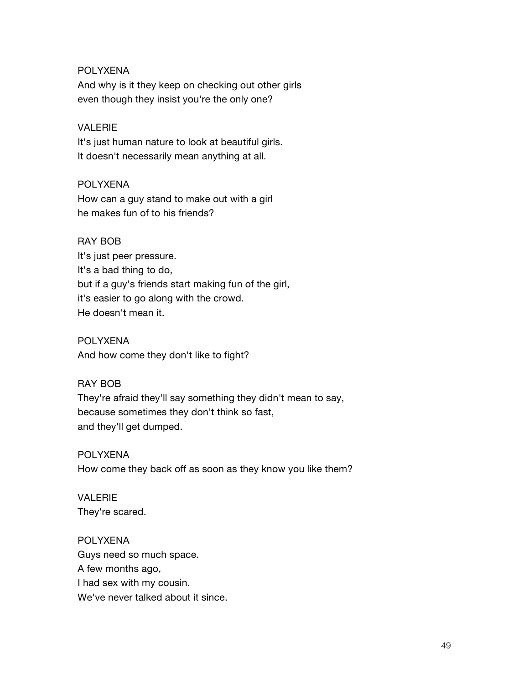# POLYXENA

And why is it they keep on checking out other girls even though they insist you're the only one?

# VALERIE

It's just human nature to look at beautiful girls. It doesn't necessarily mean anything at all.

# POLYXENA

How can a guy stand to make out with a girl he makes fun of to his friends?

# RAY BOB

It's just peer pressure. It's a bad thing to do, but if a guy's friends start making fun of the girl, it's easier to go along with the crowd. He doesn't mean it.

POLYXENA And how come they don't like to fight?

#### RAY BOB

They're afraid they'll say something they didn't mean to say, because sometimes they don't think so fast, and they'll get dumped.

POLYXENA How come they back off as soon as they know you like them?

VALERIE They're scared.

POLYXENA Guys need so much space. A few months ago, I had sex with my cousin. We've never talked about it since.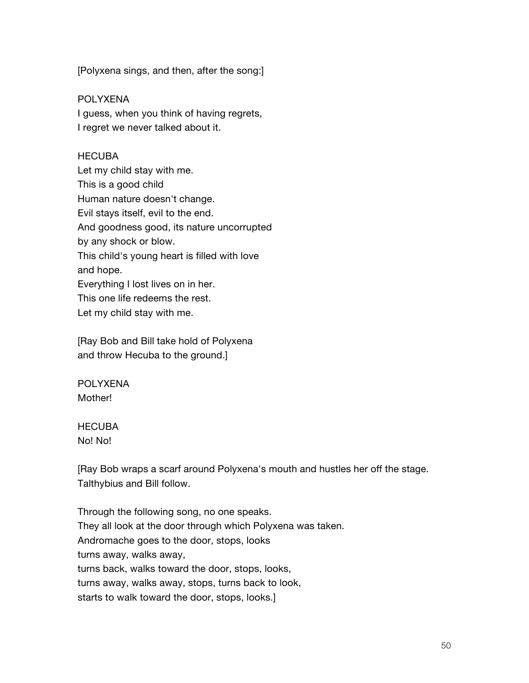[Polyxena sings, and then, after the song:]

POLYXENA I guess, when you think of having regrets, I regret we never talked about it.

### **HECUBA**

Let my child stay with me. This is a good child Human nature doesn't change. Evil stays itself, evil to the end. And goodness good, its nature uncorrupted by any shock or blow. This child's young heart is filled with love and hope. Everything I lost lives on in her. This one life redeems the rest. Let my child stay with me.

[Ray Bob and Bill take hold of Polyxena and throw Hecuba to the ground.]

POLYXENA Mother!

# **HECUBA**

No! No!

[Ray Bob wraps a scarf around Polyxena's mouth and hustles her off the stage. Talthybius and Bill follow.

Through the following song, no one speaks. They all look at the door through which Polyxena was taken. Andromache goes to the door, stops, looks turns away, walks away, turns back, walks toward the door, stops, looks, turns away, walks away, stops, turns back to look, starts to walk toward the door, stops, looks.]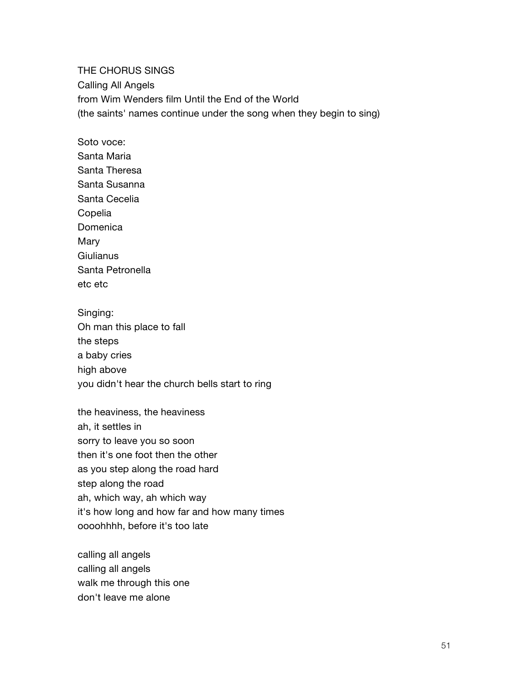THE CHORUS SINGS Calling All Angels from Wim Wenders film Until the End of the World (the saints' names continue under the song when they begin to sing)

Soto voce: Santa Maria Santa Theresa Santa Susanna Santa Cecelia Copelia **Domenica** Mary **Giulianus** Santa Petronella etc etc

Singing: Oh man this place to fall the steps a baby cries high above you didn't hear the church bells start to ring

the heaviness, the heaviness ah, it settles in sorry to leave you so soon then it's one foot then the other as you step along the road hard step along the road ah, which way, ah which way it's how long and how far and how many times oooohhhh, before it's too late

calling all angels calling all angels walk me through this one don't leave me alone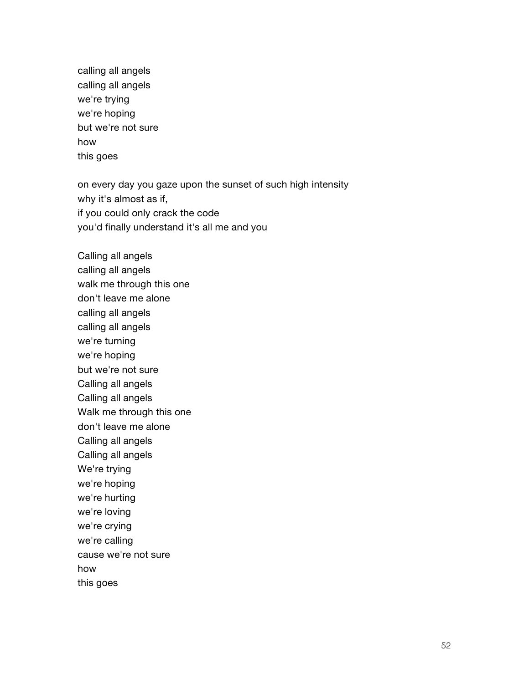calling all angels calling all angels we're trying we're hoping but we're not sure how this goes

on every day you gaze upon the sunset of such high intensity why it's almost as if, if you could only crack the code you'd finally understand it's all me and you

Calling all angels calling all angels walk me through this one don't leave me alone calling all angels calling all angels we're turning we're hoping but we're not sure Calling all angels Calling all angels Walk me through this one don't leave me alone Calling all angels Calling all angels We're trying we're hoping we're hurting we're loving we're crying we're calling cause we're not sure how this goes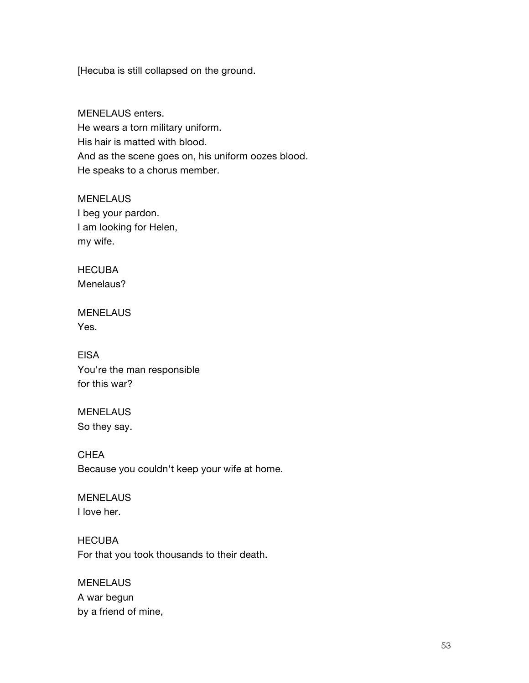[Hecuba is still collapsed on the ground.

MENELAUS enters. He wears a torn military uniform. His hair is matted with blood. And as the scene goes on, his uniform oozes blood. He speaks to a chorus member.

**MENELAUS** I beg your pardon. I am looking for Helen, my wife.

**HECUBA** Menelaus?

**MENELAUS** Yes.

EISA You're the man responsible for this war?

# **MENELAUS** So they say.

**CHEA** Because you couldn't keep your wife at home.

#### **MENELAUS** I love her.

**HECUBA** 

For that you took thousands to their death.

**MENELAUS** A war begun by a friend of mine,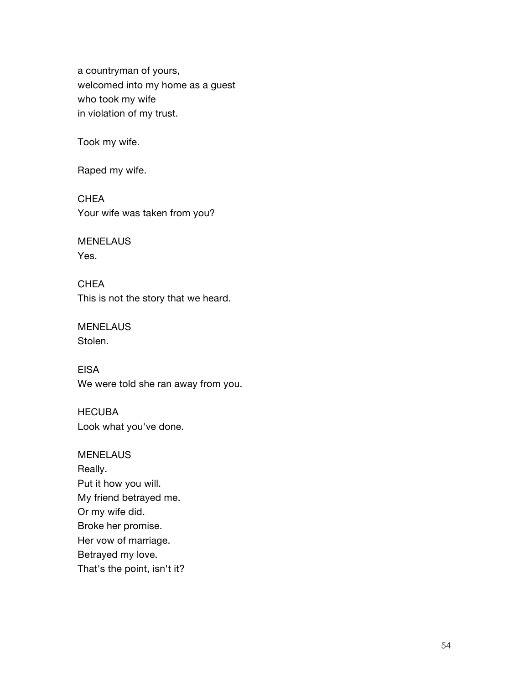a countryman of yours, welcomed into my home as a guest who took my wife in violation of my trust.

Took my wife.

Raped my wife.

**CHEA** Your wife was taken from you?

**MENELAUS** Yes.

**CHEA** This is not the story that we heard.

**MENELAUS** Stolen.

EISA We were told she ran away from you.

**HECUBA** Look what you've done.

**MENELAUS** Really. Put it how you will. My friend betrayed me. Or my wife did. Broke her promise. Her vow of marriage. Betrayed my love. That's the point, isn't it?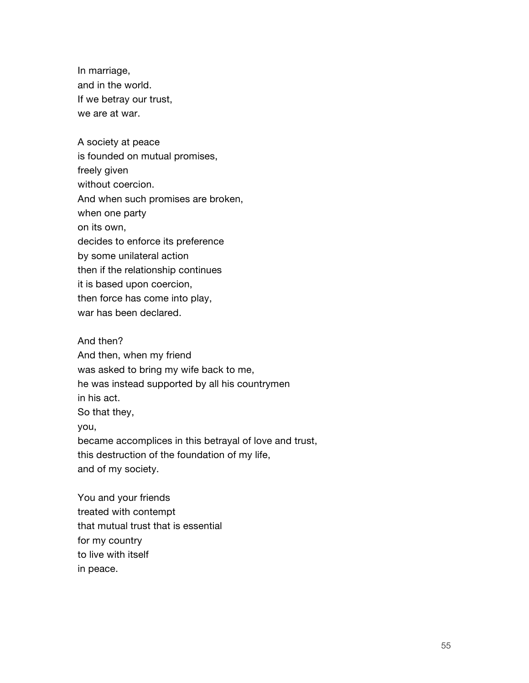In marriage, and in the world. If we betray our trust, we are at war.

A society at peace is founded on mutual promises, freely given without coercion. And when such promises are broken, when one party on its own, decides to enforce its preference by some unilateral action then if the relationship continues it is based upon coercion, then force has come into play, war has been declared.

#### And then?

And then, when my friend was asked to bring my wife back to me, he was instead supported by all his countrymen in his act. So that they, you, became accomplices in this betrayal of love and trust, this destruction of the foundation of my life, and of my society.

You and your friends treated with contempt that mutual trust that is essential for my country to live with itself in peace.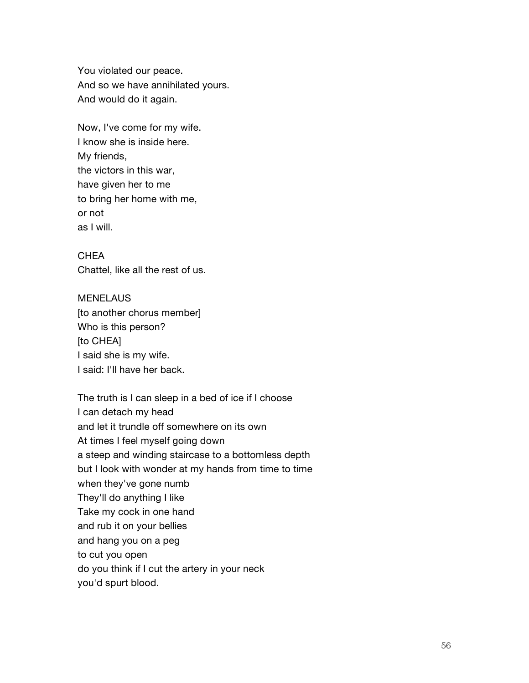You violated our peace. And so we have annihilated yours. And would do it again.

Now, I've come for my wife. I know she is inside here. My friends, the victors in this war, have given her to me to bring her home with me, or not as I will.

**CHEA** Chattel, like all the rest of us.

**MENELAUS** [to another chorus member] Who is this person? [to CHEA] I said she is my wife. I said: I'll have her back.

The truth is I can sleep in a bed of ice if I choose I can detach my head and let it trundle off somewhere on its own At times I feel myself going down a steep and winding staircase to a bottomless depth but I look with wonder at my hands from time to time when they've gone numb They'll do anything I like Take my cock in one hand and rub it on your bellies and hang you on a peg to cut you open do you think if I cut the artery in your neck you'd spurt blood.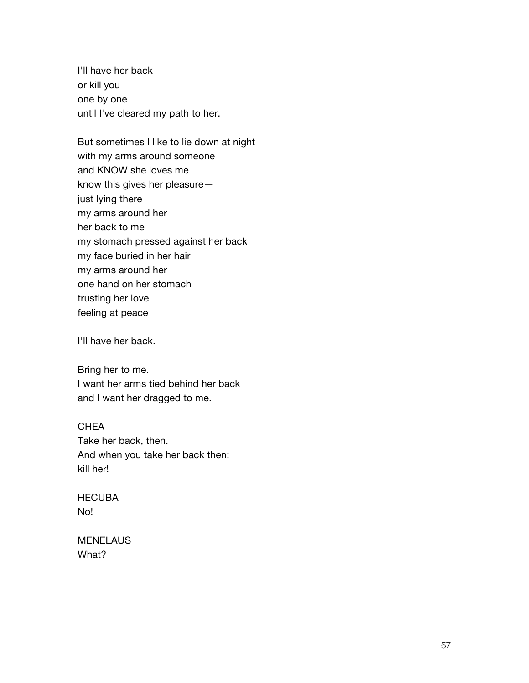I'll have her back or kill you one by one until I've cleared my path to her.

But sometimes I like to lie down at night with my arms around someone and KNOW she loves me know this gives her pleasure just lying there my arms around her her back to me my stomach pressed against her back my face buried in her hair my arms around her one hand on her stomach trusting her love feeling at peace

I'll have her back.

Bring her to me. I want her arms tied behind her back and I want her dragged to me.

**CHEA** Take her back, then. And when you take her back then: kill her!

**HECUBA** No!

**MENELAUS** What?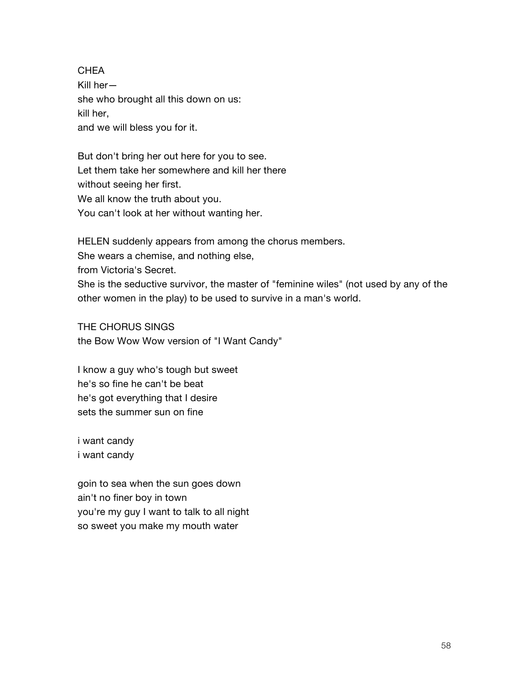**CHEA** Kill her she who brought all this down on us: kill her, and we will bless you for it.

But don't bring her out here for you to see. Let them take her somewhere and kill her there without seeing her first. We all know the truth about you. You can't look at her without wanting her.

HELEN suddenly appears from among the chorus members.

She wears a chemise, and nothing else,

from Victoria's Secret.

She is the seductive survivor, the master of "feminine wiles" (not used by any of the other women in the play) to be used to survive in a man's world.

THE CHORUS SINGS the Bow Wow Wow version of "I Want Candy"

I know a guy who's tough but sweet he's so fine he can't be beat he's got everything that I desire sets the summer sun on fine

i want candy i want candy

goin to sea when the sun goes down ain't no finer boy in town you're my guy I want to talk to all night so sweet you make my mouth water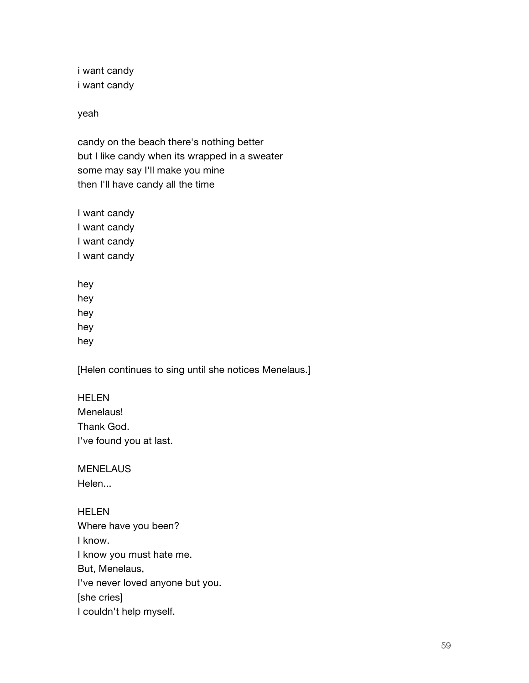i want candy i want candy

yeah

candy on the beach there's nothing better but I like candy when its wrapped in a sweater some may say I'll make you mine then I'll have candy all the time

I want candy I want candy I want candy I want candy

hey hey hey hey hey

[Helen continues to sing until she notices Menelaus.]

**HELEN** Menelaus! Thank God. I've found you at last.

**MENELAUS** Helen...

HELEN Where have you been? I know. I know you must hate me. But, Menelaus, I've never loved anyone but you. [she cries] I couldn't help myself.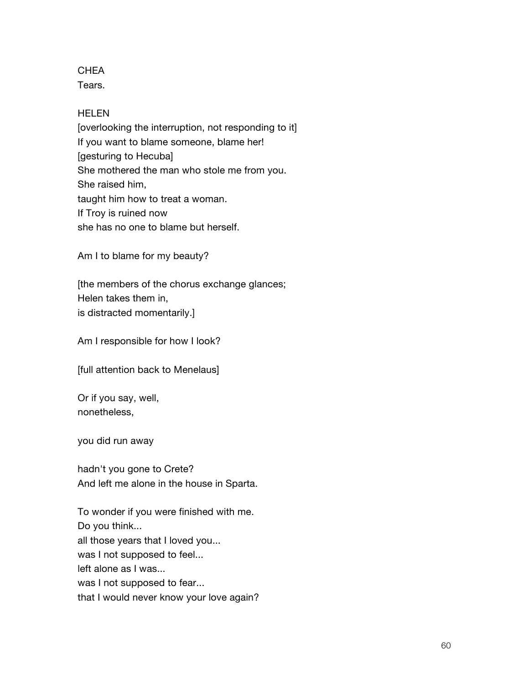# **CHEA**

Tears.

# HELEN

[overlooking the interruption, not responding to it] If you want to blame someone, blame her! [gesturing to Hecuba] She mothered the man who stole me from you. She raised him, taught him how to treat a woman. If Troy is ruined now she has no one to blame but herself.

Am I to blame for my beauty?

[the members of the chorus exchange glances; Helen takes them in, is distracted momentarily.]

Am I responsible for how I look?

[full attention back to Menelaus]

Or if you say, well, nonetheless,

you did run away

hadn't you gone to Crete? And left me alone in the house in Sparta.

To wonder if you were finished with me. Do you think... all those years that I loved you... was I not supposed to feel... left alone as I was... was I not supposed to fear... that I would never know your love again?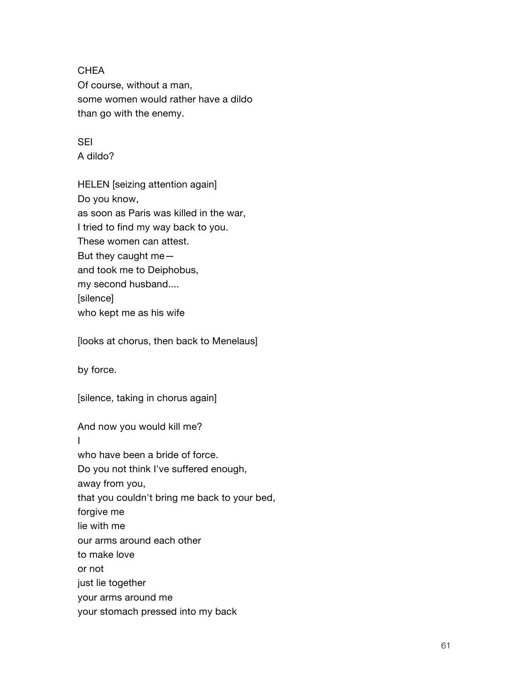## **CHEA**

Of course, without a man, some women would rather have a dildo than go with the enemy.

# SEI A dildo?

HELEN [seizing attention again] Do you know, as soon as Paris was killed in the war, I tried to find my way back to you. These women can attest. But they caught me and took me to Deiphobus, my second husband.... [silence] who kept me as his wife

[looks at chorus, then back to Menelaus]

by force.

[silence, taking in chorus again]

And now you would kill me? I who have been a bride of force. Do you not think I've suffered enough, away from you, that you couldn't bring me back to your bed, forgive me lie with me our arms around each other to make love or not just lie together your arms around me your stomach pressed into my back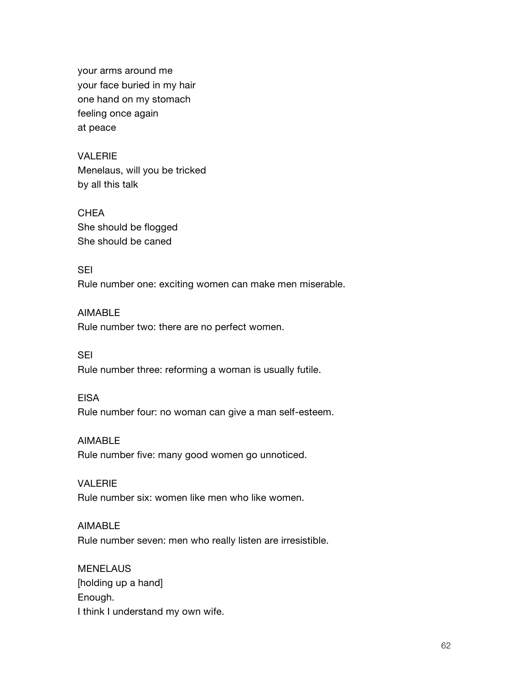your arms around me your face buried in my hair one hand on my stomach feeling once again at peace

VALERIE Menelaus, will you be tricked by all this talk

**CHEA** She should be flogged She should be caned

SEI Rule number one: exciting women can make men miserable.

AIMABLE Rule number two: there are no perfect women.

SEI Rule number three: reforming a woman is usually futile.

EISA Rule number four: no woman can give a man self-esteem.

AIMABLE Rule number five: many good women go unnoticed.

VALERIE Rule number six: women like men who like women.

AIMABLE Rule number seven: men who really listen are irresistible.

**MENELAUS** [holding up a hand] Enough. I think I understand my own wife.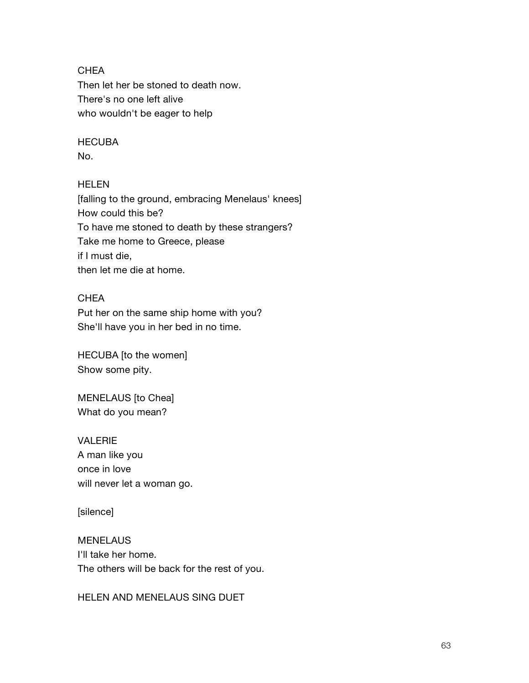# **CHEA**

Then let her be stoned to death now. There's no one left alive who wouldn't be eager to help

# **HECUBA**

No.

# HELEN

[falling to the ground, embracing Menelaus' knees] How could this be? To have me stoned to death by these strangers? Take me home to Greece, please if I must die, then let me die at home.

# **CHEA**

Put her on the same ship home with you? She'll have you in her bed in no time.

HECUBA [to the women] Show some pity.

MENELAUS [to Chea] What do you mean?

VALERIE A man like you once in love will never let a woman go.

[silence]

**MENELAUS** I'll take her home. The others will be back for the rest of you.

HELEN AND MENELAUS SING DUET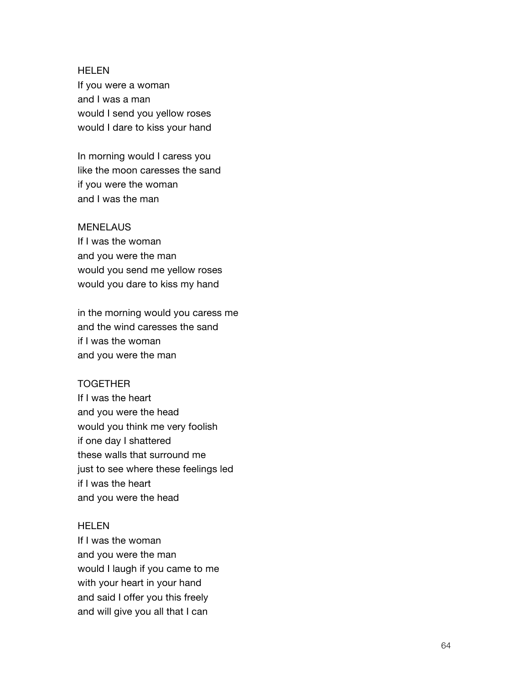#### HELEN

If you were a woman and I was a man would I send you yellow roses would I dare to kiss your hand

In morning would I caress you like the moon caresses the sand if you were the woman and I was the man

#### **MENELAUS**

If I was the woman and you were the man would you send me yellow roses would you dare to kiss my hand

in the morning would you caress me and the wind caresses the sand if I was the woman and you were the man

#### TOGETHER

If I was the heart and you were the head would you think me very foolish if one day I shattered these walls that surround me just to see where these feelings led if I was the heart and you were the head

#### HELEN

If I was the woman and you were the man would I laugh if you came to me with your heart in your hand and said I offer you this freely and will give you all that I can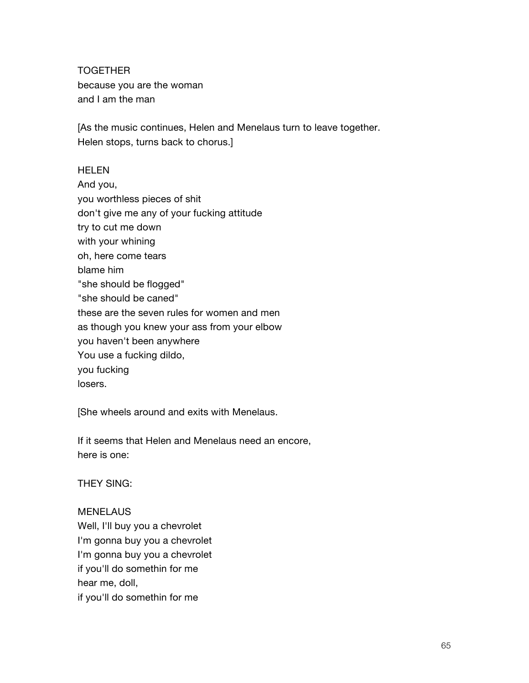**TOGETHER** because you are the woman and I am the man

[As the music continues, Helen and Menelaus turn to leave together. Helen stops, turns back to chorus.]

#### HELEN

And you, you worthless pieces of shit don't give me any of your fucking attitude try to cut me down with your whining oh, here come tears blame him "she should be flogged" "she should be caned" these are the seven rules for women and men as though you knew your ass from your elbow you haven't been anywhere You use a fucking dildo, you fucking losers.

[She wheels around and exits with Menelaus.

If it seems that Helen and Menelaus need an encore, here is one:

THEY SING:

**MENELAUS** Well, I'll buy you a chevrolet I'm gonna buy you a chevrolet I'm gonna buy you a chevrolet if you'll do somethin for me hear me, doll, if you'll do somethin for me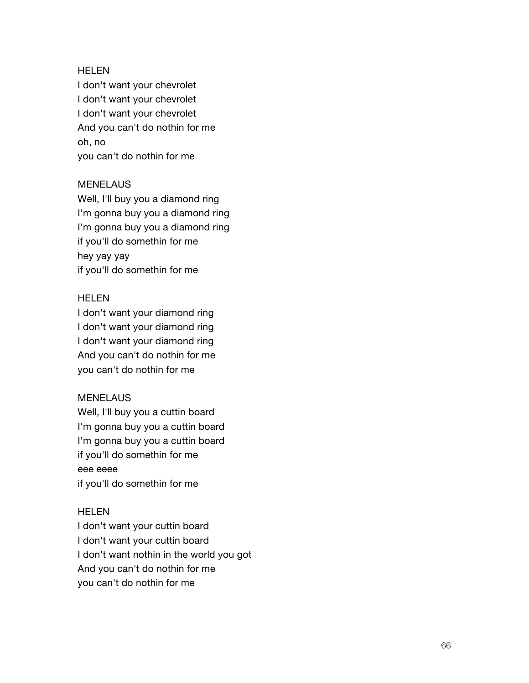#### HELEN

I don't want your chevrolet I don't want your chevrolet I don't want your chevrolet And you can't do nothin for me oh, no you can't do nothin for me

#### **MENELAUS**

Well, I'll buy you a diamond ring I'm gonna buy you a diamond ring I'm gonna buy you a diamond ring if you'll do somethin for me hey yay yay if you'll do somethin for me

# HELEN

I don't want your diamond ring I don't want your diamond ring I don't want your diamond ring And you can't do nothin for me you can't do nothin for me

#### **MENELAUS**

Well, I'll buy you a cuttin board I'm gonna buy you a cuttin board I'm gonna buy you a cuttin board if you'll do somethin for me eee eeee if you'll do somethin for me

#### HELEN

I don't want your cuttin board I don't want your cuttin board I don't want nothin in the world you got And you can't do nothin for me you can't do nothin for me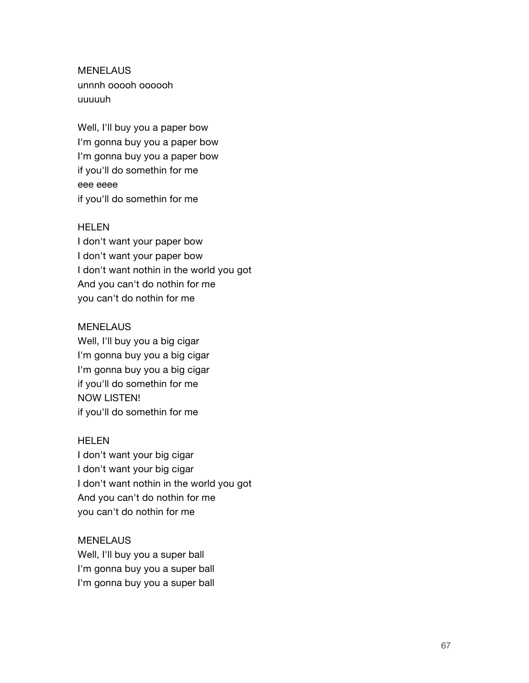**MENELAUS** unnnh ooooh oooooh uuuuuh

Well, I'll buy you a paper bow I'm gonna buy you a paper bow I'm gonna buy you a paper bow if you'll do somethin for me eee eeee if you'll do somethin for me

#### **HELEN**

I don't want your paper bow I don't want your paper bow I don't want nothin in the world you got And you can't do nothin for me you can't do nothin for me

## **MENELAUS**

Well, I'll buy you a big cigar I'm gonna buy you a big cigar I'm gonna buy you a big cigar if you'll do somethin for me NOW LISTEN! if you'll do somethin for me

#### HELEN

I don't want your big cigar I don't want your big cigar I don't want nothin in the world you got And you can't do nothin for me you can't do nothin for me

**MENELAUS** Well, I'll buy you a super ball I'm gonna buy you a super ball I'm gonna buy you a super ball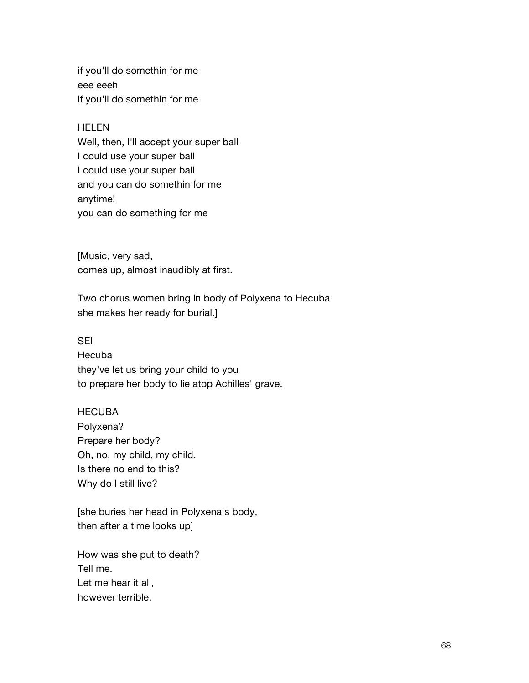if you'll do somethin for me eee eeeh if you'll do somethin for me

# HELEN

Well, then, I'll accept your super ball I could use your super ball I could use your super ball and you can do somethin for me anytime! you can do something for me

[Music, very sad, comes up, almost inaudibly at first.

Two chorus women bring in body of Polyxena to Hecuba she makes her ready for burial.]

#### SEI

Hecuba they've let us bring your child to you to prepare her body to lie atop Achilles' grave.

# **HECUBA**

Polyxena? Prepare her body? Oh, no, my child, my child. Is there no end to this? Why do I still live?

[she buries her head in Polyxena's body, then after a time looks up]

How was she put to death? Tell me. Let me hear it all, however terrible.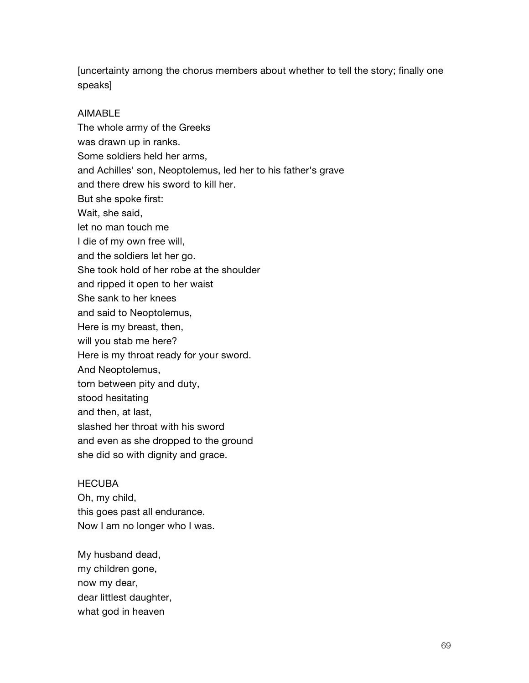[uncertainty among the chorus members about whether to tell the story; finally one speaks]

#### AIMABLE

The whole army of the Greeks

- was drawn up in ranks.
- Some soldiers held her arms,
- and Achilles' son, Neoptolemus, led her to his father's grave

and there drew his sword to kill her.

But she spoke first:

Wait, she said,

let no man touch me

I die of my own free will,

- and the soldiers let her go.
- She took hold of her robe at the shoulder
- and ripped it open to her waist
- She sank to her knees
- and said to Neoptolemus,
- Here is my breast, then,

will you stab me here?

Here is my throat ready for your sword.

- And Neoptolemus,
- torn between pity and duty,
- stood hesitating
- and then, at last,
- slashed her throat with his sword
- and even as she dropped to the ground
- she did so with dignity and grace.

#### **HECUBA**

Oh, my child, this goes past all endurance. Now I am no longer who I was.

My husband dead, my children gone, now my dear, dear littlest daughter, what god in heaven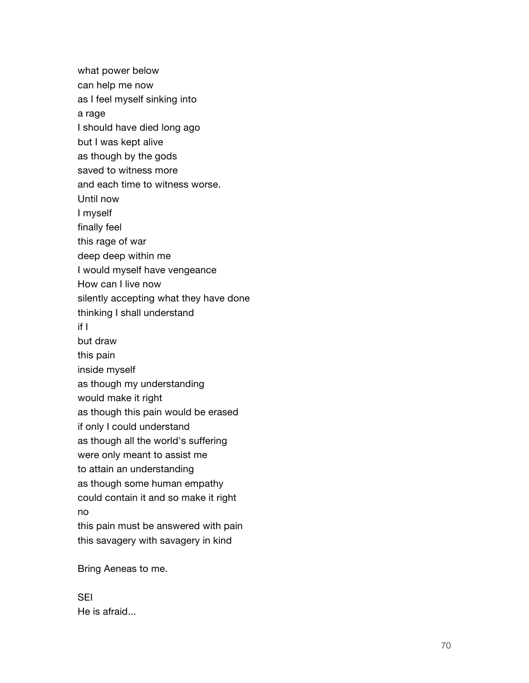what power below can help me now as I feel myself sinking into a rage I should have died long ago but I was kept alive as though by the god s saved to witness more and each time to witness worse. Until now I myself finally feel this rage of war deep deep within me I would myself have vengeance How can I live now silently accepting what they have done thinking I shall understand if I but draw this pain inside myself as though my understanding would make it right as though this pain would be erased if only I could understand as though all the world's suffering were only meant to assist me to attain an understanding as though some human empathy could contain it and so make it right no this pain must be answered with pain this savagery with savagery in kind

Bring Aeneas to me.

| SEI |              |
|-----|--------------|
|     | He is afraid |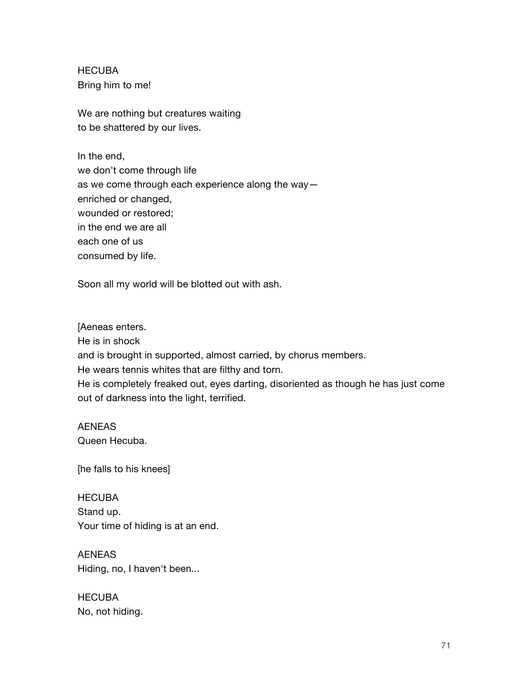**HECUBA** Bring him to me!

We are nothing but creatures waiting to be shattered by our lives.

In the end, we don't come through life as we come through each experience along the way enriched or changed, wounded or restored; in the end we are all each one of us consumed by life.

Soon all my world will be blotted out with ash.

[Aeneas enters. He is in shock and is brought in supported, almost carried, by chorus members. He wears tennis whites that are filthy and torn. He is completely freaked out, eyes darting, disoriented as though he has just come out of darkness into the light, terrified.

AENEAS Queen Hecuba.

[he falls to his knees]

**HECUBA** Stand up. Your time of hiding is at an end.

AENEAS Hiding, no, I haven't been...

**HECUBA** No, not hiding.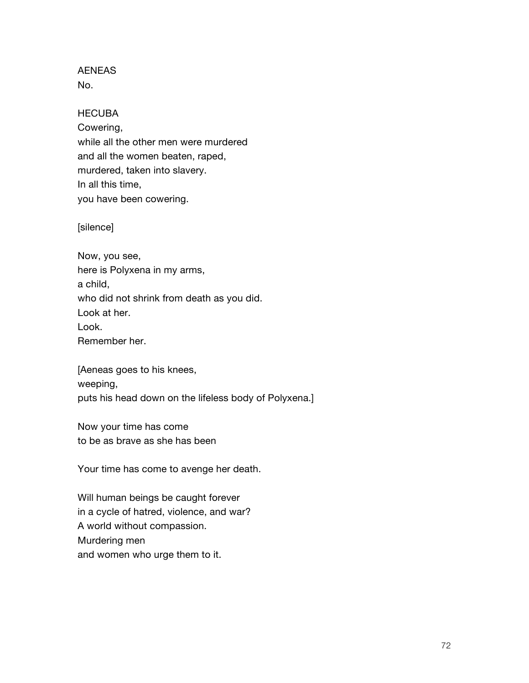# AENEAS

No.

# **HECUBA**

Cowering, while all the other men were murdered and all the women beaten, raped, murdered, taken into slavery. In all this time, you have been cowering.

[silence]

Now, you see, here is Polyxena in my arms, a child, who did not shrink from death as you did. Look at her. Look. Remember her.

[Aeneas goes to his knees, weeping, puts his head down on the lifeless body of Polyxena.]

Now your time has come to be as brave as she has been

Your time has come to avenge her death.

Will human beings be caught forever in a cycle of hatred, violence, and war? A world without compassion. Murdering men and women who urge them to it.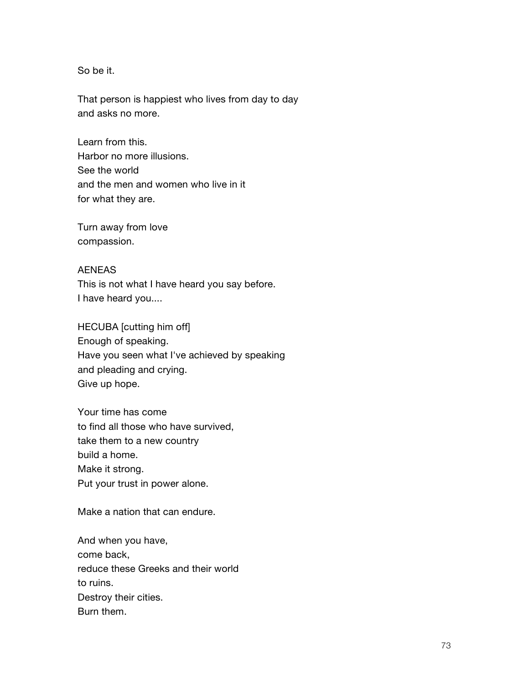So be it.

That person is happiest who lives from day to day and asks no more.

Learn from this. Harbor no more illusions. See the world and the men and women who live in it for what they are.

Turn away from love compassion.

#### AENEAS

This is not what I have heard you say before. I have heard you....

HECUBA [cutting him off] Enough of speaking. Have you seen what I've achieved by speaking and pleading and crying. Give up hope.

Your time has come to find all those who have survived, take them to a new country build a home. Make it strong. Put your trust in power alone.

Make a nation that can endure.

And when you have, come back, reduce these Greeks and their world to ruins. Destroy their cities. Burn them.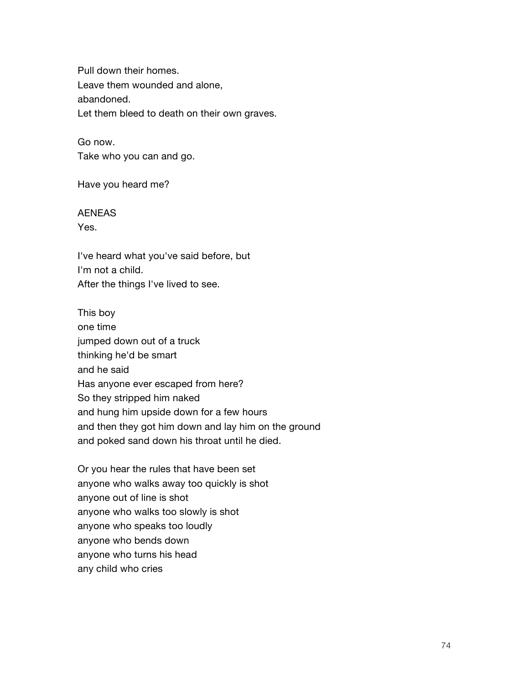Pull down their homes. Leave them wounded and alone, abandoned. Let them bleed to death on their own graves.

Go now. Take who you can and go.

Have you heard me?

AENEAS Yes.

I've heard what you've said before, but I'm not a child. After the things I've lived to see.

This boy one time jumped down out of a truck thinking he'd be smart and he said Has anyone ever escaped from here? So they stripped him naked and hung him upside down for a few hours and then they got him down and lay him on the ground and poked sand down his throat until he died.

Or you hear the rules that have been set anyone who walks away too quickly is shot anyone out of line is shot anyone who walks too slowly is shot anyone who speaks too loudly anyone who bends down anyone who turns his head any child who cries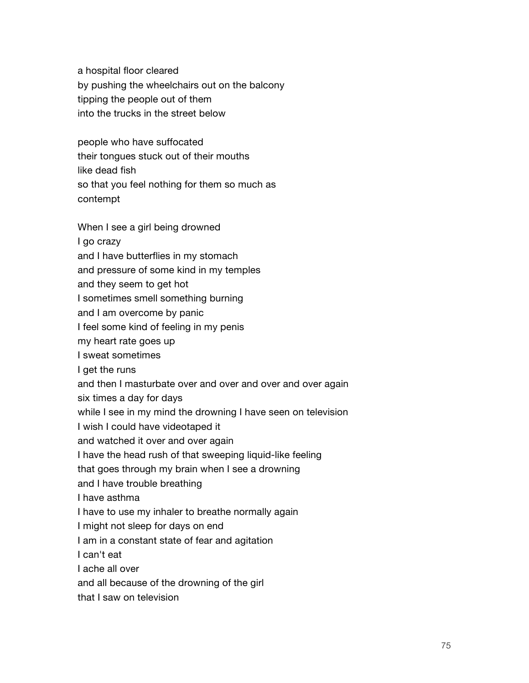a hospital floor cleared by pushing the wheelchairs out on the balcony tipping the people out of them into the trucks in the street below

people who have suffocated their tongues stuck out of their mouths like dead fish so that you feel nothing for them so much as contempt

When I see a girl being drowned

I go crazy

and I have butterflies in my stomach

and pressure of some kind in my temples

and they seem to get hot

I sometimes smell something burning

and I am overcome by panic

I feel some kind of feeling in my penis

my heart rate goes up

I sweat sometimes

I get the runs

and then I masturbate over and over and over and over again

six times a day for days

while I see in my mind the drowning I have seen on television

I wish I could have videotaped it

and watched it over and over again

I have the head rush of that sweeping liquid-like feeling

that goes through my brain when I see a drowning

and I have trouble breathing

I have asthma

I have to use my inhaler to breathe normally again

I might not sleep for days on end

I am in a constant state of fear and agitation

I can't eat

I ache all over

and all because of the drowning of the girl

that I saw on television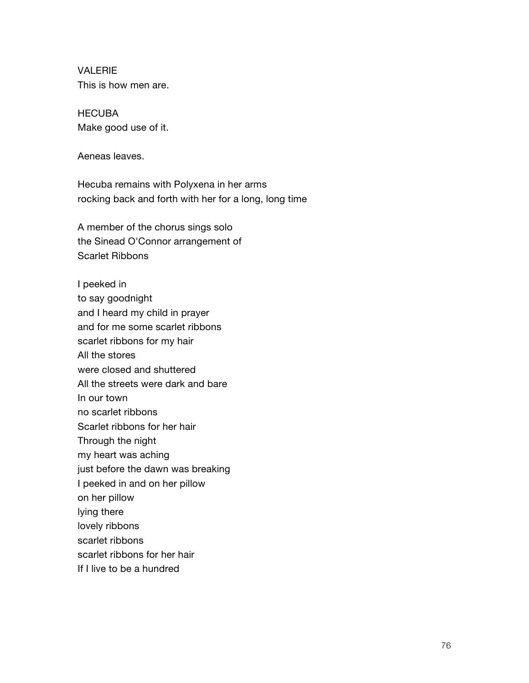VALERIE This is how men are.

**HECUBA** Make good use of it.

Aeneas leaves.

Hecuba remains with Polyxena in her arms rocking back and forth with her for a long, long time

A member of the chorus sings solo the Sinead O'Connor arrangement of Scarlet Ribbons

I peeked in to say goodnight and I heard my child in prayer and for me some scarlet ribbons scarlet ribbons for my hair All the stores were closed and shuttered All the streets were dark and bare In our town no scarlet ribbons Scarlet ribbons for her hair Through the night my heart was aching just before the dawn was breaking I peeked in and on her pillow on her pillow lying there lovely ribbons scarlet ribbons scarlet ribbons for her hair If I live to be a hundred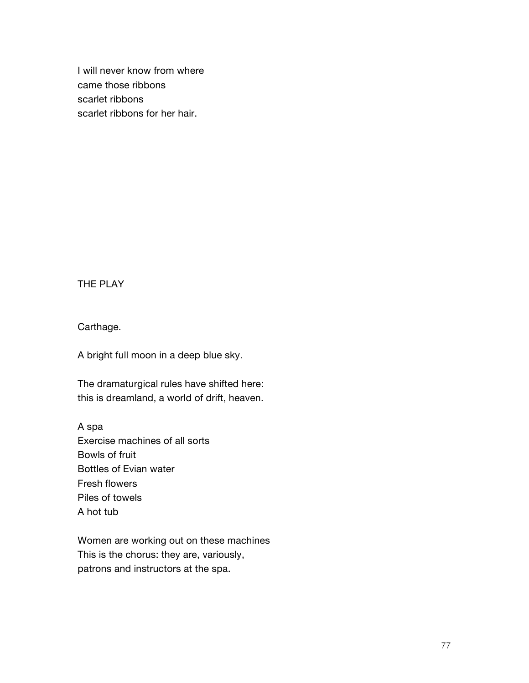I will never know from where came those ribbons scarlet ribbons scarlet ribbons for her hair.

THE PLAY

Carthage.

A bright full moon in a deep blue sky.

The dramaturgical rules have shifted here: this is dreamland, a world of drift, heaven.

A spa Exercise machines of all sorts Bowls of fruit Bottles of Evian water Fresh flowers Piles of towels A hot tub

Women are working out on these machines This is the chorus: they are, variously, patrons and instructors at the spa.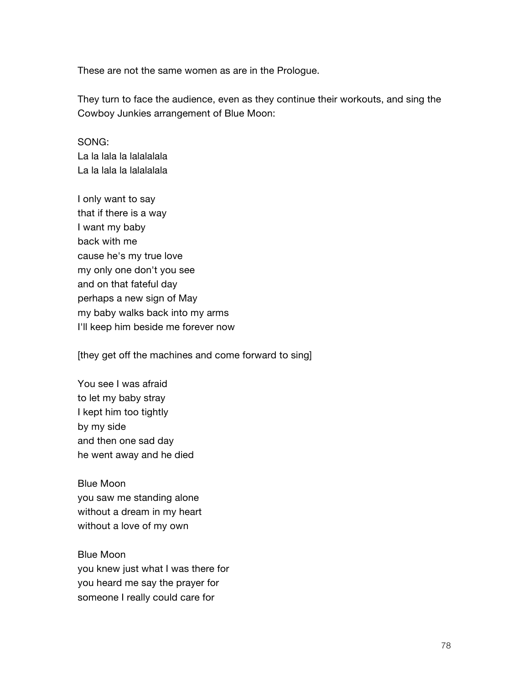These are not the same women as are in the Prologue.

They turn to face the audience, even as they continue their workouts, and sing the Cowboy Junkies arrangement of Blue Moon:

SONG: La la lala la lalalalala La la lala la lalalalala

I only want to say that if there is a way I want my baby back with me cause he's my true love my only one don't you see and on that fateful day perhaps a new sign of May my baby walks back into my arms I'll keep him beside me forever now

[they get off the machines and come forward to sing]

You see I was afraid to let my baby stray I kept him too tightly by my side and then one sad day he went away and he died

Blue Moon you saw me standing alone without a dream in my heart without a love of my own

Blue Moon you knew just what I was there for you heard me say the prayer for someone I really could care for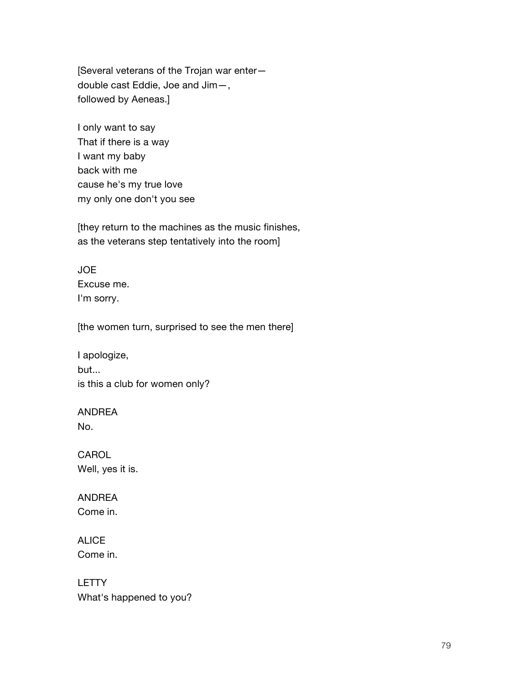[Several veterans of the Trojan war enter double cast Eddie, Joe and Jim—, followed by Aeneas.]

I only want to say That if there is a way I want my baby back with me cause he's my true love my only one don't you see

[they return to the machines as the music finishes, as the veterans step tentatively into the room]

JOE Excuse me. I'm sorry.

[the women turn, surprised to see the men there]

I apologize, but... is this a club for women only?

## ANDREA

No.

**CAROL** Well, yes it is.

#### ANDREA Come in.

ALICE Come in.

**LETTY** What's happened to you?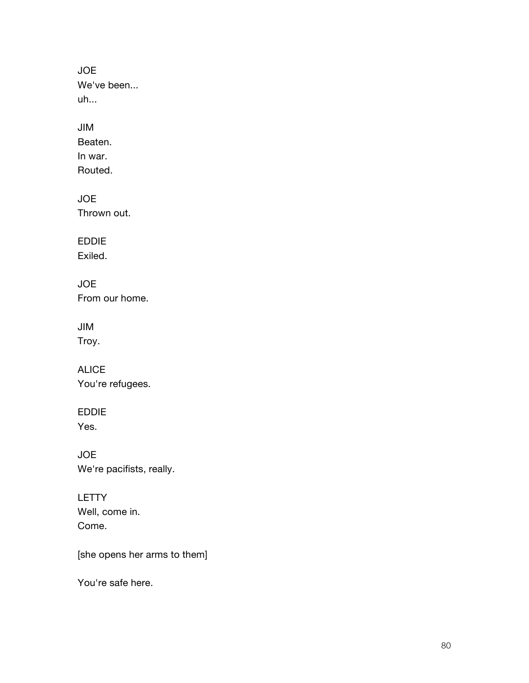JOE We've been... uh...

JIM Beaten. In war. Routed.

JOE Thrown out.

EDDIE Exiled.

JOE From our home.

JIM Troy.

ALICE You're refugees.

EDDIE Yes.

JOE We're pacifists, really.

LETTY Well, come in. Come.

[she opens her arms to them]

You're safe here.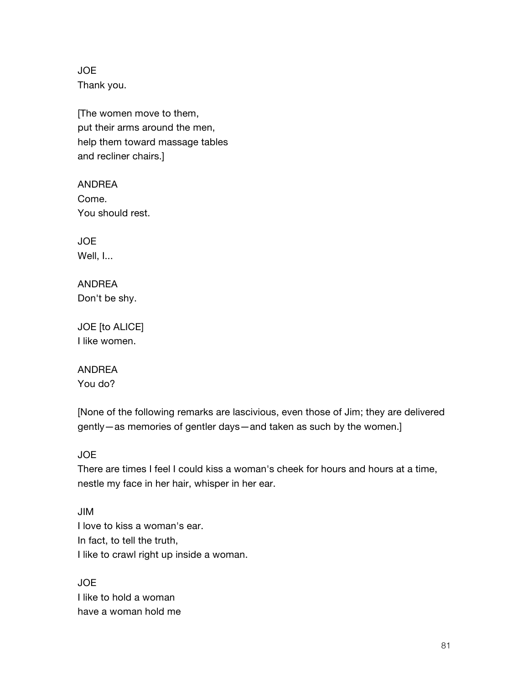JOE Thank you.

[The women move to them, put their arms around the men, help them toward massage tables and recliner chairs.]

ANDREA Come. You should rest.

JOE Well, I...

ANDREA Don't be shy.

JOE [to ALICE] I like women.

# ANDREA

You do?

[None of the following remarks are lascivious, even those of Jim; they are delivered gently—as memories of gentler days—and taken as such by the women.]

JOE

There are times I feel I could kiss a woman's cheek for hours and hours at a time, nestle my face in her hair, whisper in her ear.

JIM I love to kiss a woman's ear. In fact, to tell the truth, I like to crawl right up inside a woman.

JOE I like to hold a woman have a woman hold me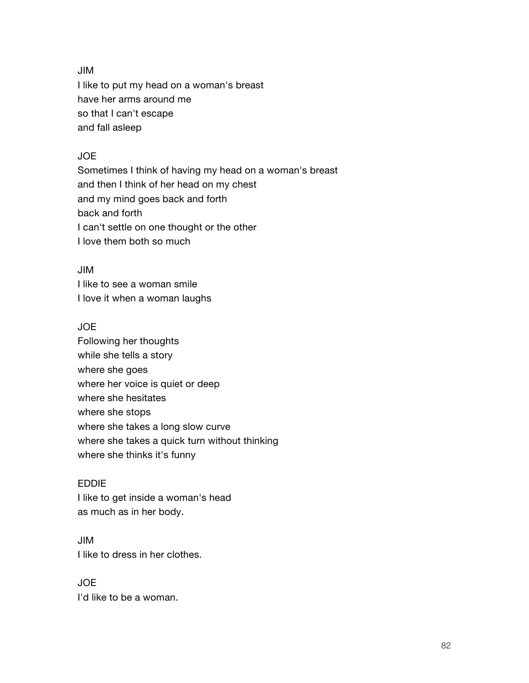#### JIM

I like to put my head on a woman's breast have her arms around me so that I can't escape and fall asleep

### JOE

Sometimes I think of having my head on a woman's breast and then I think of her head on my chest and my mind goes back and forth back and forth I can't settle on one thought or the other I love them both so much

#### JIM

I like to see a woman smile I love it when a woman laughs

## JOE

Following her thoughts while she tells a story where she goes where her voice is quiet or deep where she hesitates where she stops where she takes a long slow curve where she takes a quick turn without thinking where she thinks it's funny

## EDDIE

I like to get inside a woman's head as much as in her body.

## JIM

I like to dress in her clothes.

## JOE

I'd like to be a woman.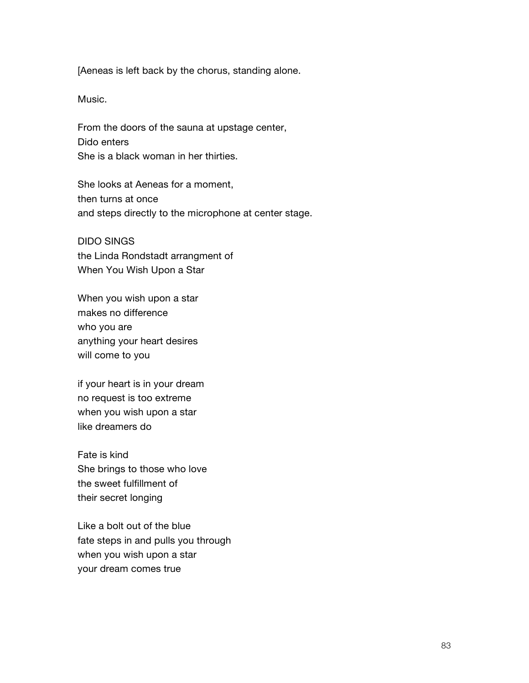[Aeneas is left back by the chorus, standing alone.

Music.

From the doors of the sauna at upstage center, Dido enters She is a black woman in her thirties.

She looks at Aeneas for a moment, then turns at once and steps directly to the microphone at center stage.

DIDO SINGS the Linda Rondstadt arrangment of When You Wish Upon a Star

When you wish upon a star makes no difference who you are anything your heart desires will come to you

if your heart is in your dream no request is too extreme when you wish upon a star like dreamers do

Fate is kind She brings to those who love the sweet fulfillment of their secret longing

Like a bolt out of the blue fate steps in and pulls you through when you wish upon a star your dream comes true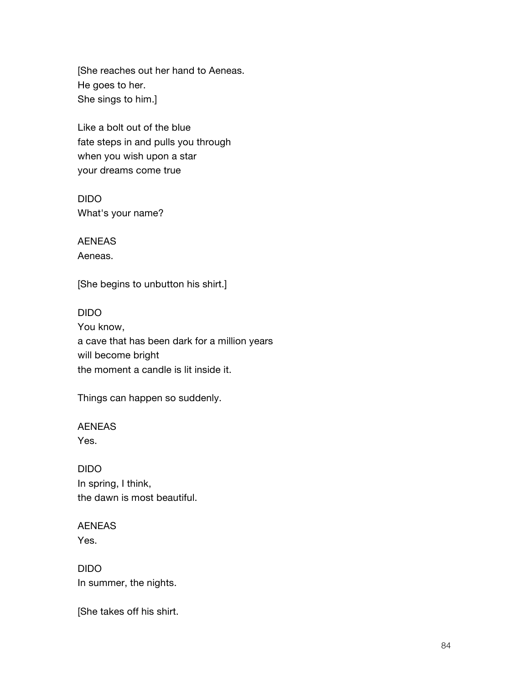[She reaches out her hand to Aeneas. He goes to her. She sings to him.]

Like a bolt out of the blue fate steps in and pulls you through when you wish upon a star your dreams come true

DIDO What's your name?

AENEAS Aeneas.

[She begins to unbutton his shirt.]

## DIDO You know, a cave that has been dark for a million years will become bright the moment a candle is lit inside it.

Things can happen so suddenly.

AENEAS Yes.

DIDO In spring, I think, the dawn is most beautiful.

AENEAS Yes.

DIDO In summer, the nights.

[She takes off his shirt.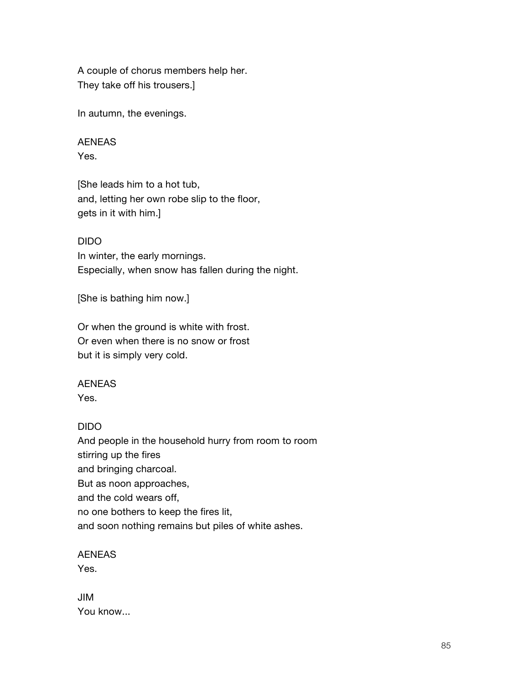A couple of chorus members help her. They take off his trousers.]

In autumn, the evenings.

#### AENEAS

Yes.

[She leads him to a hot tub, and, letting her own robe slip to the floor, gets in it with him.]

#### DIDO

In winter, the early mornings. Especially, when snow has fallen during the night.

[She is bathing him now.]

Or when the ground is white with frost. Or even when there is no snow or frost but it is simply very cold.

#### AENEAS

Yes.

#### DIDO

And people in the household hurry from room to room stirring up the fires and bringing charcoal. But as noon approaches, and the cold wears off, no one bothers to keep the fires lit, and soon nothing remains but piles of white ashes.

AENEAS Yes.

| JIM |          |
|-----|----------|
|     | You know |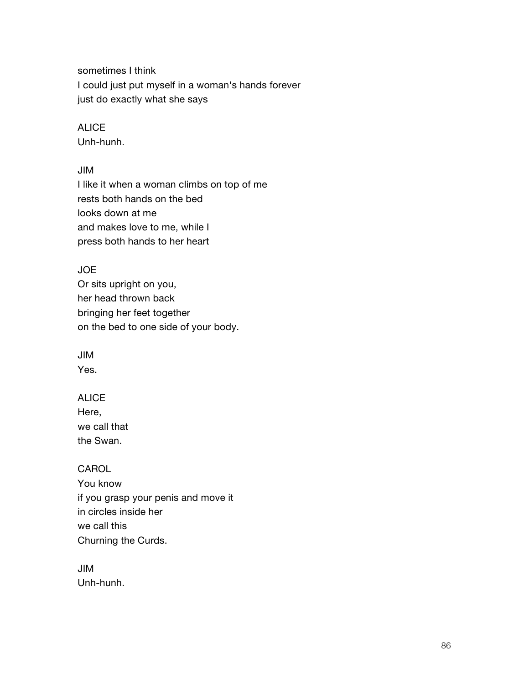sometimes I think I could just put myself in a woman's hands forever just do exactly what she says

## ALICE

Unh-hunh.

### JIM

I like it when a woman climbs on top of me rests both hands on the bed looks down at me and makes love to me, while I press both hands to her heart

## JOE

Or sits upright on you, her head thrown back bringing her feet together on the bed to one side of your body.

JIM Yes.

ALICE Here, we call that the Swan.

#### **CAROL**

You know if you grasp your penis and move it in circles inside her we call this Churning the Curds.

JIM Unh-hunh.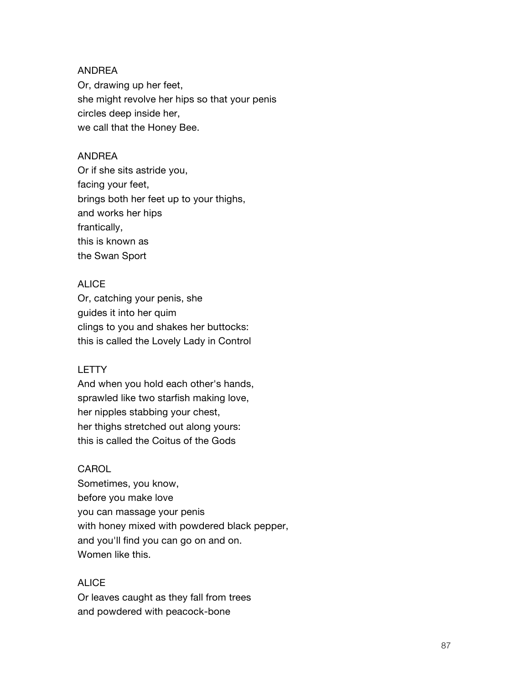#### ANDREA

Or, drawing up her feet, she might revolve her hips so that your penis circles deep inside her, we call that the Honey Bee.

#### ANDREA

Or if she sits astride you, facing your feet, brings both her feet up to your thighs, and works her hips frantically, this is known as the Swan Sport

#### ALICE

Or, catching your penis, she guides it into her quim clings to you and shakes her buttocks: this is called the Lovely Lady in Control

#### **LETTY**

And when you hold each other's hands, sprawled like two starfish making love, her nipples stabbing your chest, her thighs stretched out along yours: this is called the Coitus of the Gods

#### **CAROL**

Sometimes, you know, before you make love you can massage your penis with honey mixed with powdered black pepper, and you'll find you can go on and on. Women like this.

#### ALICE

Or leaves caught as they fall from trees and powdered with peacock-bone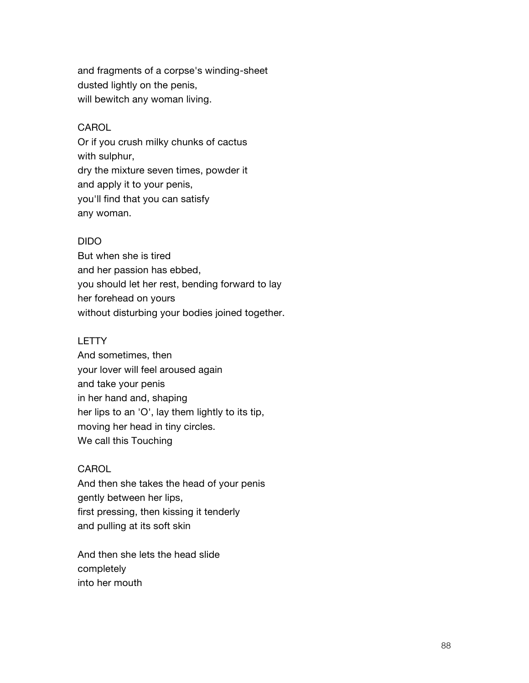and fragments of a corpse's winding-sheet dusted lightly on the penis, will bewitch any woman living.

#### **CAROL**

Or if you crush milky chunks of cactus with sulphur, dry the mixture seven times, powder it and apply it to your penis, you'll find that you can satisfy any woman.

#### DIDO

But when she is tired and her passion has ebbed, you should let her rest, bending forward to lay her forehead on yours without disturbing your bodies joined together.

#### LETTY

And sometimes, then your lover will feel aroused again and take your penis in her hand and, shaping her lips to an 'O', lay them lightly to its tip, moving her head in tiny circles. We call this Touching

#### **CAROL**

And then she takes the head of your penis gently between her lips, first pressing, then kissing it tenderly and pulling at its soft skin

And then she lets the head slide completely into her mouth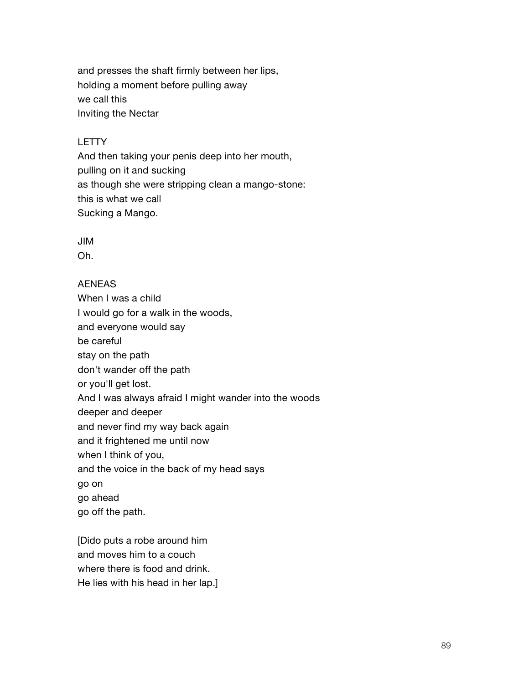and presses the shaft firmly between her lips, holding a moment before pulling away we call this Inviting the Nectar

#### **LETTY**

And then taking your penis deep into her mouth, pulling on it and sucking as though she were stripping clean a mango-stone: this is what we call Sucking a Mango.

JIM

Oh.

#### AENEAS

When I was a child I would go for a walk in the woods, and everyone would say be careful stay on the path don't wander off the path or you'll get lost. And I was always afraid I might wander into the woods deeper and deeper and never find my way back again and it frightened me until now when I think of you, and the voice in the back of my head says go on go ahead go off the path.

[Dido puts a robe around him and moves him to a couch where there is food and drink. He lies with his head in her lap.]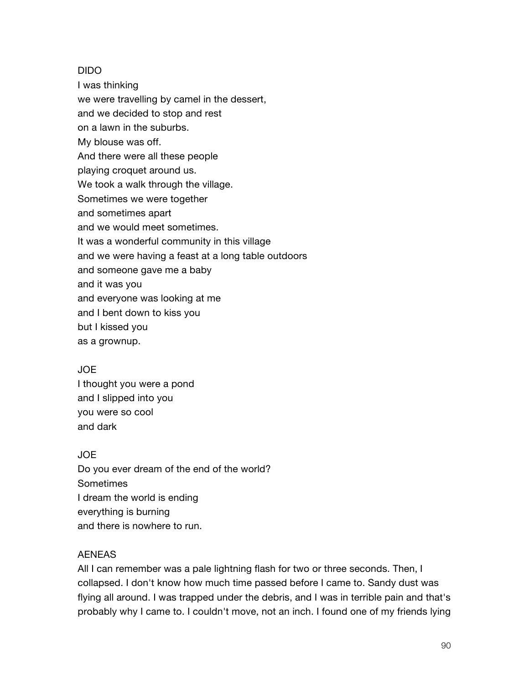#### DIDO

I was thinking we were travelling by camel in the dessert, and we decided to stop and rest on a lawn in the suburbs. My blouse was off. And there were all these people playing croquet around us. We took a walk through the village. Sometimes we were together and sometimes apart and we would meet sometimes. It was a wonderful community in this village and we were having a feast at a long table outdoors and someone gave me a baby and it was you and everyone was looking at me and I bent down to kiss you but I kissed you as a grownup.

#### JOE

I thought you were a pond and I slipped into you you were so cool and dark

JOE Do you ever dream of the end of the world? Sometimes I dream the world is ending everything is burning and there is nowhere to run.

#### AENEAS

All I can remember was a pale lightning flash for two or three seconds. Then, I collapsed. I don't know how much time passed before I came to. Sandy dust was flying all around. I was trapped under the debris, and I was in terrible pain and that's probably why I came to. I couldn't move, not an inch. I found one of my friends lying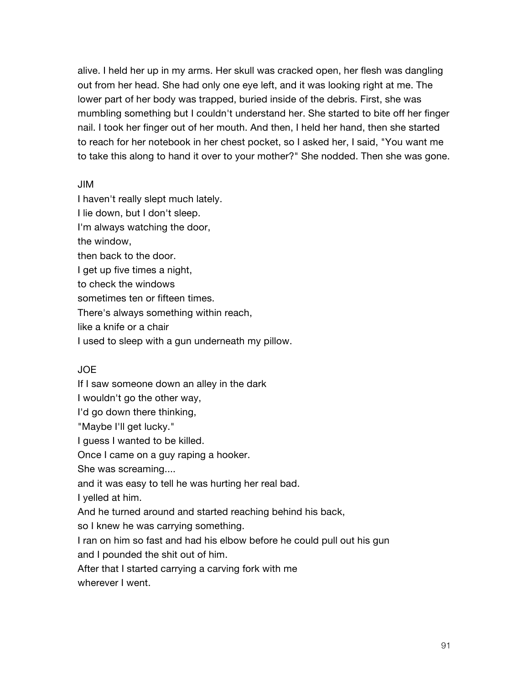alive. I held her up in my arms. Her skull was cracked open, her flesh was dangling out from her head. She had only one eye left, and it was looking right at me. The lower part of her body was trapped, buried inside of the debris. First, she was mumbling something but I couldn't understand her. She started to bite off her finger nail. I took her finger out of her mouth. And then, I held her hand, then she started to reach for her notebook in her chest pocket, so I asked her, I said, "You want me to take this along to hand it over to your mother?" She nodded. Then she was gone.

JIM

I haven't really slept much lately. I lie down, but I don't sleep. I'm always watching the door, the window, then back to the door. I get up five times a night, to check the windows sometimes ten or fifteen times. There's always something within reach,

like a knife or a chair

I used to sleep with a gun underneath my pillow.

#### JOE

If I saw someone down an alley in the dark

I wouldn't go the other way,

I'd go down there thinking,

"Maybe I'll get lucky."

I guess I wanted to be killed.

Once I came on a guy raping a hooker.

She was screaming....

and it was easy to tell he was hurting her real bad.

I yelled at him.

And he turned around and started reaching behind his back,

so I knew he was carrying something.

I ran on him so fast and had his elbow before he could pull out his gun

and I pounded the shit out of him.

After that I started carrying a carving fork with me

wherever I went.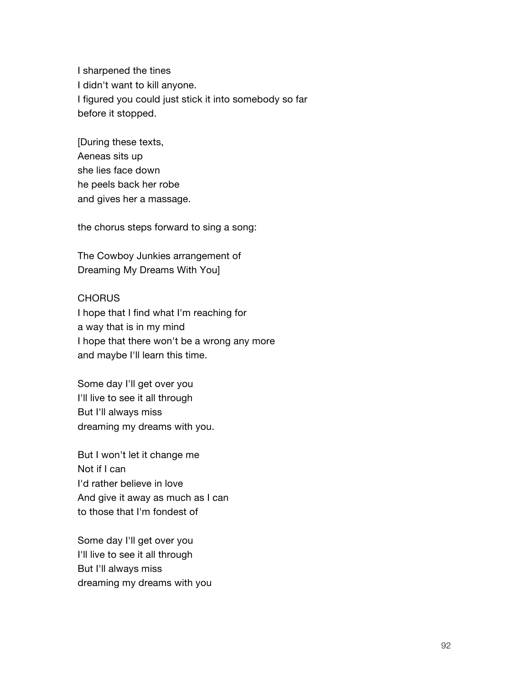I sharpened the tines I didn't want to kill anyone. I figured you could just stick it into somebody so far before it stopped.

[During these texts, Aeneas sits up she lies face down he peels back her robe and gives her a massage.

the chorus steps forward to sing a song:

The Cowboy Junkies arrangement of Dreaming My Dreams With You]

#### **CHORUS**

I hope that I find what I'm reaching for a way that is in my mind I hope that there won't be a wrong any more and maybe I'll learn this time.

Some day I'll get over you I'll live to see it all through But I'll always miss dreaming my dreams with you.

But I won't let it change me Not if I can I'd rather believe in love And give it away as much as I can to those that I'm fondest of

Some day I'll get over you I'll live to see it all through But I'll always miss dreaming my dreams with you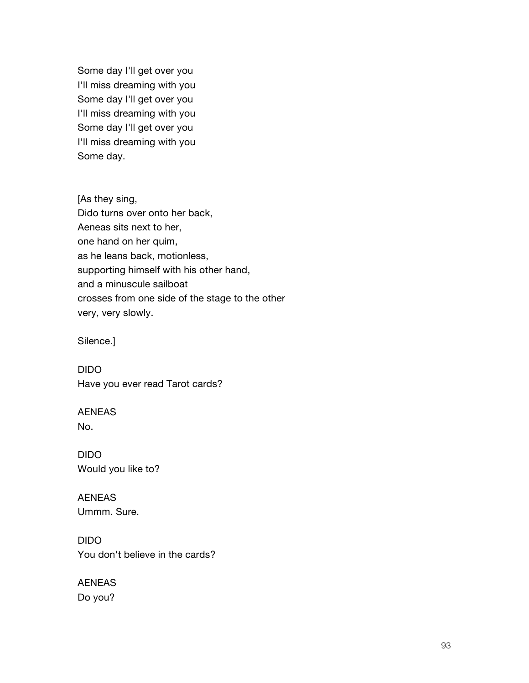Some day I'll get over you I'll miss dreaming with you Some day I'll get over you I'll miss dreaming with you Some day I'll get over you I'll miss dreaming with you Some day.

[As they sing, Dido turns over onto her back, Aeneas sits next to her, one hand on her quim, as he leans back, motionless, supporting himself with his other hand, and a minuscule sailboat crosses from one side of the stage to the other very, very slowly.

Silence.]

DIDO Have you ever read Tarot cards?

AENEAS No.

DIDO Would you like to?

AENEAS Ummm. Sure.

DIDO You don't believe in the cards?

AENEAS Do you?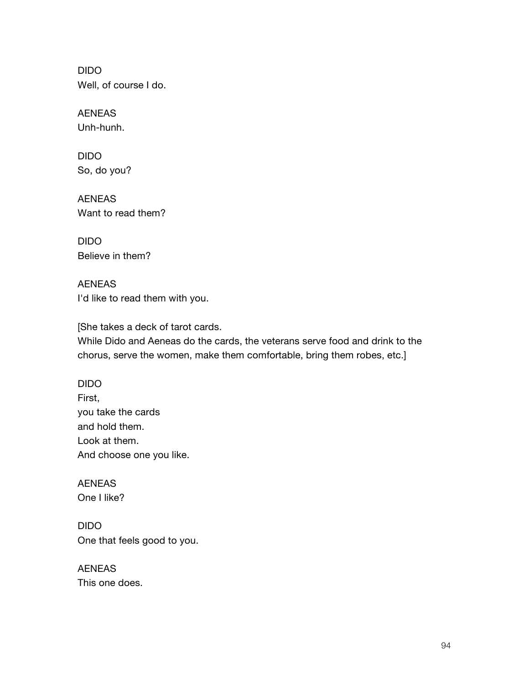DIDO Well, of course I do.

AENEAS Unh-hunh.

DIDO So, do you?

AENEAS Want to read them?

DIDO Believe in them?

AENEAS I'd like to read them with you.

[She takes a deck of tarot cards.

While Dido and Aeneas do the cards, the veterans serve food and drink to the chorus, serve the women, make them comfortable, bring them robes, etc.]

## DIDO

First, you take the cards and hold them. Look at them. And choose one you like.

AENEAS One I like?

DIDO One that feels good to you.

AENEAS This one does.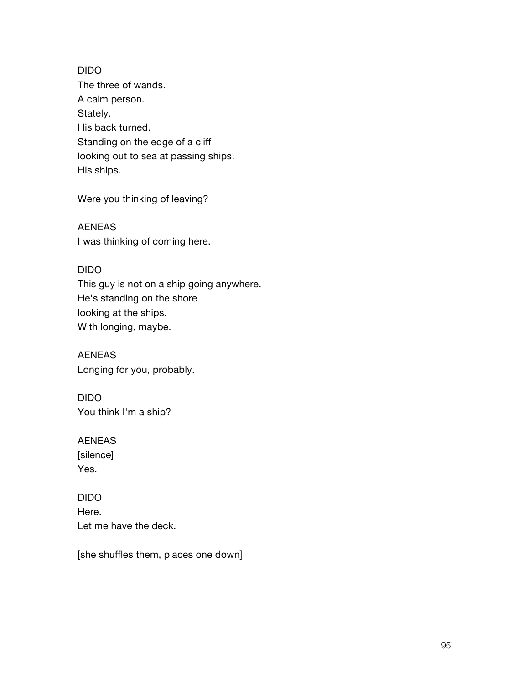DIDO The three of wands. A calm person. Stately. His back turned. Standing on the edge of a cliff looking out to sea at passing ships. His ships.

Were you thinking of leaving?

AENEAS I was thinking of coming here.

## DIDO

This guy is not on a ship going anywhere. He's standing on the shore looking at the ships. With longing, maybe.

AENEAS Longing for you, probably.

DIDO You think I'm a ship?

AENEAS [silence] Yes.

DIDO Here. Let me have the deck.

[she shuffles them, places one down]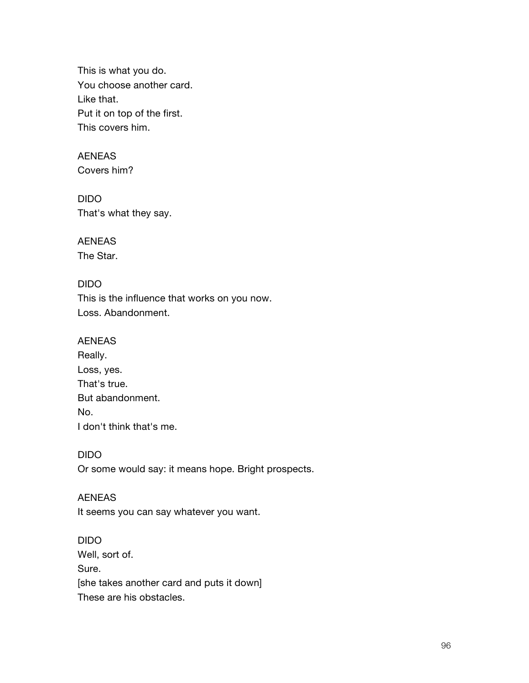This is what you do. You choose another card. Like that. Put it on top of the first. This covers him.

AENEAS Covers him?

DIDO That's what they say.

## AENEAS

The Star.

## DIDO

This is the influence that works on you now. Loss. Abandonment.

### AENEAS

| Really.                  |
|--------------------------|
| Loss, yes.               |
| That's true.             |
| But abandonment.         |
| No.                      |
| I don't think that's me. |

DIDO Or some would say: it means hope. Bright prospects.

## AENEAS

It seems you can say whatever you want.

## DIDO

Well, sort of. Sure. [she takes another card and puts it down] These are his obstacles.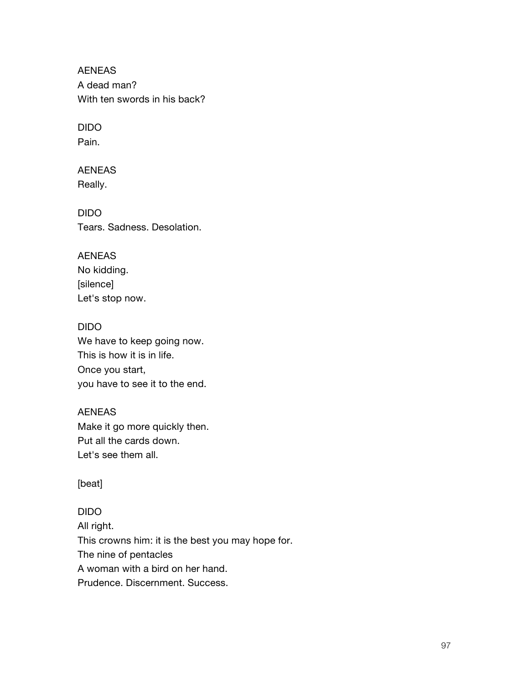AENEAS A dead man? With ten swords in his back?

DIDO Pain.

AENEAS Really.

DIDO Tears. Sadness. Desolation.

## AENEAS

No kidding. [silence] Let's stop now.

DIDO

We have to keep going now. This is how it is in life. Once you start, you have to see it to the end.

## AENEAS

Make it go more quickly then. Put all the cards down. Let's see them all.

[beat]

## DIDO

All right. This crowns him: it is the best you may hope for. The nine of pentacles A woman with a bird on her hand. Prudence. Discernment. Success.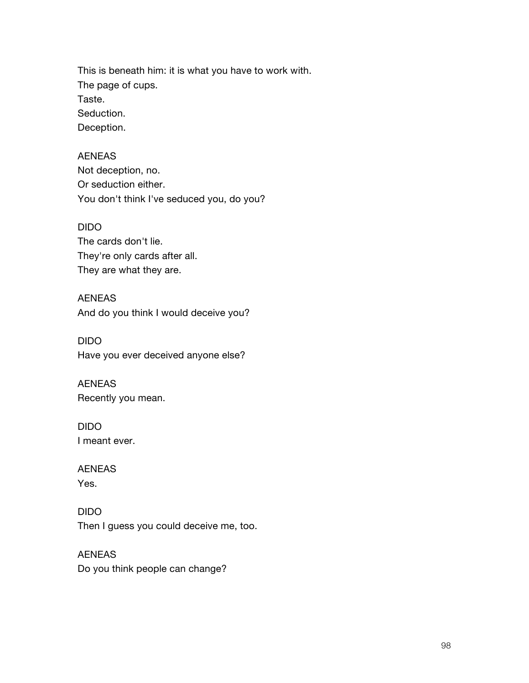This is beneath him: it is what you have to work with. The page of cups. Taste. Seduction. Deception.

#### AENEAS

Not deception, no. Or seduction either. You don't think I've seduced you, do you?

#### DIDO

The cards don't lie. They're only cards after all. They are what they are.

#### AENEAS

And do you think I would deceive you?

DIDO Have you ever deceived anyone else?

# AENEAS

Recently you mean.

# DIDO

I meant ever.

#### AENEAS Yes.

DIDO

Then I guess you could deceive me, too.

## AENEAS Do you think people can change?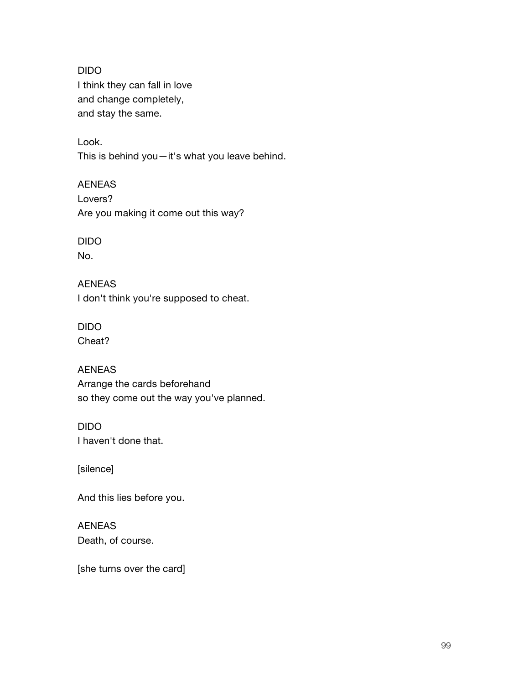DIDO I think they can fall in love and change completely, and stay the same.

Look. This is behind you—it's what you leave behind.

AENEAS Lovers? Are you making it come out this way?

DIDO No.

AENEAS I don't think you're supposed to cheat.

DIDO Cheat?

AENEAS Arrange the cards beforehand so they come out the way you've planned.

DIDO I haven't done that.

[silence]

And this lies before you.

AENEAS Death, of course.

[she turns over the card]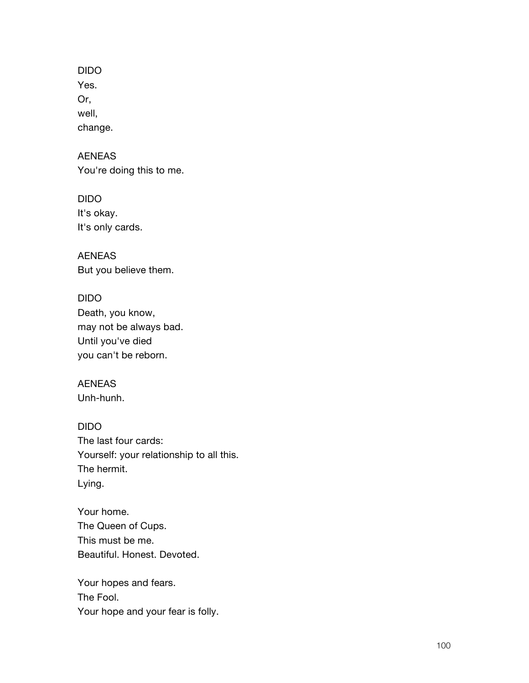# DIDO

Yes. Or,

well,

change.

## AENEAS

You're doing this to me.

DIDO It's okay. It's only cards.

AENEAS But you believe them.

## DIDO

Death, you know, may not be always bad. Until you've died you can't be reborn.

## AENEAS

Unh-hunh.

## DIDO

The last four cards: Yourself: your relationship to all this. The hermit. Lying.

Your home. The Queen of Cups. This must be me. Beautiful. Honest. Devoted.

Your hopes and fears. The Fool. Your hope and your fear is folly.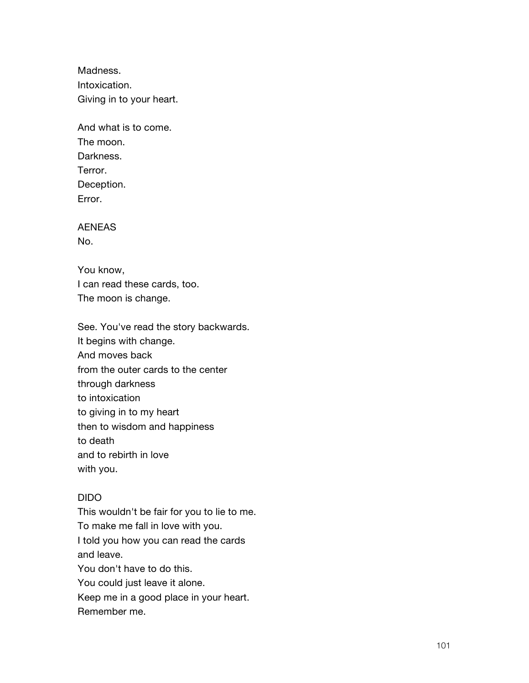Madness. Intoxication. Giving in to your heart.

And what is to come. The moon. Darkness. Terror. Deception. Error.

AENEAS No.

You know, I can read these cards, too. The moon is change.

See. You've read the story backwards. It begins with change. And moves back from the outer cards to the center through darkness to intoxication to giving in to my heart then to wisdom and happiness to death and to rebirth in love with you.

#### DIDO

This wouldn't be fair for you to lie to me. To make me fall in love with you. I told you how you can read the cards and leave. You don't have to do this. You could just leave it alone. Keep me in a good place in your heart. Remember me.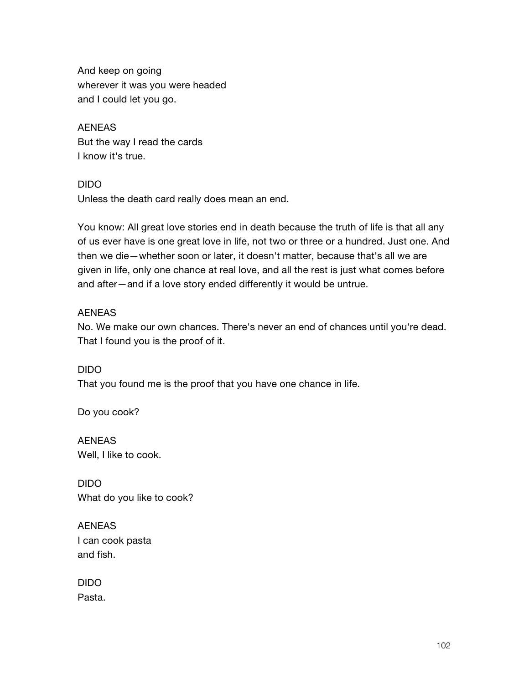And keep on going wherever it was you were headed and I could let you go.

AENEAS But the way I read the cards I know it's true.

#### DIDO

Unless the death card really does mean an end.

You know: All great love stories end in death because the truth of life is that all any of us ever have is one great love in life, not two or three or a hundred. Just one. And then we die—whether soon or later, it doesn't matter, because that's all we are given in life, only one chance at real love, and all the rest is just what comes before and after—and if a love story ended differently it would be untrue.

#### AENEAS

No. We make our own chances. There's never an end of chances until you're dead. That I found you is the proof of it.

DIDO That you found me is the proof that you have one chance in life.

Do you cook?

AENEAS Well, I like to cook.

DIDO What do you like to cook?

AENEAS I can cook pasta and fish.

DIDO Pasta.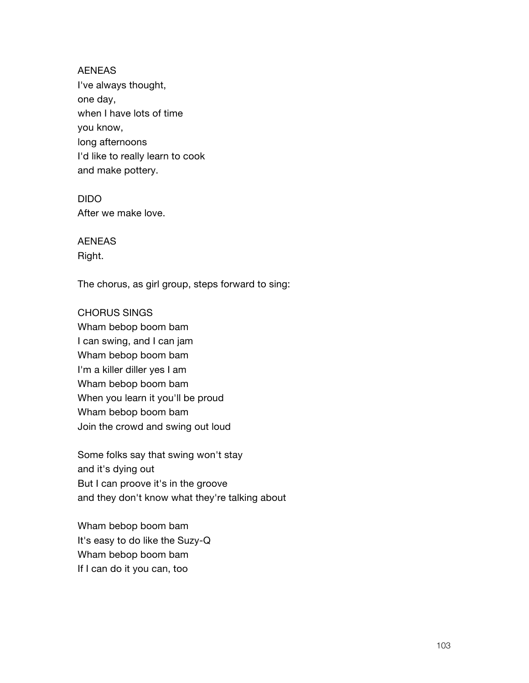AENEAS I've always thought, one day, when I have lots of time you know, long afternoons I'd like to really learn to cook and make pottery.

DIDO After we make love.

AENEAS Right.

The chorus, as girl group, steps forward to sing:

CHORUS SINGS Wham bebop boom bam I can swing, and I can jam Wham bebop boom bam I'm a killer diller yes I am Wham bebop boom bam When you learn it you'll be proud Wham bebop boom bam Join the crowd and swing out loud

Some folks say that swing won't stay and it's dying out But I can proove it's in the groove and they don't know what they're talking about

Wham bebop boom bam It's easy to do like the Suzy-Q Wham bebop boom bam If I can do it you can, too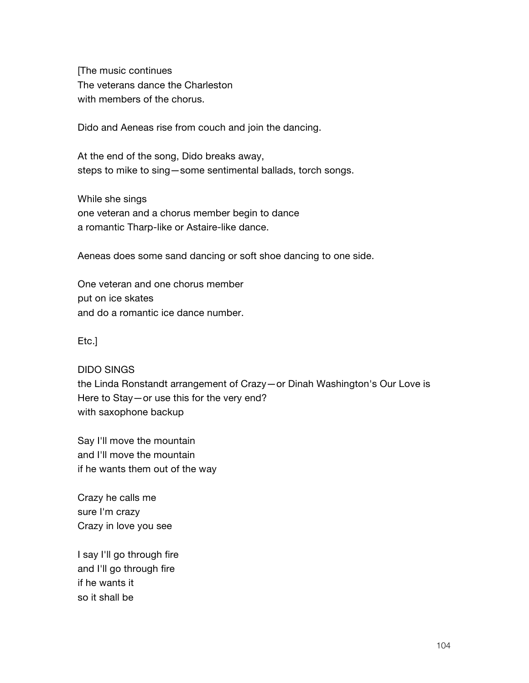[The music continues The veterans dance the Charleston with members of the chorus.

Dido and Aeneas rise from couch and join the dancing.

At the end of the song, Dido breaks away, steps to mike to sing—some sentimental ballads, torch songs.

While she sings one veteran and a chorus member begin to dance a romantic Tharp-like or Astaire-like dance.

Aeneas does some sand dancing or soft shoe dancing to one side.

One veteran and one chorus member put on ice skates and do a romantic ice dance number.

Etc.]

DIDO SINGS the Linda Ronstandt arrangement of Crazy—or Dinah Washington's Our Love is Here to Stay—or use this for the very end? with saxophone backup

Say I'll move the mountain and I'll move the mountain if he wants them out of the way

Crazy he calls me sure I'm crazy Crazy in love you see

I say I'll go through fire and I'll go through fire if he wants it so it shall be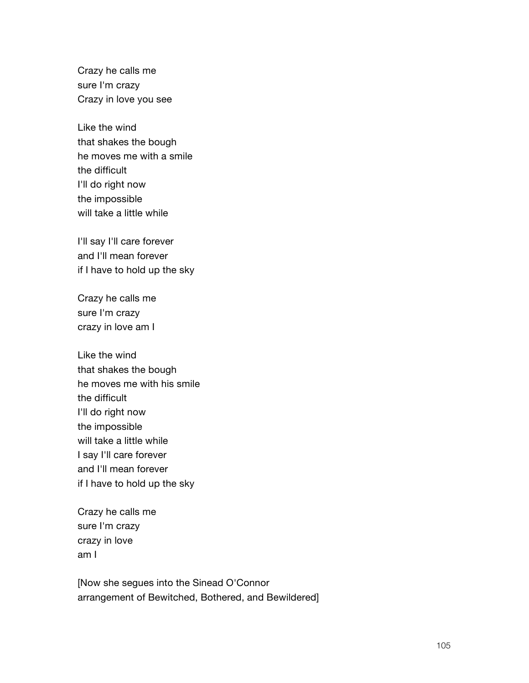Crazy he calls me sure I'm crazy Crazy in love you see

Like the wind that shakes the bough he moves me with a smile the difficult I'll do right now the impossible will take a little while

I'll say I'll care forever and I'll mean forever if I have to hold up the sky

Crazy he calls me sure I'm crazy crazy in love am I

Like the wind that shakes the bough he moves me with his smile the difficult I'll do right now the impossible will take a little while I say I'll care forever and I'll mean forever if I have to hold up the sky

Crazy he calls me sure I'm crazy crazy in love am I

[Now she segues into the Sinead O'Connor arrangement of Bewitched, Bothered, and Bewildered]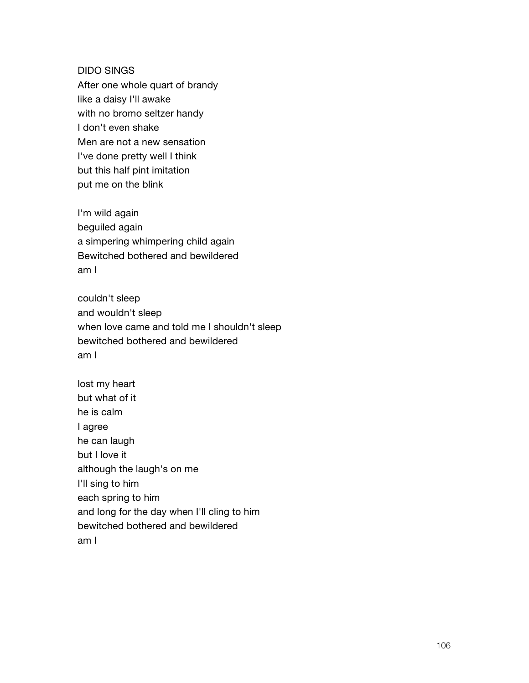#### DIDO SINGS

After one whole quart of brandy like a daisy I'll awake with no bromo seltzer handy I don't even shake Men are not a new sensation I've done pretty well I think but this half pint imitation put me on the blink

I'm wild again beguiled again a simpering whimpering child again Bewitched bothered and bewildered am I

couldn't sleep and wouldn't sleep when love came and told me I shouldn't sleep bewitched bothered and bewildered am I

lost my heart but what of it he is calm I agree he can laugh but I love it although the laugh's on me I'll sing to him each spring to him and long for the day when I'll cling to him bewitched bothered and bewildered am I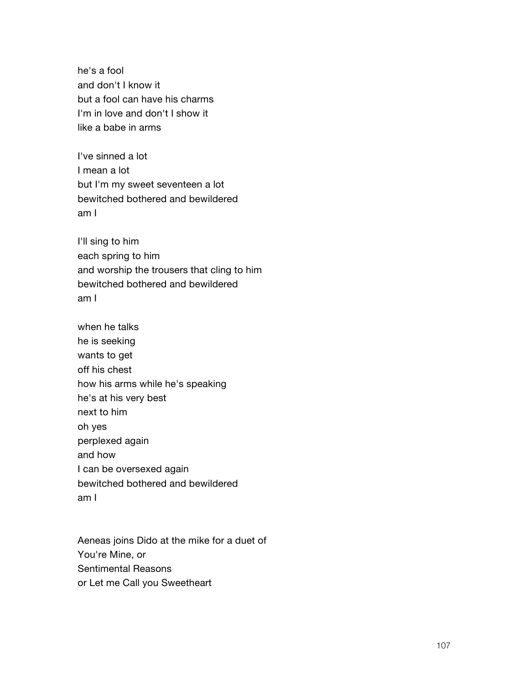he's a fool and don't I know it but a fool can have his charms I'm in love and don't I show it like a babe in arms

I've sinned a lot I mean a lot but I'm my sweet seventeen a lot bewitched bothered and bewildered am I

I'll sing to him each spring to him and worship the trousers that cling to him bewitched bothered and bewildered am I

when he talks he is seeking wants to get off his chest how his arms while he's speaking he's at his very best next to him oh yes perplexed again and how I can be oversexed again bewitched bothered and bewildered am I

Aeneas joins Dido at the mike for a duet of You're Mine, or Sentimental Reasons or Let me Call you Sweetheart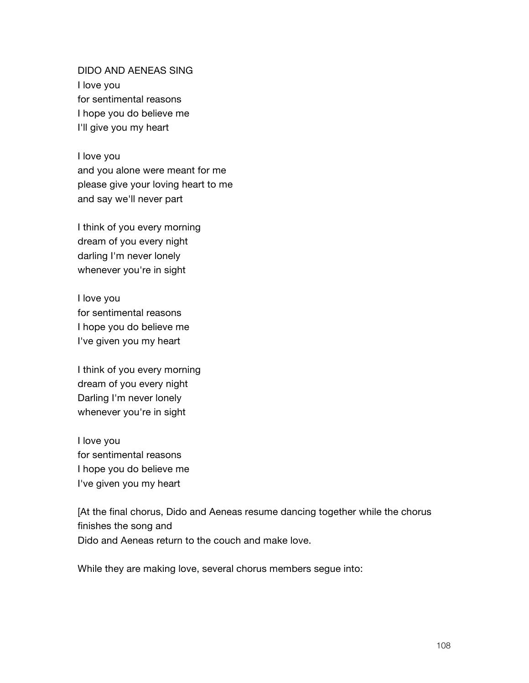DIDO AND AENEAS SING

I love you for sentimental reasons I hope you do believe me I'll give you my heart

I love you and you alone were meant for me please give your loving heart to me and say we'll never part

I think of you every morning dream of you every night darling I'm never lonely whenever you're in sight

I love you for sentimental reasons I hope you do believe me I've given you my heart

I think of you every morning dream of you every night Darling I'm never lonely whenever you're in sight

I love you for sentimental reasons I hope you do believe me I've given you my heart

[At the final chorus, Dido and Aeneas resume dancing together while the chorus finishes the song and Dido and Aeneas return to the couch and make love.

While they are making love, several chorus members segue into: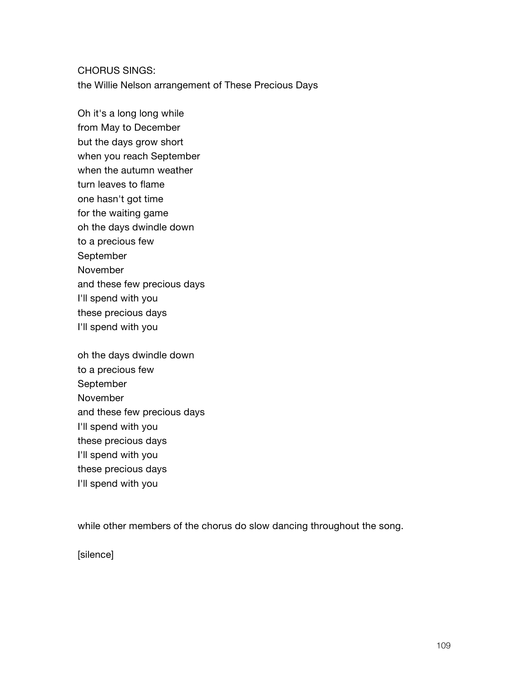CHORUS SINGS: the Willie Nelson arrangement of These Precious Days

Oh it's a long long while from May to December but the days grow short when you reach September when the autumn weather turn leaves to flame one hasn't got time for the waiting game oh the days dwindle down to a precious few September November and these few precious days I'll spend with you these precious days I'll spend with you

oh the days dwindle down to a precious few September November and these few precious days I'll spend with you these precious days I'll spend with you these precious days I'll spend with you

while other members of the chorus do slow dancing throughout the song.

[silence]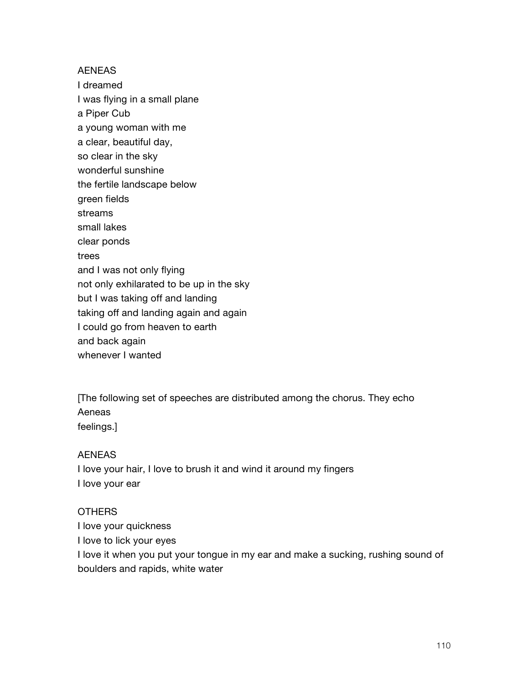#### AENEAS

I dreamed I was flying in a small plane a Piper Cub a young woman with me a clear, beautiful day, so clear in the sky wonderful sunshine the fertile landscape below green fields streams small lakes clear ponds trees and I was not only flying not only exhilarated to be up in the sky but I was taking off and landing taking off and landing again and again I could go from heaven to earth and back again whenever I wanted

[The following set of speeches are distributed among the chorus. They echo Aeneas feelings.]

#### AENEAS

I love your hair, I love to brush it and wind it around my fingers I love your ear

#### **OTHERS**

I love your quickness I love to lick your eyes I love it when you put your tongue in my ear and make a sucking, rushing sound of boulders and rapids, white water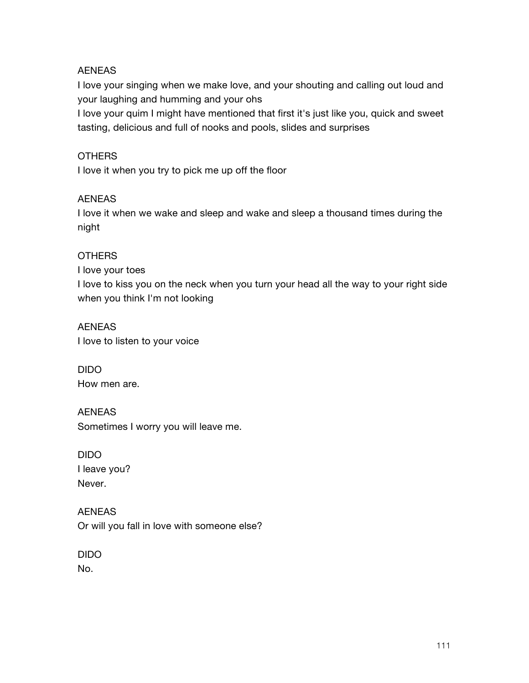## AENEAS

I love your singing when we make love, and your shouting and calling out loud and your laughing and humming and your ohs

I love your quim I might have mentioned that first it's just like you, quick and sweet tasting, delicious and full of nooks and pools, slides and surprises

## **OTHERS**

I love it when you try to pick me up off the floor

## AENEAS

I love it when we wake and sleep and wake and sleep a thousand times during the night

## **OTHERS**

I love your toes I love to kiss you on the neck when you turn your head all the way to your right side when you think I'm not looking

AENEAS I love to listen to your voice

DIDO How men are.

AENEAS Sometimes I worry you will leave me.

DIDO I leave you? Never.

AENEAS Or will you fall in love with someone else?

DIDO No.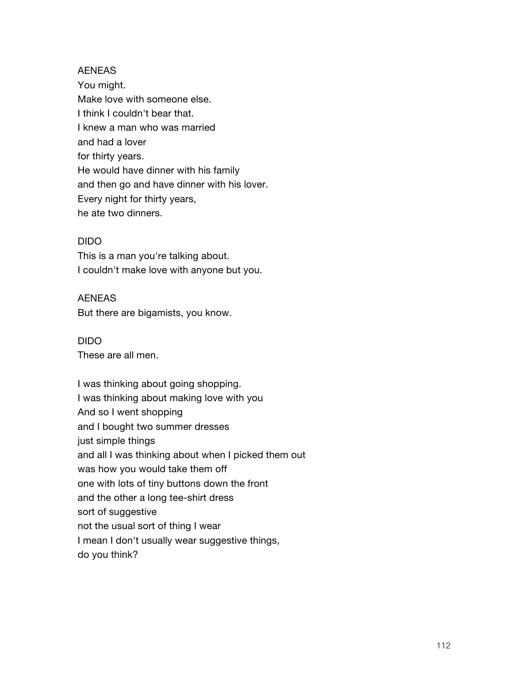#### AENEAS

You might. Make love with someone else. I think I couldn't bear that. I knew a man who was married and had a lover for thirty years. He would have dinner with his family and then go and have dinner with his lover. Every night for thirty years, he ate two dinners.

#### DIDO

This is a man you're talking about. I couldn't make love with anyone but you.

#### AENEAS

But there are bigamists, you know.

#### DIDO

These are all men.

I was thinking about going shopping. I was thinking about making love with you And so I went shopping and I bought two summer dresses just simple things and all I was thinking about when I picked them out was how you would take them off one with lots of tiny buttons down the front and the other a long tee-shirt dress sort of suggestive not the usual sort of thing I wear I mean I don't usually wear suggestive things, do you think?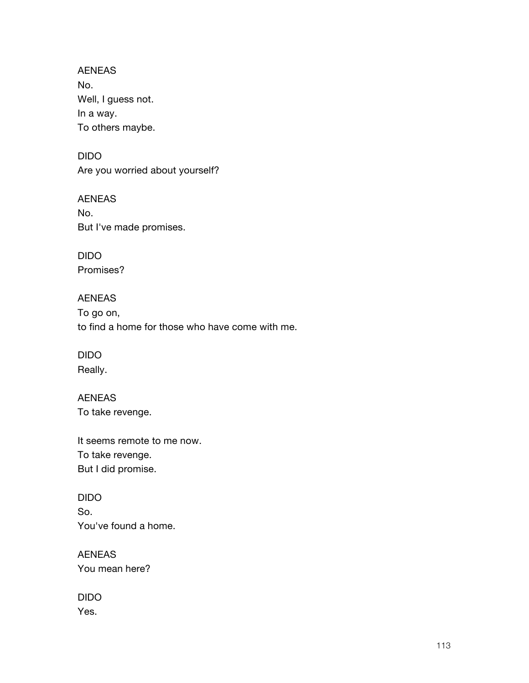AENEAS No. Well, I guess not. In a way. To others maybe.

DIDO Are you worried about yourself?

AENEAS No. But I've made promises.

DIDO Promises?

AENEAS To go on, to find a home for those who have come with me.

DIDO Really.

AENEAS To take revenge.

It seems remote to me now. To take revenge. But I did promise.

DIDO So. You've found a home.

AENEAS You mean here?

DIDO Yes.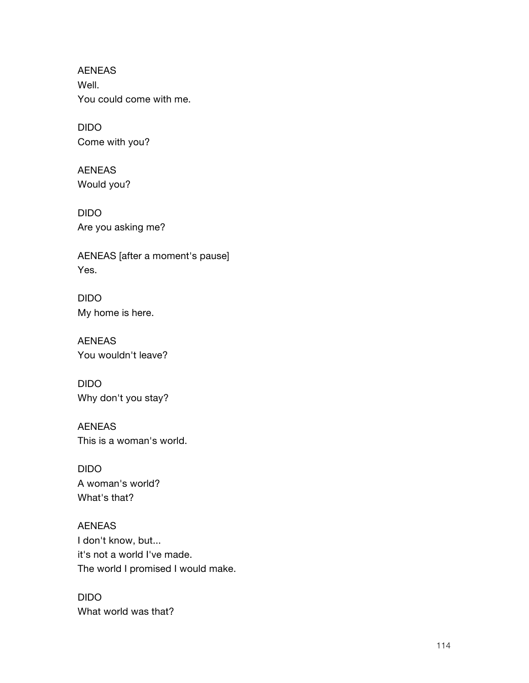AENEAS Well. You could come with me.

DIDO Come with you?

AENEAS Would you?

DIDO Are you asking me?

AENEAS [after a moment's pause] Yes.

DIDO My home is here.

AENEAS You wouldn't leave?

DIDO Why don't you stay?

AENEAS This is a woman's world.

DIDO A woman's world? What's that?

AENEAS I don't know, but... it's not a world I've made. The world I promised I would make.

DIDO What world was that?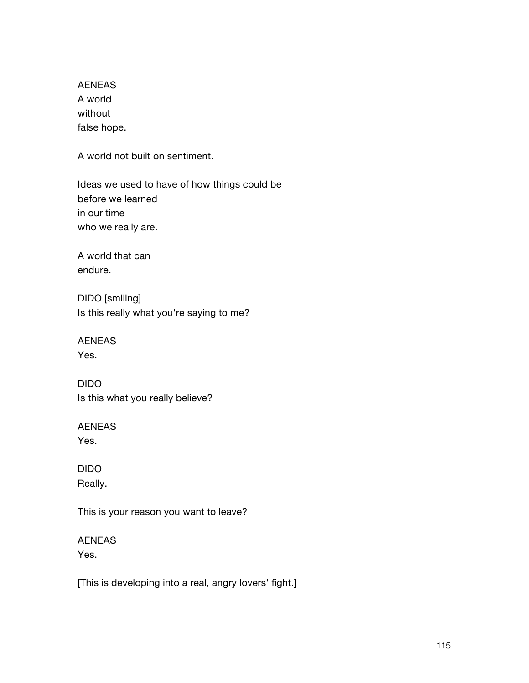AENEAS A world without false hope.

A world not built on sentiment.

Ideas we used to have of how things could be before we learned in our time who we really are.

A world that can endure.

DIDO [smiling] Is this really what you're saying to me?

AENEAS Yes.

DIDO Is this what you really believe?

AENEAS Yes.

DIDO Really.

This is your reason you want to leave?

AENEAS Yes.

[This is developing into a real, angry lovers' fight.]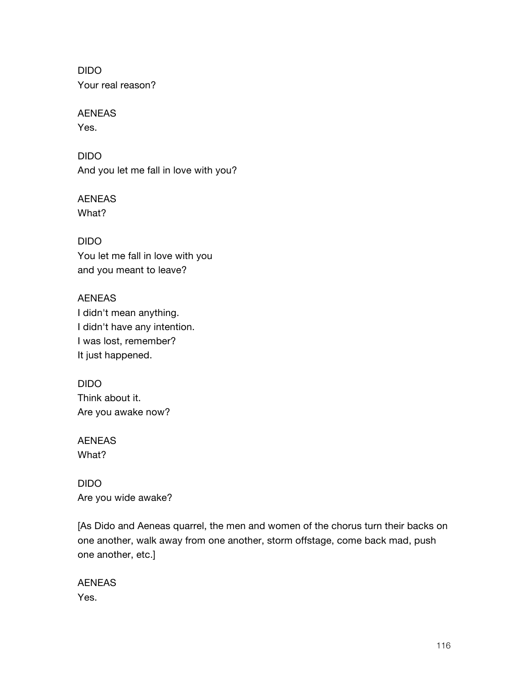DIDO Your real reason?

AENEAS

Yes.

DIDO And you let me fall in love with you?

AENEAS What?

DIDO You let me fall in love with you and you meant to leave?

AENEAS I didn't mean anything. I didn't have any intention. I was lost, remember? It just happened.

DIDO Think about it. Are you awake now?

AENEAS What?

DIDO Are you wide awake?

[As Dido and Aeneas quarrel, the men and women of the chorus turn their backs on one another, walk away from one another, storm offstage, come back mad, push one another, etc.]

AENEAS Yes.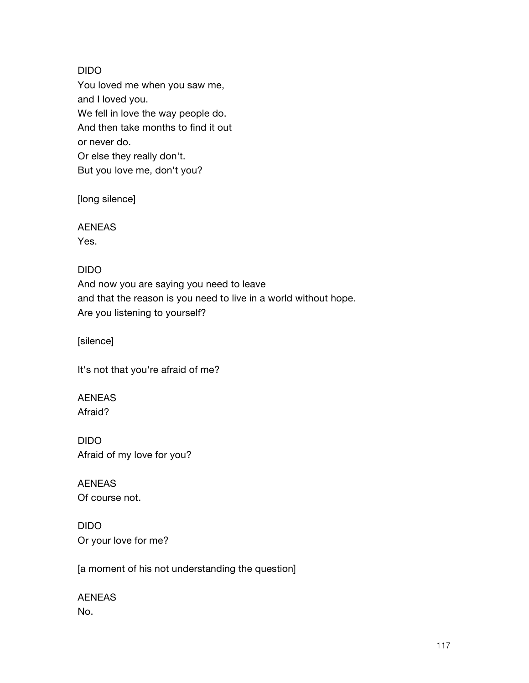## DIDO

You loved me when you saw me, and I loved you. We fell in love the way people do. And then take months to find it out or never do. Or else they really don't. But you love me, don't you?

[long silence]

AENEAS

Yes.

## DIDO

And now you are saying you need to leave and that the reason is you need to live in a world without hope. Are you listening to yourself?

[silence]

It's not that you're afraid of me?

AENEAS Afraid?

DIDO Afraid of my love for you?

AENEAS Of course not.

DIDO Or your love for me?

[a moment of his not understanding the question]

AENEAS No.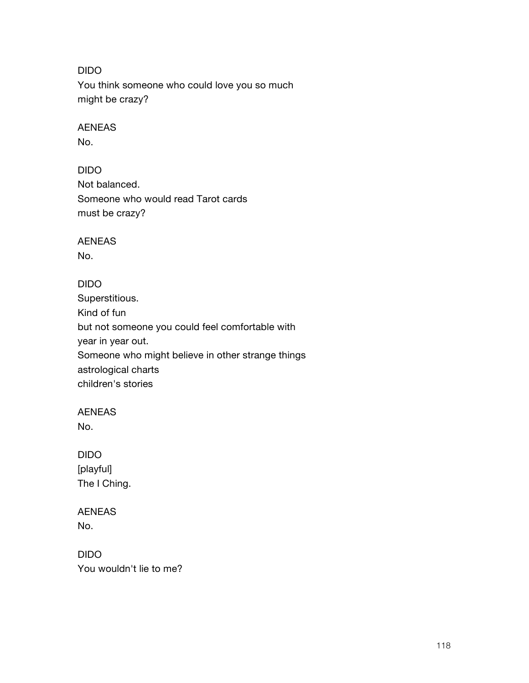#### DIDO

You think someone who could love you so much might be crazy?

## AENEAS

No.

## DIDO

Not balanced. Someone who would read Tarot cards must be crazy?

# AENEAS

No.

# DIDO

Superstitious. Kind of fun but not someone you could feel comfortable with year in year out. Someone who might believe in other strange things astrological charts children's stories

## AENEAS

No.

# DIDO

[playful] The I Ching.

## AENEAS

No.

# DIDO You wouldn't lie to me?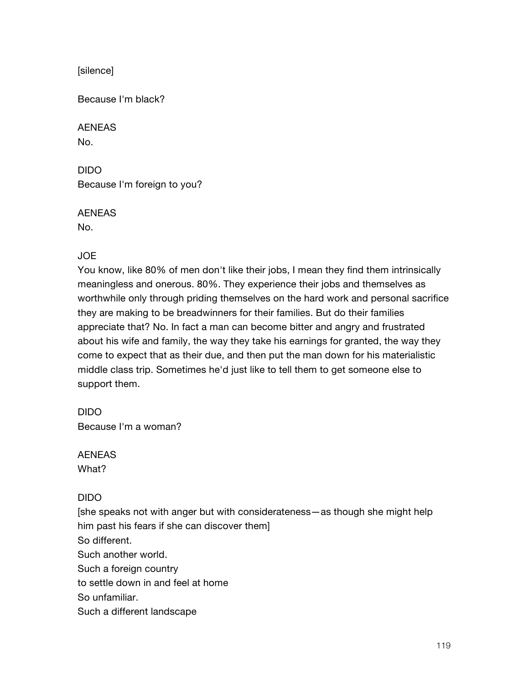[silence]

Because I'm black?

AENEAS No.

DIDO Because I'm foreign to you?

AENEAS No.

# JOE

You know, like 80% of men don't like their jobs, I mean they find them intrinsically meaningless and onerous. 80%. They experience their jobs and themselves as worthwhile only through priding themselves on the hard work and personal sacrifice they are making to be breadwinners for their families. But do their families appreciate that? No. In fact a man can become bitter and angry and frustrated about his wife and family, the way they take his earnings for granted, the way they come to expect that as their due, and then put the man down for his materialistic middle class trip. Sometimes he'd just like to tell them to get someone else to support them.

DIDO Because I'm a woman?

AENEAS What?

## DIDO

[she speaks not with anger but with considerateness—as though she might help him past his fears if she can discover them] So different. Such another world. Such a foreign country to settle down in and feel at home So unfamiliar. Such a different landscape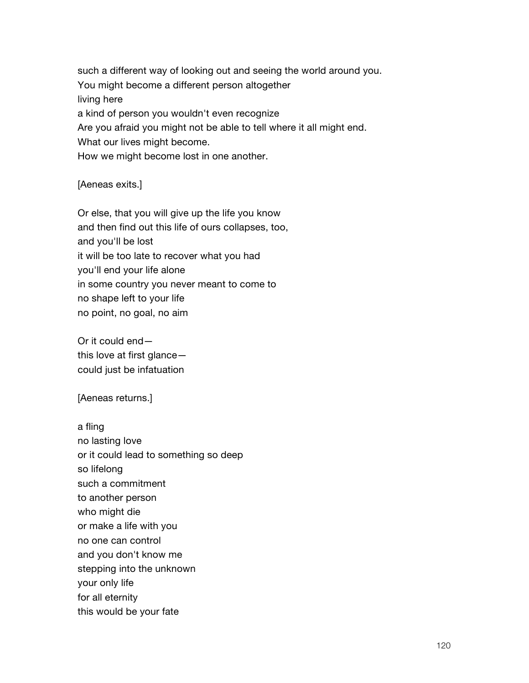such a different way of looking out and seeing the world around you. You might become a different person altogether living here a kind of person you wouldn't even recognize Are you afraid you might not be able to tell where it all might end. What our lives might become. How we might become lost in one another.

#### [Aeneas exits.]

Or else, that you will give up the life you know and then find out this life of ours collapses, too, and you'll be lost it will be too late to recover what you had you'll end your life alone in some country you never meant to come to no shape left to your life no point, no goal, no aim

Or it could end this love at first glance could just be infatuation

#### [Aeneas returns.]

a fling no lasting love or it could lead to something so deep so lifelong such a commitment to another person who might die or make a life with you no one can control and you don't know me stepping into the unknown your only life for all eternity this would be your fate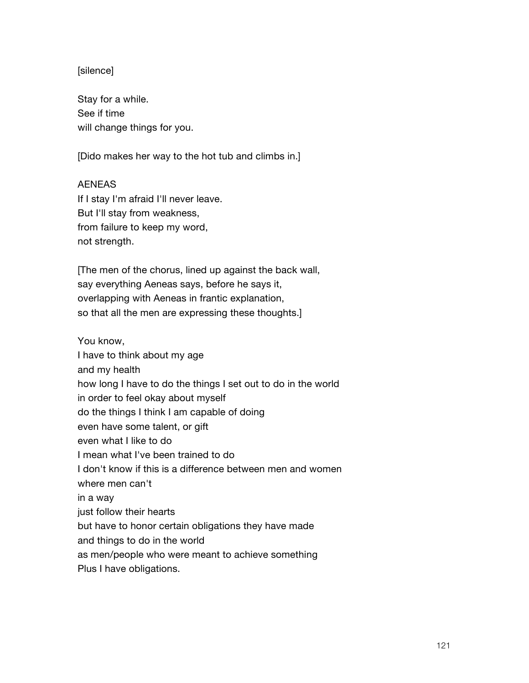#### [silence]

Stay for a while. See if time will change things for you.

[Dido makes her way to the hot tub and climbs in.]

#### AENEAS

If I stay I'm afraid I'll never leave. But I'll stay from weakness, from failure to keep my word, not strength.

[The men of the chorus, lined up against the back wall, say everything Aeneas says, before he says it, overlapping with Aeneas in frantic explanation, so that all the men are expressing these thoughts.]

You know, I have to think about my age and my health how long I have to do the things I set out to do in the world in order to feel okay about myself do the things I think I am capable of doing even have some talent, or gift even what I like to do I mean what I've been trained to do I don't know if this is a difference between men and women where men can't in a way just follow their hearts but have to honor certain obligations they have made and things to do in the world as men/people who were meant to achieve something

Plus I have obligations.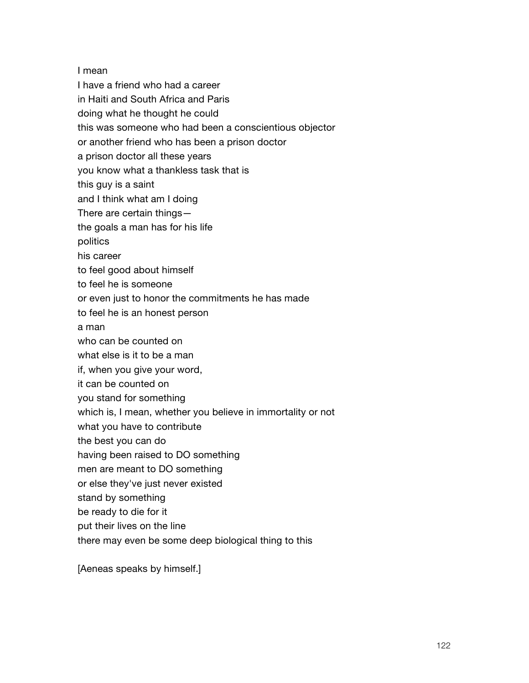I mean I have a friend who had a career in Haiti and South Africa and Paris doing what he thought he could this was someone who had been a conscientious objector or another friend who has been a prison doctor a prison doctor all these years you know what a thankless task that is this guy is a saint and I think what am I doing There are certain things the goals a man has for his life politics his career to feel good about himself to feel he is someone or even just to honor the commitments he has made to feel he is an honest person a man who can be counted on what else is it to be a man if, when you give your word, it can be counted on you stand for something which is, I mean, whether you believe in immortality or not what you have to contribute the best you can do having been raised to DO something men are meant to DO something or else they've just never existed stand by something be ready to die for it put their lives on the line there may even be some deep biological thing to this

[Aeneas speaks by himself.]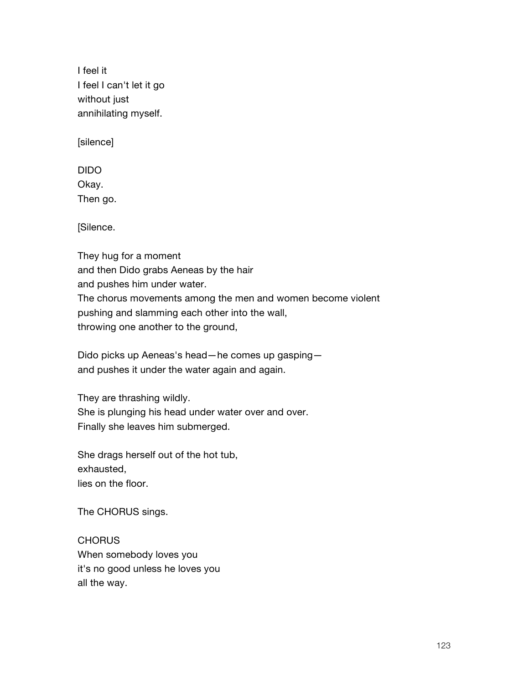I feel it I feel I can't let it go without just annihilating myself.

[silence]

DIDO Okay. Then go.

[Silence.

They hug for a moment and then Dido grabs Aeneas by the hair and pushes him under water. The chorus movements among the men and women become violent pushing and slamming each other into the wall, throwing one another to the ground,

Dido picks up Aeneas's head—he comes up gasping and pushes it under the water again and again.

They are thrashing wildly. She is plunging his head under water over and over. Finally she leaves him submerged.

She drags herself out of the hot tub, exhausted, lies on the floor.

The CHORUS sings.

**CHORUS** When somebody loves you it's no good unless he loves you all the way.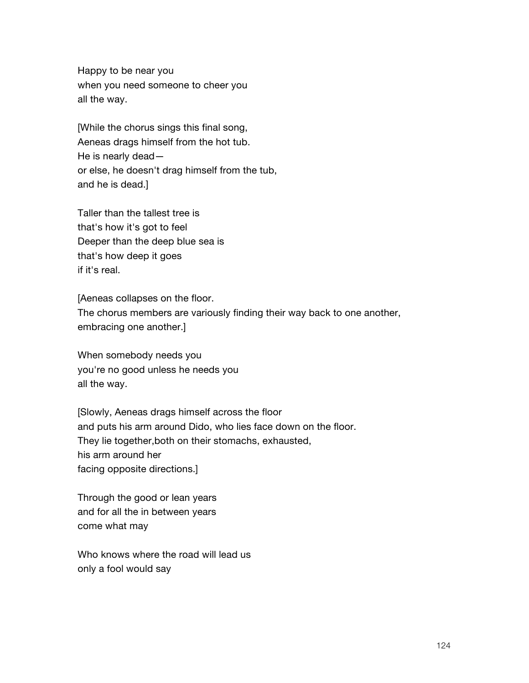Happy to be near you when you need someone to cheer you all the way.

[While the chorus sings this final song, Aeneas drags himself from the hot tub. He is nearly dead or else, he doesn't drag himself from the tub, and he is dead.]

Taller than the tallest tree is that's how it's got to feel Deeper than the deep blue sea is that's how deep it goes if it's real.

[Aeneas collapses on the floor. The chorus members are variously finding their way back to one another, embracing one another.]

When somebody needs you you're no good unless he needs you all the way.

[Slowly, Aeneas drags himself across the floor and puts his arm around Dido, who lies face down on the floor. They lie together,both on their stomachs, exhausted, his arm around her facing opposite directions.]

Through the good or lean years and for all the in between years come what may

Who knows where the road will lead us only a fool would say